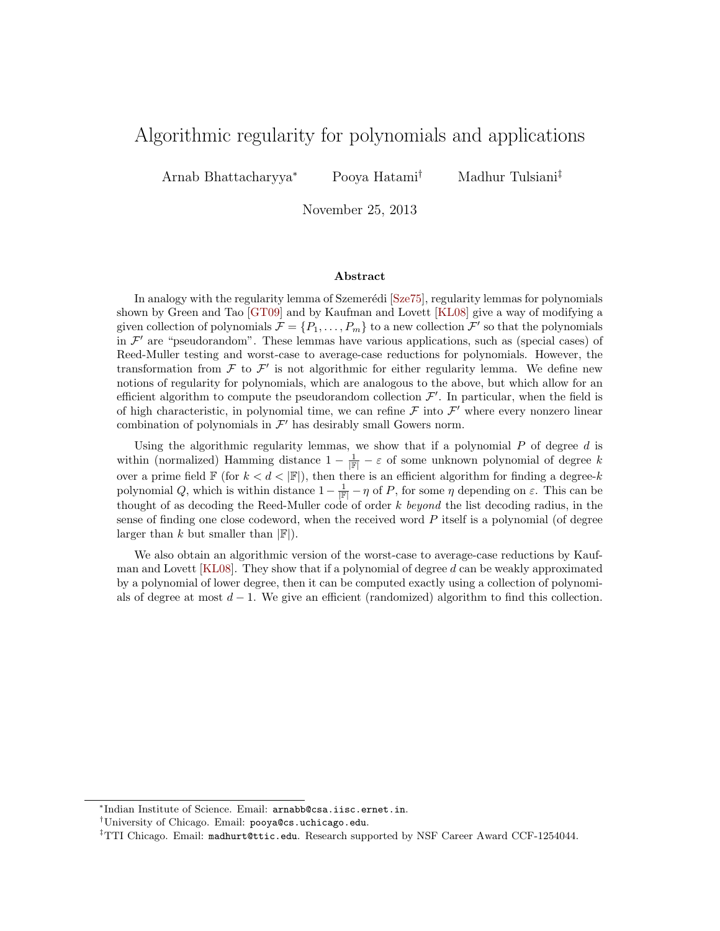# <span id="page-0-0"></span>Algorithmic regularity for polynomials and applications

Arnab Bhattacharyya<sup>∗</sup> Pooya Hatami† Madhur Tulsiani‡

November 25, 2013

#### Abstract

In analogy with the regularity lemma of Szemerédi [\[Sze75\]](#page-32-0), regularity lemmas for polynomials shown by Green and Tao [\[GT09\]](#page-32-1) and by Kaufman and Lovett [\[KL08\]](#page-32-2) give a way of modifying a given collection of polynomials  $\mathcal{F} = \{P_1, \ldots, P_m\}$  to a new collection  $\mathcal{F}'$  so that the polynomials in  $\mathcal{F}'$  are "pseudorandom". These lemmas have various applications, such as (special cases) of Reed-Muller testing and worst-case to average-case reductions for polynomials. However, the transformation from  $\mathcal F$  to  $\mathcal F'$  is not algorithmic for either regularity lemma. We define new notions of regularity for polynomials, which are analogous to the above, but which allow for an efficient algorithm to compute the pseudorandom collection  $\mathcal{F}'$ . In particular, when the field is of high characteristic, in polynomial time, we can refine  $\mathcal F$  into  $\mathcal F'$  where every nonzero linear combination of polynomials in  $\mathcal{F}'$  has desirably small Gowers norm.

Using the algorithmic regularity lemmas, we show that if a polynomial  $P$  of degree  $d$  is within (normalized) Hamming distance  $1 - \frac{1}{|\mathbb{F}|} - \varepsilon$  of some unknown polynomial of degree k over a prime field  $\mathbb{F}$  (for  $k < d < |\mathbb{F}|$ ), then there is an efficient algorithm for finding a degree-k polynomial Q, which is within distance  $1 - \frac{1}{|\mathbb{F}|} - \eta$  of P, for some  $\eta$  depending on  $\varepsilon$ . This can be thought of as decoding the Reed-Muller code of order k beyond the list decoding radius, in the sense of finding one close codeword, when the received word P itself is a polynomial (of degree larger than k but smaller than  $\mathbb{F}$ .

We also obtain an algorithmic version of the worst-case to average-case reductions by Kaufman and Lovett [\[KL08\]](#page-32-2). They show that if a polynomial of degree d can be weakly approximated by a polynomial of lower degree, then it can be computed exactly using a collection of polynomials of degree at most  $d-1$ . We give an efficient (randomized) algorithm to find this collection.

<sup>∗</sup> Indian Institute of Science. Email: arnabb@csa.iisc.ernet.in.

<sup>†</sup>University of Chicago. Email: pooya@cs.uchicago.edu.

<sup>‡</sup>TTI Chicago. Email: madhurt@ttic.edu. Research supported by NSF Career Award CCF-1254044.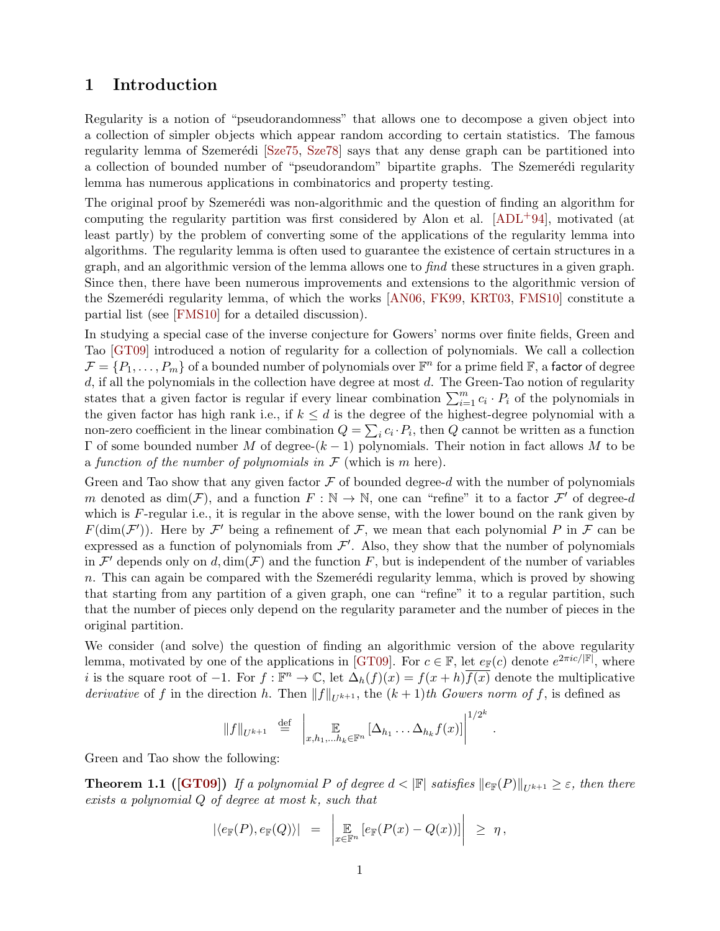## 1 Introduction

Regularity is a notion of "pseudorandomness" that allows one to decompose a given object into a collection of simpler objects which appear random according to certain statistics. The famous regularity lemma of Szemerédi [\[Sze75,](#page-32-0) [Sze78\]](#page-32-3) says that any dense graph can be partitioned into a collection of bounded number of "pseudorandom" bipartite graphs. The Szemerédi regularity lemma has numerous applications in combinatorics and property testing.

The original proof by Szemerédi was non-algorithmic and the question of finding an algorithm for computing the regularity partition was first considered by Alon et al.  $[ADL+94]$ , motivated (at least partly) by the problem of converting some of the applications of the regularity lemma into algorithms. The regularity lemma is often used to guarantee the existence of certain structures in a graph, and an algorithmic version of the lemma allows one to find these structures in a given graph. Since then, there have been numerous improvements and extensions to the algorithmic version of the Szemerédi regularity lemma, of which the works [\[AN06,](#page-31-1) [FK99,](#page-31-2) [KRT03,](#page-32-4) [FMS10\]](#page-31-3) constitute a partial list (see [\[FMS10\]](#page-31-3) for a detailed discussion).

In studying a special case of the inverse conjecture for Gowers' norms over finite fields, Green and Tao [\[GT09\]](#page-32-1) introduced a notion of regularity for a collection of polynomials. We call a collection  $\mathcal{F} = \{P_1, \ldots, P_m\}$  of a bounded number of polynomials over  $\mathbb{F}^n$  for a prime field  $\mathbb{F}$ , a factor of degree  $d$ , if all the polynomials in the collection have degree at most  $d$ . The Green-Tao notion of regularity states that a given factor is regular if every linear combination  $\sum_{i=1}^{m} c_i \cdot P_i$  of the polynomials in the given factor has high rank i.e., if  $k \leq d$  is the degree of the highest-degree polynomial with a non-zero coefficient in the linear combination  $Q = \sum_i c_i \cdot P_i$ , then Q cannot be written as a function Γ of some bounded number M of degree- $(k − 1)$  polynomials. Their notion in fact allows M to be a function of the number of polynomials in  $\mathcal F$  (which is m here).

Green and Tao show that any given factor  $\mathcal F$  of bounded degree-d with the number of polynomials m denoted as  $\dim(\mathcal{F})$ , and a function  $F : \mathbb{N} \to \mathbb{N}$ , one can "refine" it to a factor  $\mathcal{F}'$  of degree-d which is  $F$ -regular i.e., it is regular in the above sense, with the lower bound on the rank given by  $F(\dim(\mathcal{F}'))$ . Here by  $\mathcal{F}'$  being a refinement of  $\mathcal{F}$ , we mean that each polynomial P in  $\mathcal{F}$  can be expressed as a function of polynomials from  $\mathcal{F}'$ . Also, they show that the number of polynomials in  $\mathcal{F}'$  depends only on d, dim( $\mathcal{F}$ ) and the function F, but is independent of the number of variables n. This can again be compared with the Szemerédi regularity lemma, which is proved by showing that starting from any partition of a given graph, one can "refine" it to a regular partition, such that the number of pieces only depend on the regularity parameter and the number of pieces in the original partition.

We consider (and solve) the question of finding an algorithmic version of the above regularity lemma, motivated by one of the applications in [\[GT09\]](#page-32-1). For  $c \in \mathbb{F}$ , let  $e_{\mathbb{F}}(c)$  denote  $e^{2\pi i c/|\mathbb{F}|}$ , where i is the square root of  $-1$ . For  $f : \mathbb{F}^n \to \mathbb{C}$ , let  $\Delta_h(f)(x) = f(x+h)\overline{f(x)}$  denote the multiplicative derivative of f in the direction h. Then  $||f||_{U^{k+1}}$ , the  $(k + 1)$ th Gowers norm of f, is defined as

<span id="page-1-0"></span>
$$
||f||_{U^{k+1}} \stackrel{\text{def}}{=} \left| \mathbb{E}_{x, h_1, \dots, h_k \in \mathbb{F}^n} \left[ \Delta_{h_1} \dots \Delta_{h_k} f(x) \right] \right|^{1/2^k}.
$$

Green and Tao show the following:

**Theorem 1.1** ([\[GT09\]](#page-32-1)) If a polynomial P of degree  $d < |\mathbb{F}|$  satisfies  $||e_{\mathbb{F}}(P)||_{U^{k+1}} \geq \varepsilon$ , then there exists a polynomial Q of degree at most k, such that

$$
|\langle e_{\mathbb{F}}(P), e_{\mathbb{F}}(Q)\rangle| = \left|\mathop{\mathbb{E}}_{x \in \mathbb{F}^n} \left[e_{\mathbb{F}}(P(x) - Q(x))\right]\right| \geq \eta,
$$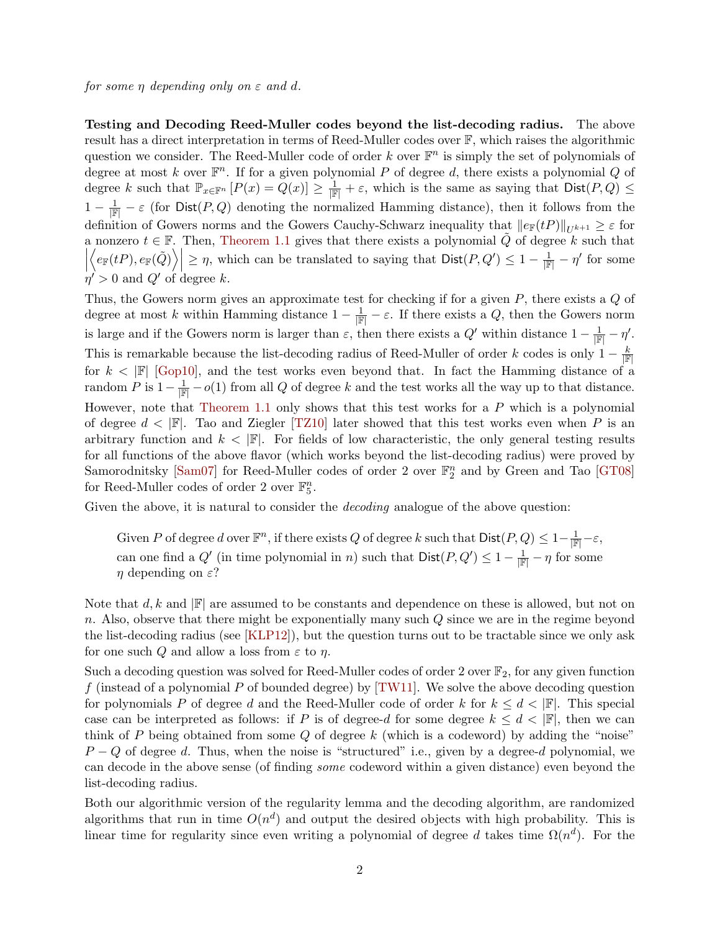<span id="page-2-0"></span>for some  $\eta$  depending only on  $\varepsilon$  and d.

Testing and Decoding Reed-Muller codes beyond the list-decoding radius. The above result has a direct interpretation in terms of Reed-Muller codes over F, which raises the algorithmic question we consider. The Reed-Muller code of order k over  $\mathbb{F}^n$  is simply the set of polynomials of degree at most k over  $\mathbb{F}^n$ . If for a given polynomial P of degree d, there exists a polynomial Q of degree k such that  $\mathbb{P}_{x\in\mathbb{F}^n}[P(x) = Q(x)] \geq \frac{1}{\mathbb{F}} + \varepsilon$ , which is the same as saying that  $\text{Dist}(P,Q) \leq$  $1-\frac{1}{\mathbb{F}}-\varepsilon$  (for  $\text{Dist}(P,Q)$  denoting the normalized Hamming distance), then it follows from the definition of Gowers norms and the Gowers Cauchy-Schwarz inequality that  $||e_{\mathbb{F}}(tP)||_{U^{k+1}} \geq \varepsilon$  for a nonzero  $t \in \mathbb{F}$ . Then, [Theorem 1.1](#page-1-0) gives that there exists a polynomial  $\tilde{Q}$  of degree k such that  $\begin{array}{c} \begin{array}{c} \begin{array}{c} \end{array} \\ \begin{array}{c} \end{array} \end{array} \end{array}$  $\left\langle e_{\mathbb{F}}(tP), e_{\mathbb{F}}(\tilde{Q}) \right\rangle \geq \eta$ , which can be translated to saying that  $\text{Dist}(P, Q') \leq 1 - \frac{1}{|\mathbb{F}|} - \eta'$  for some  $\eta' > 0$  and Q' of degree k.

Thus, the Gowers norm gives an approximate test for checking if for a given  $P$ , there exists a  $Q$  of degree at most k within Hamming distance  $1 - \frac{1}{|\mathbb{F}|} - \varepsilon$ . If there exists a Q, then the Gowers norm is large and if the Gowers norm is larger than  $\varepsilon$ , then there exists a  $Q'$  within distance  $1 - \frac{1}{\|\mathbb{F}\|} - \eta'$ . This is remarkable because the list-decoding radius of Reed-Muller of order k codes is only  $1 - \frac{k}{\lvert \mathbb{F} \rvert}$ for  $k < |\mathbb{F}|$  [\[Gop10\]](#page-31-4), and the test works even beyond that. In fact the Hamming distance of a random P is  $1-\frac{1}{\mathbb{F}}-o(1)$  from all Q of degree k and the test works all the way up to that distance. However, note that [Theorem 1.1](#page-1-0) only shows that this test works for a P which is a polynomial of degree  $d < |\mathbb{F}|$ . Tao and Ziegler [\[TZ10\]](#page-32-5) later showed that this test works even when P is an arbitrary function and  $k < |\mathbb{F}|$ . For fields of low characteristic, the only general testing results for all functions of the above flavor (which works beyond the list-decoding radius) were proved by Samorodnitsky [\[Sam07\]](#page-32-6) for Reed-Muller codes of order 2 over  $\mathbb{F}_2^n$  and by Green and Tao [\[GT08\]](#page-31-5) for Reed-Muller codes of order 2 over  $\mathbb{F}_5^n$ .

Given the above, it is natural to consider the *decoding* analogue of the above question:

Given P of degree d over  $\mathbb{F}^n$ , if there exists Q of degree k such that  $\text{Dist}(P,Q) \leq 1 - \frac{1}{|\mathbb{F}|} - \varepsilon$ , can one find a  $Q'$  (in time polynomial in n) such that  $\mathsf{Dist}(P,Q') \leq 1 - \frac{1}{\mathbb{F}} - \eta$  for some  $\eta$  depending on  $\varepsilon$ ?

Note that d, k and  $\mathbb{F}$  are assumed to be constants and dependence on these is allowed, but not on n. Also, observe that there might be exponentially many such  $Q$  since we are in the regime beyond the list-decoding radius (see [\[KLP12\]](#page-32-7)), but the question turns out to be tractable since we only ask for one such Q and allow a loss from  $\varepsilon$  to  $\eta$ .

Such a decoding question was solved for Reed-Muller codes of order 2 over  $\mathbb{F}_2$ , for any given function f (instead of a polynomial P of bounded degree) by  $[TW11]$ . We solve the above decoding question for polynomials P of degree d and the Reed-Muller code of order k for  $k \leq d < |\mathbb{F}|$ . This special case can be interpreted as follows: if P is of degree-d for some degree  $k \leq d < |\mathbb{F}|$ , then we can think of P being obtained from some  $Q$  of degree  $k$  (which is a codeword) by adding the "noise"  $P - Q$  of degree d. Thus, when the noise is "structured" i.e., given by a degree-d polynomial, we can decode in the above sense (of finding some codeword within a given distance) even beyond the list-decoding radius.

Both our algorithmic version of the regularity lemma and the decoding algorithm, are randomized algorithms that run in time  $O(n^d)$  and output the desired objects with high probability. This is linear time for regularity since even writing a polynomial of degree d takes time  $\Omega(n^d)$ . For the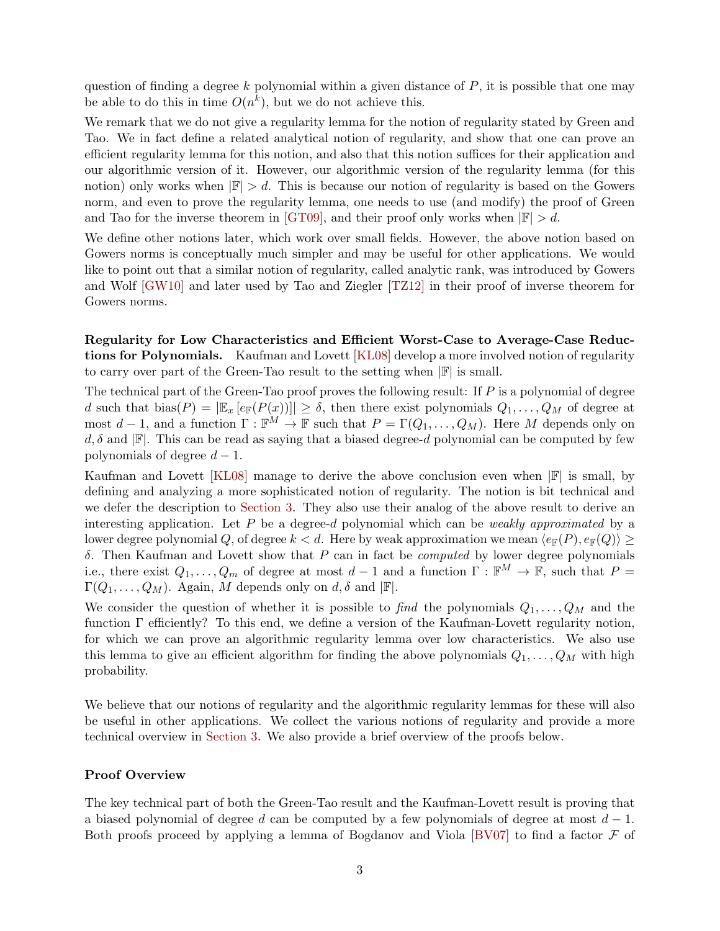<span id="page-3-0"></span>question of finding a degree k polynomial within a given distance of  $P$ , it is possible that one may be able to do this in time  $O(n^k)$ , but we do not achieve this.

We remark that we do not give a regularity lemma for the notion of regularity stated by Green and Tao. We in fact define a related analytical notion of regularity, and show that one can prove an efficient regularity lemma for this notion, and also that this notion suffices for their application and our algorithmic version of it. However, our algorithmic version of the regularity lemma (for this notion) only works when  $|\mathbb{F}| > d$ . This is because our notion of regularity is based on the Gowers norm, and even to prove the regularity lemma, one needs to use (and modify) the proof of Green and Tao for the inverse theorem in [\[GT09\]](#page-32-1), and their proof only works when  $|\mathbb{F}| > d$ .

We define other notions later, which work over small fields. However, the above notion based on Gowers norms is conceptually much simpler and may be useful for other applications. We would like to point out that a similar notion of regularity, called analytic rank, was introduced by Gowers and Wolf [\[GW10\]](#page-32-9) and later used by Tao and Ziegler [\[TZ12\]](#page-32-10) in their proof of inverse theorem for Gowers norms.

Regularity for Low Characteristics and Efficient Worst-Case to Average-Case Reductions for Polynomials. Kaufman and Lovett [\[KL08\]](#page-32-2) develop a more involved notion of regularity to carry over part of the Green-Tao result to the setting when  $\mathbb{F}$  is small.

The technical part of the Green-Tao proof proves the following result: If  $P$  is a polynomial of degree d such that bias( $P = \mathbb{E}_x[e_F(P(x))]] \ge \delta$ , then there exist polynomials  $Q_1, \ldots, Q_M$  of degree at most  $d-1$ , and a function  $\Gamma : \mathbb{F}^M \to \mathbb{F}$  such that  $P = \Gamma(Q_1, \ldots, Q_M)$ . Here M depends only on  $d, \delta$  and  $|\mathbb{F}|$ . This can be read as saying that a biased degree-d polynomial can be computed by few polynomials of degree  $d-1$ .

Kaufman and Lovett [\[KL08\]](#page-32-2) manage to derive the above conclusion even when  $\mathbb{F}$  is small, by defining and analyzing a more sophisticated notion of regularity. The notion is bit technical and we defer the description to [Section 3.](#page-7-0) They also use their analog of the above result to derive an interesting application. Let P be a degree-d polynomial which can be weakly approximated by a lower degree polynomial Q, of degree  $k < d$ . Here by weak approximation we mean  $\langle e_{\mathbb{F}}(P), e_{\mathbb{F}}(Q) \rangle \ge$ δ. Then Kaufman and Lovett show that  $P$  can in fact be *computed* by lower degree polynomials i.e., there exist  $Q_1, \ldots, Q_m$  of degree at most  $d-1$  and a function  $\Gamma : \mathbb{F}^M \to \mathbb{F}$ , such that  $P =$  $\Gamma(Q_1, \ldots, Q_M)$ . Again, M depends only on  $d, \delta$  and  $|\mathbb{F}|$ .

We consider the question of whether it is possible to find the polynomials  $Q_1, \ldots, Q_M$  and the function Γ efficiently? To this end, we define a version of the Kaufman-Lovett regularity notion, for which we can prove an algorithmic regularity lemma over low characteristics. We also use this lemma to give an efficient algorithm for finding the above polynomials  $Q_1, \ldots, Q_M$  with high probability.

We believe that our notions of regularity and the algorithmic regularity lemmas for these will also be useful in other applications. We collect the various notions of regularity and provide a more technical overview in [Section 3.](#page-7-0) We also provide a brief overview of the proofs below.

### Proof Overview

The key technical part of both the Green-Tao result and the Kaufman-Lovett result is proving that a biased polynomial of degree d can be computed by a few polynomials of degree at most  $d-1$ . Both proofs proceed by applying a lemma of Bogdanov and Viola [\[BV07\]](#page-31-6) to find a factor  $\mathcal F$  of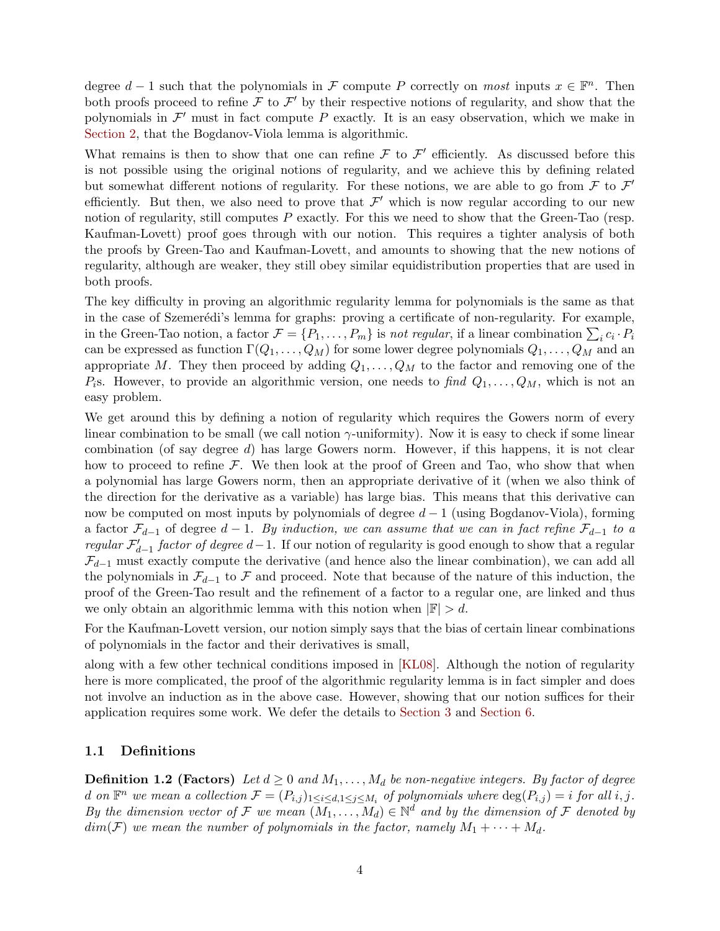<span id="page-4-0"></span>degree  $d-1$  such that the polynomials in F compute P correctly on most inputs  $x \in \mathbb{F}^n$ . Then both proofs proceed to refine  $\mathcal F$  to  $\mathcal F'$  by their respective notions of regularity, and show that the polynomials in  $\mathcal{F}'$  must in fact compute P exactly. It is an easy observation, which we make in [Section 2,](#page-5-0) that the Bogdanov-Viola lemma is algorithmic.

What remains is then to show that one can refine  $\mathcal F$  to  $\mathcal F'$  efficiently. As discussed before this is not possible using the original notions of regularity, and we achieve this by defining related but somewhat different notions of regularity. For these notions, we are able to go from  $\mathcal F$  to  $\mathcal F'$ efficiently. But then, we also need to prove that  $\mathcal{F}'$  which is now regular according to our new notion of regularity, still computes P exactly. For this we need to show that the Green-Tao (resp. Kaufman-Lovett) proof goes through with our notion. This requires a tighter analysis of both the proofs by Green-Tao and Kaufman-Lovett, and amounts to showing that the new notions of regularity, although are weaker, they still obey similar equidistribution properties that are used in both proofs.

The key difficulty in proving an algorithmic regularity lemma for polynomials is the same as that in the case of Szemerédi's lemma for graphs: proving a certificate of non-regularity. For example, in the Green-Tao notion, a factor  $\mathcal{F} = \{P_1, \ldots, P_m\}$  is not regular, if a linear combination  $\sum_i c_i \cdot P_i$ can be expressed as function  $\Gamma(Q_1, \ldots, Q_M)$  for some lower degree polynomials  $Q_1, \ldots, Q_M$  and an appropriate M. They then proceed by adding  $Q_1, \ldots, Q_M$  to the factor and removing one of the  $P_i$ s. However, to provide an algorithmic version, one needs to find  $Q_1, \ldots, Q_M$ , which is not an easy problem.

We get around this by defining a notion of regularity which requires the Gowers norm of every linear combination to be small (we call notion  $\gamma$ -uniformity). Now it is easy to check if some linear combination (of say degree d) has large Gowers norm. However, if this happens, it is not clear how to proceed to refine  $\mathcal F$ . We then look at the proof of Green and Tao, who show that when a polynomial has large Gowers norm, then an appropriate derivative of it (when we also think of the direction for the derivative as a variable) has large bias. This means that this derivative can now be computed on most inputs by polynomials of degree  $d-1$  (using Bogdanov-Viola), forming a factor  $\mathcal{F}_{d-1}$  of degree  $d-1$ . By induction, we can assume that we can in fact refine  $\mathcal{F}_{d-1}$  to a regular  $\mathcal{F}_{d-1}'$  factor of degree  $d-1$ . If our notion of regularity is good enough to show that a regular  $\mathcal{F}_{d-1}$  must exactly compute the derivative (and hence also the linear combination), we can add all the polynomials in  $\mathcal{F}_{d-1}$  to  $\mathcal F$  and proceed. Note that because of the nature of this induction, the proof of the Green-Tao result and the refinement of a factor to a regular one, are linked and thus we only obtain an algorithmic lemma with this notion when  $|\mathbb{F}| > d$ .

For the Kaufman-Lovett version, our notion simply says that the bias of certain linear combinations of polynomials in the factor and their derivatives is small,

along with a few other technical conditions imposed in [\[KL08\]](#page-32-2). Although the notion of regularity here is more complicated, the proof of the algorithmic regularity lemma is in fact simpler and does not involve an induction as in the above case. However, showing that our notion suffices for their application requires some work. We defer the details to [Section 3](#page-7-0) and [Section 6.](#page-23-0)

### 1.1 Definitions

**Definition 1.2 (Factors)** Let  $d \geq 0$  and  $M_1, \ldots, M_d$  be non-negative integers. By factor of degree d on  $\mathbb{F}^n$  we mean a collection  $\mathcal{F} = (P_{i,j})_{1 \leq i \leq d, 1 \leq j \leq M_i}$  of polynomials where  $\deg(P_{i,j}) = i$  for all i, j. By the dimension vector of F we mean  $(M_1, \ldots, M_d) \in \mathbb{N}^d$  and by the dimension of F denoted by  $dim(\mathcal{F})$  we mean the number of polynomials in the factor, namely  $M_1 + \cdots + M_d$ .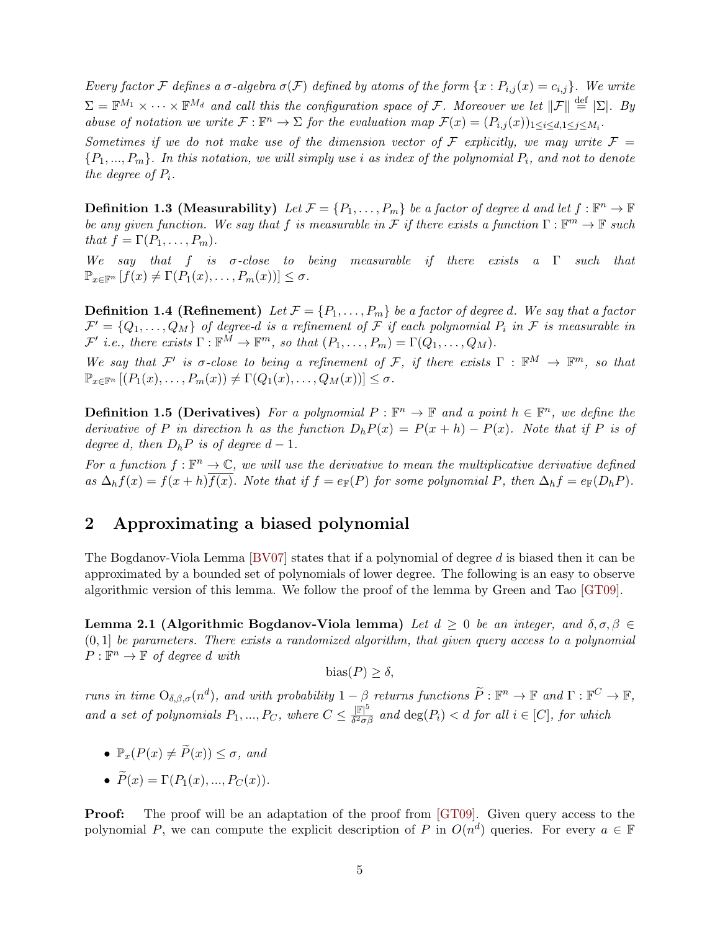<span id="page-5-2"></span>Every factor F defines a  $\sigma$ -algebra  $\sigma(F)$  defined by atoms of the form  $\{x : P_{i,j}(x) = c_{i,j}\}\$ . We write  $\Sigma = \mathbb{F}^{M_1} \times \cdots \times \mathbb{F}^{M_d}$  and call this the configuration space of F. Moreover we let  $\|\mathcal{F}\| \stackrel{\text{def}}{=} |\Sigma|$ . By abuse of notation we write  $\mathcal{F}: \mathbb{F}^n \to \Sigma$  for the evaluation map  $\mathcal{F}(x) = (P_{i,j}(x))_{1 \leq i \leq d, 1 \leq j \leq M_i}$ .

Sometimes if we do not make use of the dimension vector of F explicitly, we may write  $\mathcal{F} =$  $\{P_1,...,P_m\}$ . In this notation, we will simply use i as index of the polynomial  $P_i$ , and not to denote the degree of  $P_i$ .

**Definition 1.3 (Measurability)** Let  $\mathcal{F} = \{P_1, \ldots, P_m\}$  be a factor of degree d and let  $f : \mathbb{F}^n \to \mathbb{F}$ be any given function. We say that f is measurable in F if there exists a function  $\Gamma : \mathbb{F}^m \to \mathbb{F}$  such that  $f = \Gamma(P_1, \ldots, P_m)$ .

We say that f is  $\sigma$ -close to being measurable if there exists a  $\Gamma$  such that  $\mathbb{P}_{x\in\mathbb{F}^n} [f(x) \neq \Gamma(P_1(x), \ldots, P_m(x))] \leq \sigma.$ 

**Definition 1.4 (Refinement)** Let  $\mathcal{F} = \{P_1, \ldots, P_m\}$  be a factor of degree d. We say that a factor  $\mathcal{F}'=\{Q_1,\ldots,Q_M\}$  of degree-d is a refinement of  $\mathcal F$  if each polynomial  $P_i$  in  $\mathcal F$  is measurable in  $\mathcal{F}'$  i.e., there exists  $\Gamma: \mathbb{F}^M \to \mathbb{F}^m$ , so that  $(P_1, \ldots, P_m) = \Gamma(Q_1, \ldots, Q_M)$ .

We say that  $\mathcal{F}'$  is  $\sigma$ -close to being a refinement of  $\mathcal{F}$ , if there exists  $\Gamma : \mathbb{F}^M \to \mathbb{F}^m$ , so that  $\mathbb{P}_{x\in\mathbb{F}^n}\left[(P_1(x),\ldots,P_m(x))\neq \Gamma(Q_1(x),\ldots,Q_M(x))\right]\leq \sigma.$ 

**Definition 1.5 (Derivatives)** For a polynomial  $P : \mathbb{F}^n \to \mathbb{F}$  and a point  $h \in \mathbb{F}^n$ , we define the derivative of P in direction h as the function  $D_h P(x) = P(x + h) - P(x)$ . Note that if P is of degree d, then  $D_hP$  is of degree  $d-1$ .

For a function  $f: \mathbb{F}^n \to \mathbb{C}$ , we will use the derivative to mean the multiplicative derivative defined as  $\Delta_h f(x) = f(x+h) \overline{f(x)}$ . Note that if  $f = e_{\mathbb{F}}(P)$  for some polynomial P, then  $\Delta_h f = e_{\mathbb{F}}(D_h P)$ .

## <span id="page-5-0"></span>2 Approximating a biased polynomial

The Bogdanov-Viola Lemma [\[BV07\]](#page-31-6) states that if a polynomial of degree d is biased then it can be approximated by a bounded set of polynomials of lower degree. The following is an easy to observe algorithmic version of this lemma. We follow the proof of the lemma by Green and Tao [\[GT09\]](#page-32-1).

<span id="page-5-1"></span>Lemma 2.1 (Algorithmic Bogdanov-Viola lemma) Let  $d \geq 0$  be an integer, and  $\delta, \sigma, \beta \in$  $(0, 1]$  be parameters. There exists a randomized algorithm, that given query access to a polynomial  $P: \mathbb{F}^n \to \mathbb{F}$  of degree d with

 $bias(P) \geq \delta$ ,

runs in time  $O_{\delta,\beta,\sigma}(n^d)$ , and with probability  $1-\beta$  returns functions  $\widetilde{P}: \mathbb{F}^n \to \mathbb{F}$  and  $\Gamma: \mathbb{F}^C \to \mathbb{F}$ , and a set of polynomials  $P_1, ..., P_C$ , where  $C \leq \frac{|\mathbb{F}|^5}{\delta^2 \sigma}$  $\frac{|\mathbb{P}|^{\infty}}{\delta^2 \sigma \beta}$  and  $\deg(P_i) < d$  for all  $i \in [C]$ , for which

- $\mathbb{P}_r(P(x) \neq \widetilde{P}(x)) \leq \sigma$ , and
- $\widetilde{P}(x) = \Gamma(P_1(x), ..., P_C(x)).$

**Proof:** The proof will be an adaptation of the proof from [\[GT09\]](#page-32-1). Given query access to the polynomial P, we can compute the explicit description of P in  $O(n^d)$  queries. For every  $a \in \mathbb{F}$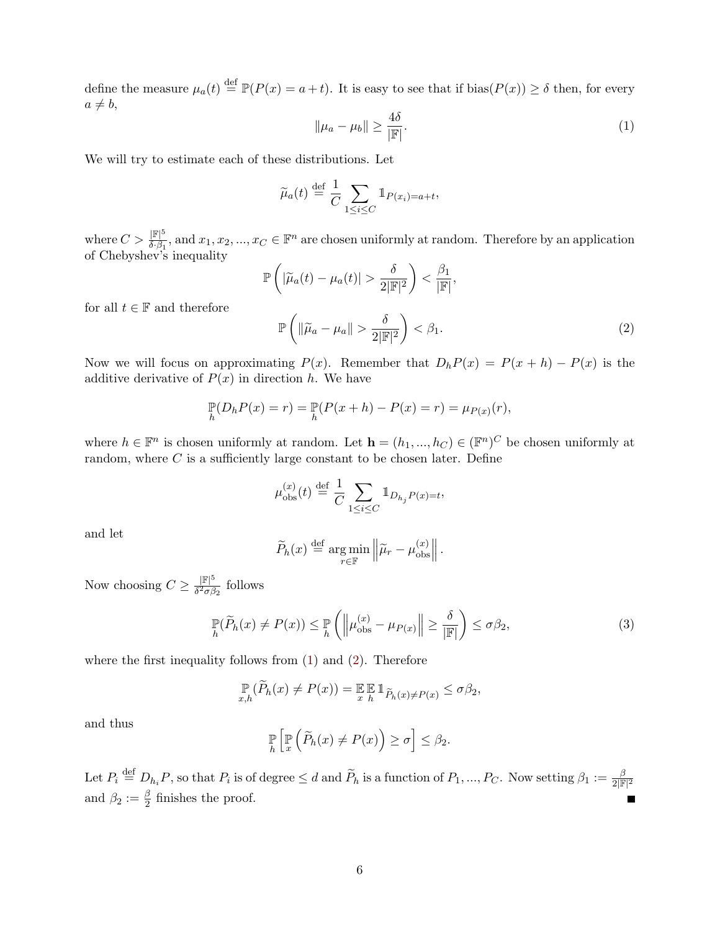define the measure  $\mu_a(t) \stackrel{\text{def}}{=} \mathbb{P}(P(x) = a + t)$ . It is easy to see that if bias $(P(x)) \ge \delta$  then, for every  $a \neq b$ ,

<span id="page-6-0"></span>
$$
\|\mu_a - \mu_b\| \ge \frac{4\delta}{|\mathbb{F}|}.\tag{1}
$$

We will try to estimate each of these distributions. Let

$$
\widetilde{\mu}_a(t) \stackrel{\text{def}}{=} \frac{1}{C} \sum_{1 \le i \le C} \mathbb{1}_{P(x_i) = a+t},
$$

where  $C > \frac{|\mathbb{F}|^5}{\delta \cdot \beta_1}$  $\frac{|\mathbb{F}|^{\infty}}{\delta \cdot \beta_1}$ , and  $x_1, x_2, ..., x_C \in \mathbb{F}^n$  are chosen uniformly at random. Therefore by an application of Chebyshev's inequality

<span id="page-6-1"></span>
$$
\mathbb{P}\left(|\widetilde{\mu}_a(t) - \mu_a(t)| > \frac{\delta}{2|\mathbb{F}|^2}\right) < \frac{\beta_1}{|\mathbb{F}|},
$$
  

$$
\mathbb{P}\left(||\widetilde{\mu}_a - \mu_a|| > \frac{\delta}{2|\mathbb{F}|^2}\right) < \beta_1.
$$
 (2)

for all  $t \in \mathbb{F}$  and therefore

Now we will focus on approximating  $P(x)$ . Remember that  $D_h P(x) = P(x + h) - P(x)$  is the additive derivative of  $P(x)$  in direction h. We have

$$
\mathbb{P}_{h}(D_{h}P(x) = r) = \mathbb{P}_{h}(P(x+h) - P(x) = r) = \mu_{P(x)}(r),
$$

where  $h \in \mathbb{F}^n$  is chosen uniformly at random. Let  $\mathbf{h} = (h_1, ..., h_C) \in (\mathbb{F}^n)^C$  be chosen uniformly at random, where  $C$  is a sufficiently large constant to be chosen later. Define

$$
\mu_{\rm obs}^{(x)}(t) \stackrel{\text{def}}{=} \frac{1}{C} \sum_{1 \le i \le C} \mathbb{1}_{D_{h_j} P(x) = t},
$$

and let

$$
\widetilde{P}_h(x) \stackrel{\text{def}}{=} \argmin_{r \in \mathbb{F}} \left\| \widetilde{\mu}_r - \mu_{\text{obs}}^{(x)} \right\|.
$$

Now choosing  $C \geq \frac{|\mathbb{F}|^5}{\delta^2 \sigma^6}$  $\frac{|\mathbb{F}|^2}{\delta^2 \sigma \beta_2}$  follows

$$
\mathbb{P}_{h}(\widetilde{P}_{h}(x) \neq P(x)) \leq \mathbb{P}_{h} \left( \left\| \mu_{\text{obs}}^{(x)} - \mu_{P(x)} \right\| \geq \frac{\delta}{|\mathbb{F}|} \right) \leq \sigma \beta_{2},\tag{3}
$$

where the first inequality follows from  $(1)$  and  $(2)$ . Therefore

$$
\mathop{\mathbb{P}}_{x,h}(\widetilde{P}_h(x) \neq P(x)) = \mathop{\mathbb{E}}_{x,h} \mathop{\mathbb{E}}_{h} \mathop{\mathbb{I}}_{\widetilde{P}_h(x) \neq P(x)} \leq \sigma \beta_2,
$$

and thus

$$
\mathbb{P}_{h}\left[\mathbb{P}_{x}\left(\widetilde{P}_{h}(x) \neq P(x)\right) \geq \sigma\right] \leq \beta_{2}.
$$

Let  $P_i \stackrel{\text{def}}{=} D_{h_i} P$ , so that  $P_i$  is of degree  $\leq d$  and  $\widetilde{P}_h$  is a function of  $P_1, ..., P_C$ . Now setting  $\beta_1 := \frac{\beta}{2|\mathbb{F}|^2}$ and  $\beta_2 := \frac{\beta}{2}$  $\frac{\beta}{2}$  finishes the proof.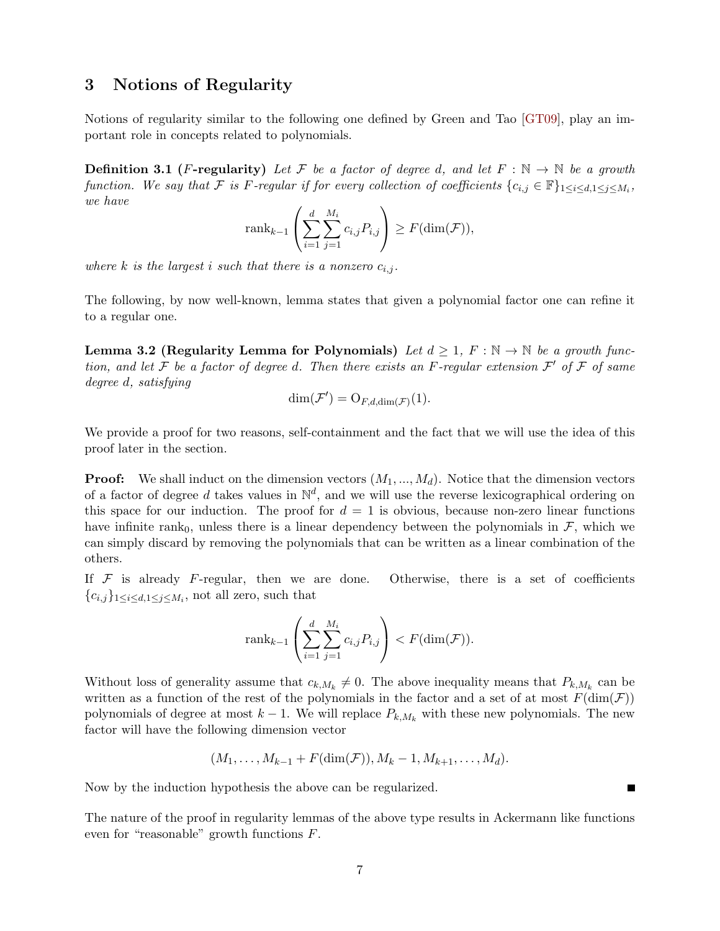## <span id="page-7-3"></span><span id="page-7-0"></span>3 Notions of Regularity

Notions of regularity similar to the following one defined by Green and Tao [\[GT09\]](#page-32-1), play an important role in concepts related to polynomials.

<span id="page-7-2"></span>**Definition 3.1 (F-regularity)** Let F be a factor of degree d, and let  $F : \mathbb{N} \to \mathbb{N}$  be a growth function. We say that F is F-regular if for every collection of coefficients  ${c_{i,j} \in \mathbb{F}}_{1 \leq i \leq d, 1 \leq j \leq M_i}$ , we have

$$
\operatorname{rank}_{k-1}\left(\sum_{i=1}^d \sum_{j=1}^{M_i} c_{i,j} P_{i,j}\right) \ge F(\dim(\mathcal{F})),
$$

where k is the largest i such that there is a nonzero  $c_{i,j}$ .

The following, by now well-known, lemma states that given a polynomial factor one can refine it to a regular one.

<span id="page-7-1"></span>Lemma 3.2 (Regularity Lemma for Polynomials) Let  $d \geq 1$ ,  $F : \mathbb{N} \to \mathbb{N}$  be a growth function, and let F be a factor of degree d. Then there exists an F-regular extension  $\mathcal{F}'$  of  $\mathcal F$  of same degree d, satisfying

$$
\dim(\mathcal{F}') = O_{F,d,\dim(\mathcal{F})}(1).
$$

We provide a proof for two reasons, self-containment and the fact that we will use the idea of this proof later in the section.

**Proof:** We shall induct on the dimension vectors  $(M_1, ..., M_d)$ . Notice that the dimension vectors of a factor of degree d takes values in  $\mathbb{N}^d$ , and we will use the reverse lexicographical ordering on this space for our induction. The proof for  $d = 1$  is obvious, because non-zero linear functions have infinite rank<sub>0</sub>, unless there is a linear dependency between the polynomials in  $\mathcal{F}$ , which we can simply discard by removing the polynomials that can be written as a linear combination of the others.

If  $F$  is already F-regular, then we are done. Otherwise, there is a set of coefficients  ${c_{i,j}}_{1 \leq i \leq d, 1 \leq j \leq M_i}$ , not all zero, such that

$$
\operatorname{rank}_{k-1}\left(\sum_{i=1}^d\sum_{j=1}^{M_i}c_{i,j}P_{i,j}\right) < F(\dim(\mathcal{F})).
$$

Without loss of generality assume that  $c_{k,M_k} \neq 0$ . The above inequality means that  $P_{k,M_k}$  can be written as a function of the rest of the polynomials in the factor and a set of at most  $F(\dim(\mathcal{F}))$ polynomials of degree at most  $k - 1$ . We will replace  $P_{k,M_k}$  with these new polynomials. The new factor will have the following dimension vector

$$
(M_1, ..., M_{k-1} + F(\dim(\mathcal{F}))
$$
,  $M_k - 1, M_{k+1}, ..., M_d$ ).

Now by the induction hypothesis the above can be regularized.

The nature of the proof in regularity lemmas of the above type results in Ackermann like functions even for "reasonable" growth functions F.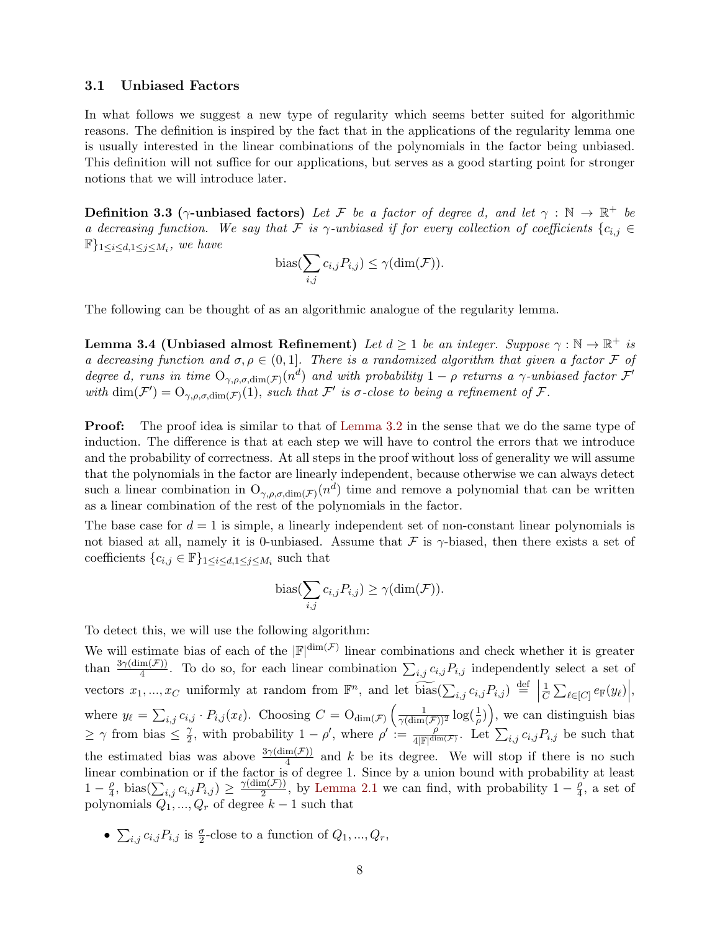### 3.1 Unbiased Factors

In what follows we suggest a new type of regularity which seems better suited for algorithmic reasons. The definition is inspired by the fact that in the applications of the regularity lemma one is usually interested in the linear combinations of the polynomials in the factor being unbiased. This definition will not suffice for our applications, but serves as a good starting point for stronger notions that we will introduce later.

**Definition 3.3** ( $\gamma$ -unbiased factors) Let F be a factor of degree d, and let  $\gamma : \mathbb{N} \to \mathbb{R}^+$  be a decreasing function. We say that F is  $\gamma$ -unbiased if for every collection of coefficients  $\{c_{i,j}\in$  $\mathbb{F}_{1 \leq i \leq d, 1 \leq j \leq M_i}$ , we have

bias
$$
(\sum_{i,j} c_{i,j} P_{i,j}) \leq \gamma(\dim(\mathcal{F})).
$$

<span id="page-8-0"></span>The following can be thought of as an algorithmic analogue of the regularity lemma.

Lemma 3.4 (Unbiased almost Refinement) Let  $d \geq 1$  be an integer. Suppose  $\gamma : \mathbb{N} \to \mathbb{R}^+$  is a decreasing function and  $\sigma, \rho \in (0, 1]$ . There is a randomized algorithm that given a factor F of degree d, runs in time  $O_{\gamma,\rho,\sigma,\dim(\mathcal{F})}(n^d)$  and with probability  $1-\rho$  returns a  $\gamma$ -unbiased factor  $\mathcal{F}'$ with  $\dim(\mathcal{F}') = \mathrm{O}_{\gamma,\rho,\sigma,\dim(\mathcal{F})}(1)$ , such that  $\mathcal{F}'$  is  $\sigma$ -close to being a refinement of  $\mathcal{F}$ .

Proof: The proof idea is similar to that of [Lemma 3.2](#page-7-1) in the sense that we do the same type of induction. The difference is that at each step we will have to control the errors that we introduce and the probability of correctness. At all steps in the proof without loss of generality we will assume that the polynomials in the factor are linearly independent, because otherwise we can always detect such a linear combination in  $O_{\gamma,\rho,\sigma,\dim(\mathcal{F})}(n^d)$  time and remove a polynomial that can be written as a linear combination of the rest of the polynomials in the factor.

The base case for  $d = 1$  is simple, a linearly independent set of non-constant linear polynomials is not biased at all, namely it is 0-unbiased. Assume that  $\mathcal F$  is  $\gamma$ -biased, then there exists a set of coefficients  ${c_{i,j} \in \mathbb{F}}_{1 \leq i \leq d, 1 \leq j \leq M_i}$  such that

bias
$$
(\sum_{i,j} c_{i,j} P_{i,j}) \ge \gamma(\dim(\mathcal{F})).
$$

To detect this, we will use the following algorithm:

We will estimate bias of each of the  $|\mathbb{F}|^{\dim(\mathcal{F})}$  linear combinations and check whether it is greater than  $\frac{3\gamma(\dim(\mathcal{F}))}{4}$ . To do so, for each linear combination  $\sum_{i,j} c_{i,j} P_{i,j}$  independently select a set of vectors  $x_1, ..., x_C$  uniformly at random from  $\mathbb{F}^n$ , and let  $\widetilde{\text{bias}}(\sum_{i,j} c_{i,j} P_{i,j}) \stackrel{\text{def}}{=} |$ 1  $\frac{1}{C}\sum_{\ell\in [C]}\overline{e}_{\mathbb{F}}(y_\ell)\Big|,$ where  $y_{\ell} = \sum_{i,j} c_{i,j} \cdot P_{i,j}(x_{\ell})$ . Choosing  $C = O_{\dim(\mathcal{F})}\left(\frac{1}{\gamma(\dim(\mathcal{F}))^2} \log(\frac{1}{\rho})\right)$ , we can distinguish bias  $\geq \gamma$  from bias  $\leq \frac{\gamma}{2}$  $\frac{\gamma}{2}$ , with probability  $1-\rho'$ , where  $\rho' := \frac{\rho'}{4|\mathbb{F}|^{\dim(\mathcal{F})}}$ . Let  $\sum_{i,j} c_{i,j} P_{i,j}$  be such that the estimated bias was above  $\frac{3\gamma(\dim(\mathcal{F}))}{4}$  and k be its degree. We will stop if there is no such linear combination or if the factor is of degree 1. Since by a union bound with probability at least  $1-\frac{\rho}{4}$  $\frac{\rho}{4}$ , bias( $\sum_{i,j} c_{i,j} P_{i,j}$ )  $\geq \frac{\gamma(\dim(\mathcal{F}))}{2}$  $\frac{n(\mathcal{F})}{2}$ , by [Lemma 2.1](#page-5-1) we can find, with probability  $1-\frac{\rho}{4}$  $\frac{\rho}{4}$ , a set of polynomials  $Q_1, ..., Q_r$  of degree  $k-1$  such that

•  $\sum_{i,j} c_{i,j} P_{i,j}$  is  $\frac{\sigma}{2}$ -close to a function of  $Q_1, ..., Q_r$ ,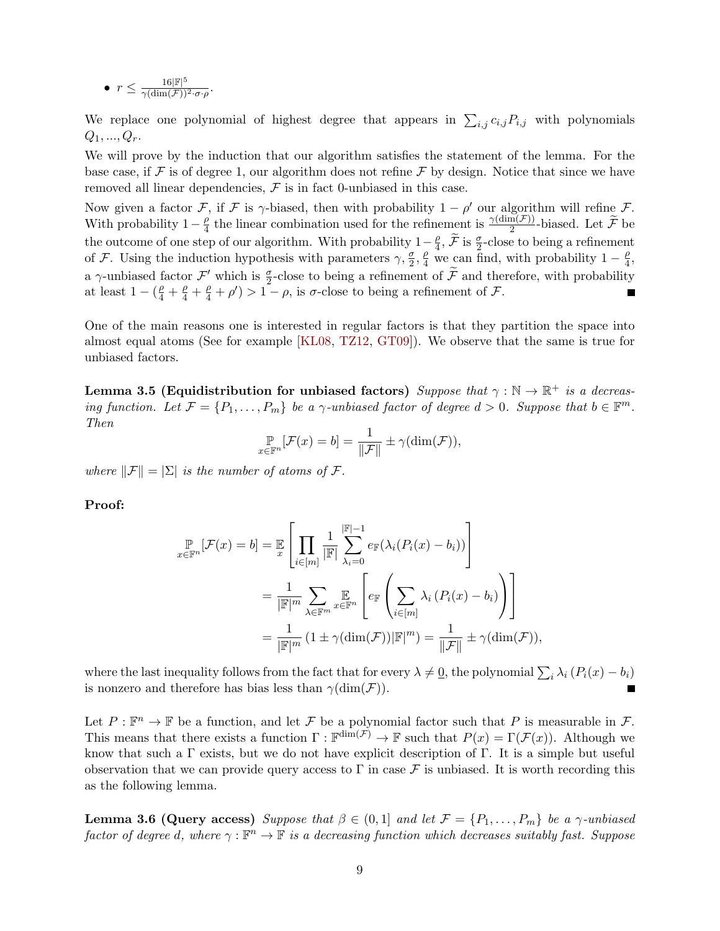<span id="page-9-2"></span>• 
$$
r \leq \frac{16|\mathbb{F}|^5}{\gamma(\dim(\mathcal{F}))^2 \cdot \sigma \cdot \rho}
$$
.

We replace one polynomial of highest degree that appears in  $\sum_{i,j} c_{i,j} P_{i,j}$  with polynomials  $Q_1, ..., Q_r.$ 

We will prove by the induction that our algorithm satisfies the statement of the lemma. For the base case, if  $\mathcal F$  is of degree 1, our algorithm does not refine  $\mathcal F$  by design. Notice that since we have removed all linear dependencies,  $\mathcal F$  is in fact 0-unbiased in this case.

Now given a factor F, if F is  $\gamma$ -biased, then with probability  $1 - \rho'$  our algorithm will refine F. With probability  $1-\frac{\rho}{4}$  $\frac{\rho}{4}$  the linear combination used for the refinement is  $\frac{\gamma(\dim(\mathcal{F}))}{2}$ -biased. Let  $\widetilde{\mathcal{F}}$  be the outcome of one step of our algorithm. With probability  $1-\frac{\rho}{4}$  $\frac{\rho}{4}$ ,  $\widetilde{\mathcal{F}}$  is  $\frac{\sigma}{2}$ -close to being a refinement of F. Using the induction hypothesis with parameters  $\gamma$ ,  $\frac{\sigma}{2}$ ,  $\frac{\rho}{4}$  we can find, with probability  $1-\frac{\rho}{4}$  $\frac{\rho}{4}$ , a  $\gamma$ -unbiased factor  $\mathcal{F}'$  which is  $\frac{\sigma}{2}$ -close to being a refinement of  $\tilde{\mathcal{F}}$  and therefore, with probability at least  $1 - (\frac{\rho}{4} + \frac{\rho}{4} + \frac{\rho}{4} + \rho') > 1 - \rho$ , is  $\sigma$ -close to being a refinement of  $\mathcal{F}$ .

One of the main reasons one is interested in regular factors is that they partition the space into almost equal atoms (See for example [\[KL08,](#page-32-2) [TZ12,](#page-32-10) [GT09\]](#page-32-1)). We observe that the same is true for unbiased factors.

<span id="page-9-0"></span>Lemma 3.5 (Equidistribution for unbiased factors) Suppose that  $\gamma : \mathbb{N} \to \mathbb{R}^+$  is a decreasing function. Let  $\mathcal{F} = \{P_1, \ldots, P_m\}$  be a  $\gamma$ -unbiased factor of degree  $d > 0$ . Suppose that  $b \in \mathbb{F}^m$ . Then

$$
\underset{x \in \mathbb{F}^n}{\mathbb{P}}[\mathcal{F}(x) = b] = \frac{1}{\|\mathcal{F}\|} \pm \gamma(\dim(\mathcal{F})),
$$

where  $\|\mathcal{F}\| = |\Sigma|$  is the number of atoms of  $\mathcal{F}$ .

 $\overline{x}$ 

### Proof:

$$
\mathbb{P}_{\in \mathbb{F}^n}[\mathcal{F}(x) = b] = \mathbb{E}_{x} \left[ \prod_{i \in [m]} \frac{1}{|\mathbb{F}|} \sum_{\lambda_i=0}^{|\mathbb{F}|-1} e_{\mathbb{F}}(\lambda_i(P_i(x) - b_i)) \right]
$$
  
\n
$$
= \frac{1}{|\mathbb{F}|^m} \sum_{\lambda \in \mathbb{F}^m} \mathbb{E}_{x \in \mathbb{F}^n} \left[ e_{\mathbb{F}} \left( \sum_{i \in [m]} \lambda_i (P_i(x) - b_i) \right) \right]
$$
  
\n
$$
= \frac{1}{|\mathbb{F}|^m} \left( 1 \pm \gamma (\dim(\mathcal{F})) |\mathbb{F}|^m \right) = \frac{1}{\|\mathcal{F}\|} \pm \gamma (\dim(\mathcal{F})),
$$

where the last inequality follows from the fact that for every  $\lambda \neq 0$ , the polynomial  $\sum_i \lambda_i (P_i(x) - b_i)$ is nonzero and therefore has bias less than  $\gamma(\dim(\mathcal{F}))$ .

Let  $P : \mathbb{F}^n \to \mathbb{F}$  be a function, and let  $\mathcal F$  be a polynomial factor such that P is measurable in  $\mathcal F$ . This means that there exists a function  $\Gamma : \mathbb{F}^{\dim(\mathcal{F})} \to \mathbb{F}$  such that  $P(x) = \Gamma(\mathcal{F}(x))$ . Although we know that such a Γ exists, but we do not have explicit description of Γ. It is a simple but useful observation that we can provide query access to  $\Gamma$  in case  $\mathcal F$  is unbiased. It is worth recording this as the following lemma.

<span id="page-9-1"></span>**Lemma 3.6 (Query access)** Suppose that  $\beta \in (0,1]$  and let  $\mathcal{F} = \{P_1, \ldots, P_m\}$  be a  $\gamma$ -unbiased factor of degree d, where  $\gamma : \mathbb{F}^n \to \mathbb{F}$  is a decreasing function which decreases suitably fast. Suppose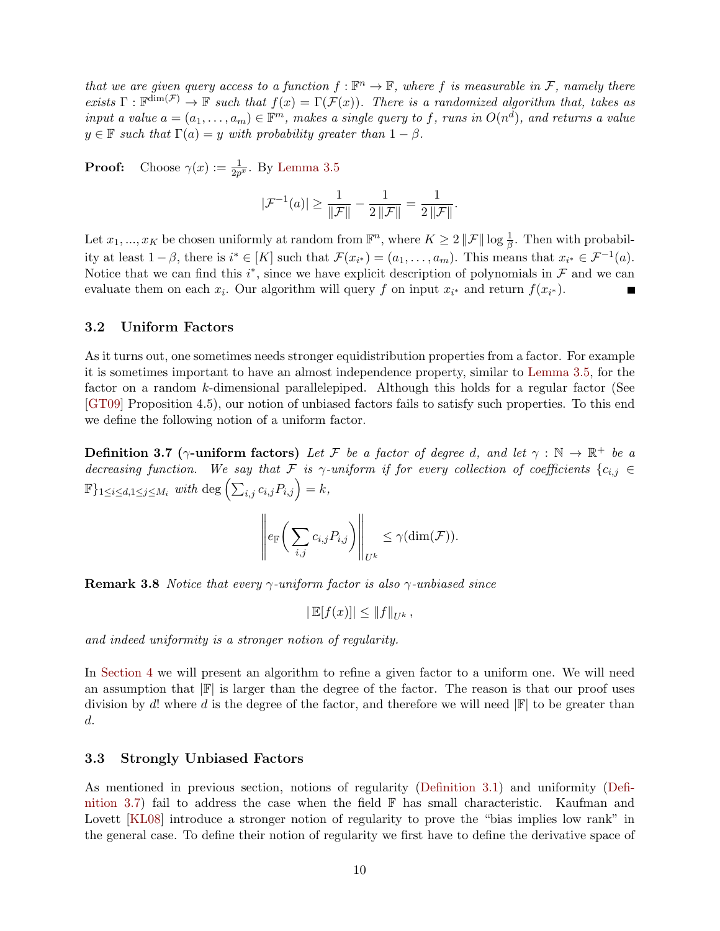<span id="page-10-1"></span>that we are given query access to a function  $f : \mathbb{F}^n \to \mathbb{F}$ , where f is measurable in F, namely there exists  $\Gamma : \mathbb{F}^{\dim(\mathcal{F})} \to \mathbb{F}$  such that  $f(x) = \Gamma(\mathcal{F}(x))$ . There is a randomized algorithm that, takes as input a value  $a = (a_1, \ldots, a_m) \in \mathbb{F}^m$ , makes a single query to f, runs in  $O(n^d)$ , and returns a value  $y \in \mathbb{F}$  such that  $\Gamma(a) = y$  with probability greater than  $1 - \beta$ .

**Proof:** Choose  $\gamma(x) := \frac{1}{2p^x}$ . By [Lemma 3.5](#page-9-0)

$$
|\mathcal{F}^{-1}(a)| \ge \frac{1}{\|\mathcal{F}\|} - \frac{1}{2\|\mathcal{F}\|} = \frac{1}{2\|\mathcal{F}\|}.
$$

Let  $x_1, ..., x_K$  be chosen uniformly at random from  $\mathbb{F}^n$ , where  $K \geq 2 \|\mathcal{F}\| \log \frac{1}{\beta}$ . Then with probability at least  $1 - \beta$ , there is  $i^* \in [K]$  such that  $\mathcal{F}(x_{i^*}) = (a_1, \ldots, a_m)$ . This means that  $x_{i^*} \in \mathcal{F}^{-1}(a)$ . Notice that we can find this  $i^*$ , since we have explicit description of polynomials in  $\mathcal F$  and we can evaluate them on each  $x_i$ . Our algorithm will query f on input  $x_{i^*}$  and return  $f(x_{i^*})$ .

#### 3.2 Uniform Factors

As it turns out, one sometimes needs stronger equidistribution properties from a factor. For example it is sometimes important to have an almost independence property, similar to [Lemma 3.5,](#page-9-0) for the factor on a random k-dimensional parallelepiped. Although this holds for a regular factor (See [\[GT09\]](#page-32-1) Proposition 4.5), our notion of unbiased factors fails to satisfy such properties. To this end we define the following notion of a uniform factor.

<span id="page-10-0"></span>**Definition 3.7** ( $\gamma$ -uniform factors) Let F be a factor of degree d, and let  $\gamma : \mathbb{N} \to \mathbb{R}^+$  be a decreasing function. We say that F is  $\gamma$ -uniform if for every collection of coefficients  $\{c_{i,j}\in$  $\mathbb{F}_{1 \leq i \leq d, 1 \leq j \leq M_i}$  with  $\deg \left( \sum_{i,j} c_{i,j} P_{i,j} \right) = k$ ,

$$
\left\| e_{\mathbb{F}} \bigg( \sum_{i,j} c_{i,j} P_{i,j} \bigg) \right\|_{U^k} \leq \gamma(\dim(\mathcal{F})).
$$

**Remark 3.8** Notice that every  $\gamma$ -uniform factor is also  $\gamma$ -unbiased since

 $|\mathbb{E}[f(x)]| \leq ||f||_{U^{k}},$ 

and indeed uniformity is a stronger notion of regularity.

In [Section 4](#page-12-0) we will present an algorithm to refine a given factor to a uniform one. We will need an assumption that  $\mathbb{F}$  is larger than the degree of the factor. The reason is that our proof uses division by d! where d is the degree of the factor, and therefore we will need  $\mathbb{F}$  to be greater than d.

#### 3.3 Strongly Unbiased Factors

As mentioned in previous section, notions of regularity [\(Definition 3.1\)](#page-7-2) and uniformity [\(Defi](#page-10-0)[nition 3.7\)](#page-10-0) fail to address the case when the field F has small characteristic. Kaufman and Lovett [\[KL08\]](#page-32-2) introduce a stronger notion of regularity to prove the "bias implies low rank" in the general case. To define their notion of regularity we first have to define the derivative space of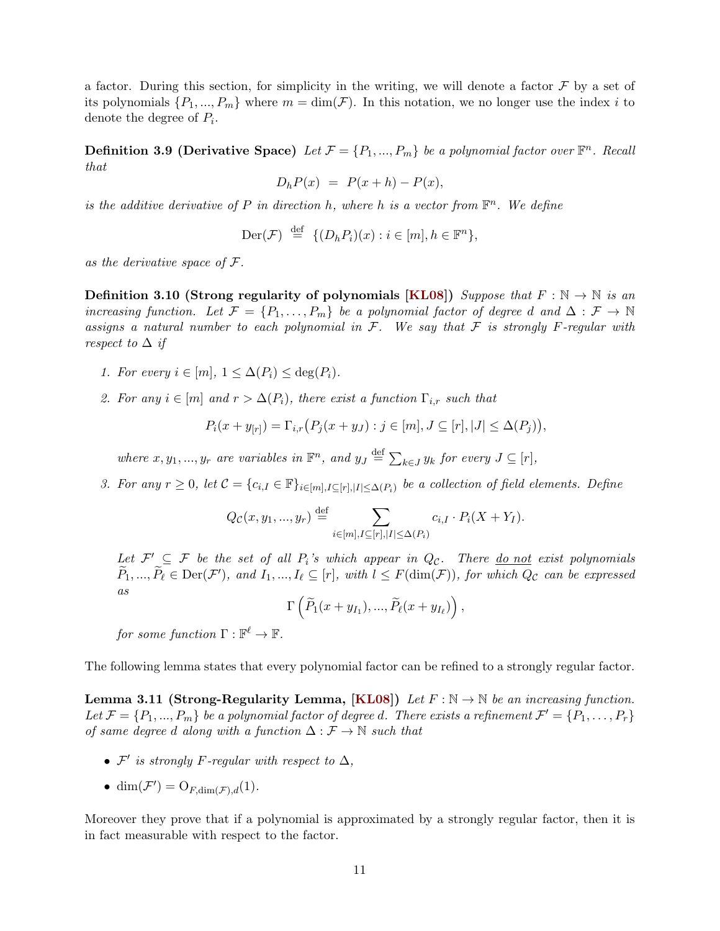<span id="page-11-2"></span>a factor. During this section, for simplicity in the writing, we will denote a factor  $\mathcal F$  by a set of its polynomials  $\{P_1, ..., P_m\}$  where  $m = \dim(\mathcal{F})$ . In this notation, we no longer use the index i to denote the degree of  $P_i$ .

**Definition 3.9 (Derivative Space)** Let  $\mathcal{F} = \{P_1, ..., P_m\}$  be a polynomial factor over  $\mathbb{F}^n$ . Recall that

$$
D_h P(x) = P(x+h) - P(x),
$$

is the additive derivative of P in direction h, where h is a vector from  $\mathbb{F}^n$ . We define

$$
\text{Der}(\mathcal{F}) \stackrel{\text{def}}{=} \{ (D_h P_i)(x) : i \in [m], h \in \mathbb{F}^n \},
$$

as the derivative space of F.

Definition 3.10 (Strong regularity of polynomials [\[KL08\]](#page-32-2)) Suppose that  $F : \mathbb{N} \to \mathbb{N}$  is an increasing function. Let  $\mathcal{F} = \{P_1, \ldots, P_m\}$  be a polynomial factor of degree d and  $\Delta : \mathcal{F} \to \mathbb{N}$ assigns a natural number to each polynomial in  $\mathcal{F}$ . We say that  $\mathcal F$  is strongly F-regular with respect to  $\Delta$  if

- 1. For every  $i \in [m], 1 \leq \Delta(P_i) \leq \deg(P_i)$ .
- 2. For any  $i \in [m]$  and  $r > \Delta(P_i)$ , there exist a function  $\Gamma_{i,r}$  such that

$$
P_i(x + y_{[r]}) = \Gamma_{i,r}(P_j(x + y_J) : j \in [m], J \subseteq [r], |J| \le \Delta(P_j)),
$$

where  $x, y_1, ..., y_r$  are variables in  $\mathbb{F}^n$ , and  $y_J \stackrel{\text{def}}{=} \sum_{k \in J} y_k$  for every  $J \subseteq [r]$ ,

3. For any  $r \geq 0$ , let  $\mathcal{C} = \{c_{i,I} \in \mathbb{F}\}_{i \in [m], I \subseteq [r], |I| \leq \Delta(P_i)}$  be a collection of field elements. Define

$$
Q_{\mathcal{C}}(x, y_1, ..., y_r) \stackrel{\text{def}}{=} \sum_{i \in [m], I \subseteq [r], |I| \leq \Delta(P_i)} c_{i,I} \cdot P_i(X + Y_I).
$$

Let  $\mathcal{F}' \subseteq \mathcal{F}$  be the set of all  $P_i$ 's which appear in  $Q_c$ . There <u>do not</u> exist polynomials  $\widetilde{P}_1, ..., \widetilde{P}_\ell \in \text{Der}(\mathcal{F}'), \text{ and } I_1, ..., I_\ell \subseteq [r], \text{ with } l \leq F(\text{dim}(\mathcal{F})), \text{ for which } Q_\mathcal{C} \text{ can be expressed}$ as

$$
\Gamma\left(\widetilde{P}_1(x+y_{I_1}),...,\widetilde{P}_\ell(x+y_{I_\ell})\right),\,
$$

for some function  $\Gamma : \mathbb{F}^\ell \to \mathbb{F}$ .

<span id="page-11-0"></span>The following lemma states that every polynomial factor can be refined to a strongly regular factor.

Lemma 3.11 (Strong-Regularity Lemma, [\[KL08\]](#page-32-2)) Let  $F : \mathbb{N} \to \mathbb{N}$  be an increasing function. Let  $\mathcal{F} = \{P_1, ..., P_m\}$  be a polynomial factor of degree d. There exists a refinement  $\mathcal{F}' = \{P_1, ..., P_r\}$ of same degree d along with a function  $\Delta : \mathcal{F} \to \mathbb{N}$  such that

- $\mathcal{F}'$  is strongly F-regular with respect to  $\Delta$ ,
- dim $(\mathcal{F}') = O_{F,\dim(\mathcal{F}),d}(1)$ .

<span id="page-11-1"></span>Moreover they prove that if a polynomial is approximated by a strongly regular factor, then it is in fact measurable with respect to the factor.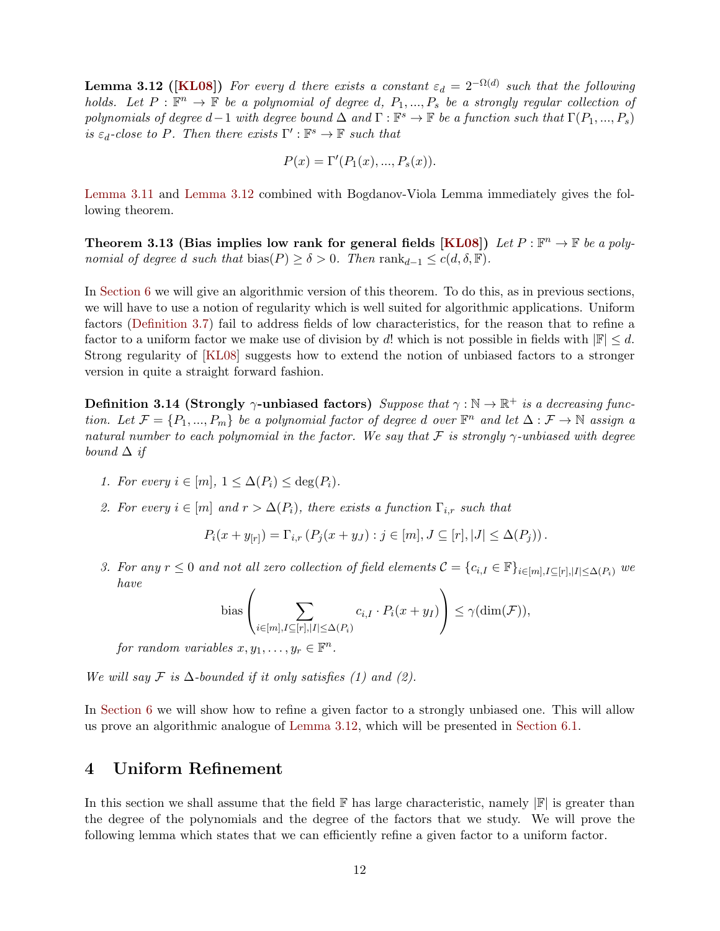<span id="page-12-4"></span>**Lemma 3.12 ([\[KL08\]](#page-32-2))** For every d there exists a constant  $\varepsilon_d = 2^{-\Omega(d)}$  such that the following holds. Let  $P : \mathbb{F}^n \to \mathbb{F}$  be a polynomial of degree d,  $P_1, ..., P_s$  be a strongly regular collection of polynomials of degree  $d-1$  with degree bound  $\Delta$  and  $\Gamma : \mathbb{F}^s \to \mathbb{F}$  be a function such that  $\Gamma(P_1, ..., P_s)$ is  $\varepsilon_d$ -close to P. Then there exists  $\Gamma': \mathbb{F}^s \to \mathbb{F}$  such that

$$
P(x) = \Gamma'(P_1(x), ..., P_s(x)).
$$

[Lemma 3.11](#page-11-0) and [Lemma 3.12](#page-11-1) combined with Bogdanov-Viola Lemma immediately gives the following theorem.

<span id="page-12-3"></span>Theorem 3.13 (Bias implies low rank for general fields [\[KL08\]](#page-32-2)) Let  $P : \mathbb{F}^n \to \mathbb{F}$  be a polynomial of degree d such that  $\text{bias}(P) \geq \delta > 0$ . Then  $\text{rank}_{d-1} \leq c(d, \delta, \mathbb{F})$ .

In [Section 6](#page-23-0) we will give an algorithmic version of this theorem. To do this, as in previous sections, we will have to use a notion of regularity which is well suited for algorithmic applications. Uniform factors [\(Definition 3.7\)](#page-10-0) fail to address fields of low characteristics, for the reason that to refine a factor to a uniform factor we make use of division by d! which is not possible in fields with  $\mathbb{F} \leq d$ . Strong regularity of [\[KL08\]](#page-32-2) suggests how to extend the notion of unbiased factors to a stronger version in quite a straight forward fashion.

<span id="page-12-2"></span>Definition 3.14 (Strongly  $\gamma$ -unbiased factors) Suppose that  $\gamma : \mathbb{N} \to \mathbb{R}^+$  is a decreasing function. Let  $\mathcal{F} = \{P_1, ..., P_m\}$  be a polynomial factor of degree d over  $\mathbb{F}^n$  and let  $\Delta : \mathcal{F} \to \mathbb{N}$  assign a natural number to each polynomial in the factor. We say that  $\mathcal F$  is strongly  $\gamma$ -unbiased with degree bound  $\Delta$  if

- 1. For every  $i \in [m], 1 \leq \Delta(P_i) \leq \deg(P_i)$ .
- 2. For every  $i \in [m]$  and  $r > \Delta(P_i)$ , there exists a function  $\Gamma_{i,r}$  such that

 $P_i(x + y_{[r]}) = \Gamma_{i,r} (P_j(x + y_j) : j \in [m], J \subseteq [r], |J| \leq \Delta(P_j)).$ 

3. For any  $r \leq 0$  and not all zero collection of field elements  $\mathcal{C} = \{c_{i,I} \in \mathbb{F}\}_{i \in [m], I \subseteq [r], |I| < \Delta(P_i)}$  we have

bias 
$$
\left(\sum_{i \in [m], I \subseteq [r], |I| \leq \Delta(P_i)} c_{i,I} \cdot P_i(x + y_I)\right) \leq \gamma(\dim(\mathcal{F})),
$$

for random variables  $x, y_1, \ldots, y_r \in \mathbb{F}^n$ .

We will say  $\mathcal F$  is  $\Delta$ -bounded if it only satisfies (1) and (2).

In [Section 6](#page-23-0) we will show how to refine a given factor to a strongly unbiased one. This will allow us prove an algorithmic analogue of [Lemma 3.12,](#page-11-1) which will be presented in [Section 6.1.](#page-26-0)

## <span id="page-12-0"></span>4 Uniform Refinement

<span id="page-12-1"></span>In this section we shall assume that the field  $\mathbb F$  has large characteristic, namely  $|\mathbb F|$  is greater than the degree of the polynomials and the degree of the factors that we study. We will prove the following lemma which states that we can efficiently refine a given factor to a uniform factor.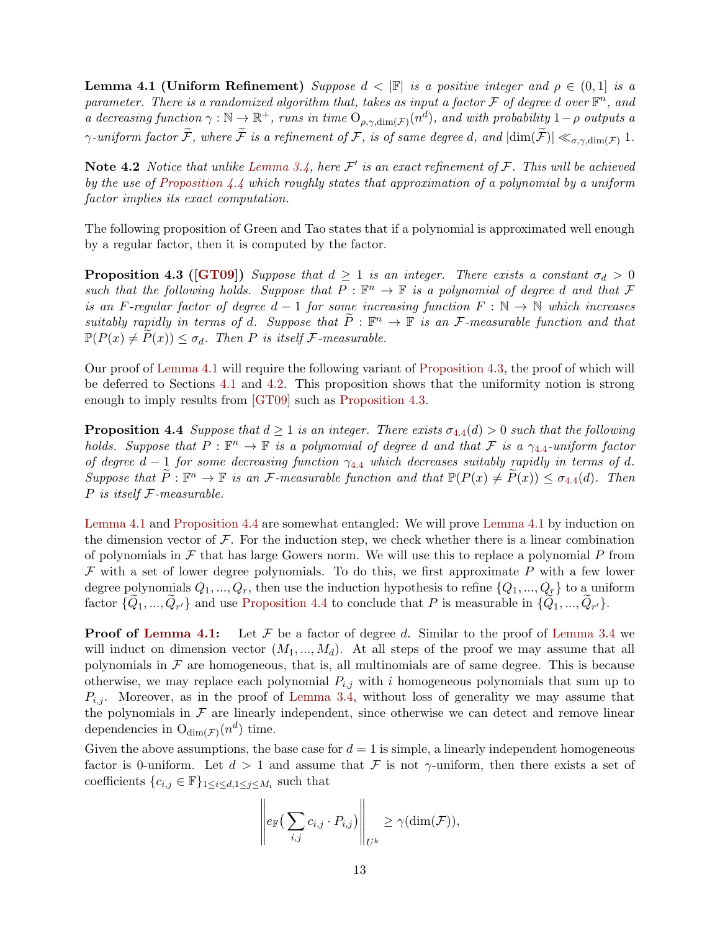<span id="page-13-2"></span>**Lemma 4.1 (Uniform Refinement)** Suppose  $d < |\mathbb{F}|$  is a positive integer and  $\rho \in (0,1]$  is a parameter. There is a randomized algorithm that, takes as input a factor F of degree d over  $\mathbb{F}^n$ , and a decreasing function  $\gamma : \mathbb{N} \to \mathbb{R}^+$ , runs in time  $O_{\rho,\gamma,\dim(\mathcal{F})}(n^d)$ , and with probability  $1-\rho$  outputs a  $\gamma$ -uniform factor  $\widetilde{\mathcal{F}}$ , where  $\widetilde{\mathcal{F}}$  is a refinement of  $\mathcal{F}$ , is of same degree d, and  $|\text{dim}(\widetilde{\mathcal{F}})| \ll_{\sigma,\gamma,\text{dim}(\mathcal{F})} 1$ .

**Note 4.2** Notice that unlike [Lemma 3.4,](#page-8-0) here  $\mathcal{F}'$  is an exact refinement of  $\mathcal{F}$ . This will be achieved by the use of [Proposition 4.4](#page-13-0) which roughly states that approximation of a polynomial by a uniform factor implies its exact computation.

The following proposition of Green and Tao states that if a polynomial is approximated well enough by a regular factor, then it is computed by the factor.

<span id="page-13-1"></span>**Proposition 4.3 ([\[GT09\]](#page-32-1))** Suppose that  $d \geq 1$  is an integer. There exists a constant  $\sigma_d > 0$ such that the following holds. Suppose that  $P : \mathbb{F}^n \to \mathbb{F}$  is a polynomial of degree d and that  $\mathcal F$ is an F-regular factor of degree  $d-1$  for some increasing function  $F : \mathbb{N} \to \mathbb{N}$  which increases suitably rapidly in terms of d. Suppose that  $\widetilde{P}: \mathbb{F}^n \to \mathbb{F}$  is an *F*-measurable function and that  $\mathbb{P}(P(x) \neq P(x)) \leq \sigma_d$ . Then P is itself F-measurable.

Our proof of [Lemma 4.1](#page-12-1) will require the following variant of [Proposition 4.3,](#page-13-1) the proof of which will be deferred to Sections [4.1](#page-14-0) and [4.2.](#page-17-0) This proposition shows that the uniformity notion is strong enough to imply results from [\[GT09\]](#page-32-1) such as [Proposition 4.3.](#page-13-1)

<span id="page-13-0"></span>**Proposition [4](#page-13-0).4** Suppose that  $d \geq 1$  is an integer. There exists  $\sigma_{4,4}(d) > 0$  such that the following holds. Suppose that  $P : \mathbb{F}^n \to \mathbb{F}$  is a polynomial of degree d and that F is a  $\gamma_{4.4}$  $\gamma_{4.4}$  $\gamma_{4.4}$ -uniform factor of degree  $d-1$  for some decreasing function  $\gamma_{4,4}$  $\gamma_{4,4}$  $\gamma_{4,4}$  which decreases suitably rapidly in terms of d. Suppose that  $\widetilde{P}: \mathbb{F}^n \to \mathbb{F}$  is an *F*-measurable function and that  $\mathbb{P}(P(x) \neq \widetilde{P}(x)) \leq \sigma_{4.4}(d)$  $\mathbb{P}(P(x) \neq \widetilde{P}(x)) \leq \sigma_{4.4}(d)$  $\mathbb{P}(P(x) \neq \widetilde{P}(x)) \leq \sigma_{4.4}(d)$ . Then P is itself F-measurable.

[Lemma 4.1](#page-12-1) and [Proposition 4.4](#page-13-0) are somewhat entangled: We will prove [Lemma 4.1](#page-12-1) by induction on the dimension vector of  $\mathcal F$ . For the induction step, we check whether there is a linear combination of polynomials in  $\mathcal F$  that has large Gowers norm. We will use this to replace a polynomial  $P$  from  $\mathcal F$  with a set of lower degree polynomials. To do this, we first approximate P with a few lower degree polynomials  $Q_1, ..., Q_r$ , then use the induction hypothesis to refine  $\{Q_1, ..., Q_r\}$  to a uniform factor  $\{Q_1, ..., Q_{r'}\}$  and use [Proposition 4.4](#page-13-0) to conclude that P is measurable in  $\{Q_1, ..., Q_{r'}\}$ .

**Proof of [Lemma 4.1:](#page-12-1)** Let  $\mathcal F$  be a factor of degree d. Similar to the proof of [Lemma 3.4](#page-8-0) we will induct on dimension vector  $(M_1, ..., M_d)$ . At all steps of the proof we may assume that all polynomials in  $\mathcal F$  are homogeneous, that is, all multinomials are of same degree. This is because otherwise, we may replace each polynomial  $P_{i,j}$  with i homogeneous polynomials that sum up to  $P_{i,j}$ . Moreover, as in the proof of [Lemma 3.4,](#page-8-0) without loss of generality we may assume that the polynomials in  $\mathcal F$  are linearly independent, since otherwise we can detect and remove linear dependencies in  $O_{\dim(\mathcal{F})}(n^d)$  time.

Given the above assumptions, the base case for  $d = 1$  is simple, a linearly independent homogeneous factor is 0-uniform. Let  $d > 1$  and assume that F is not  $\gamma$ -uniform, then there exists a set of coefficients  ${c_{i,j} \in \mathbb{F}}_{1 \leq i \leq d, 1 \leq j \leq M_i}$  such that

$$
\left\| e_{\mathbb{F}} \left( \sum_{i,j} c_{i,j} \cdot P_{i,j} \right) \right\|_{U^k} \geq \gamma(\dim(\mathcal{F})),
$$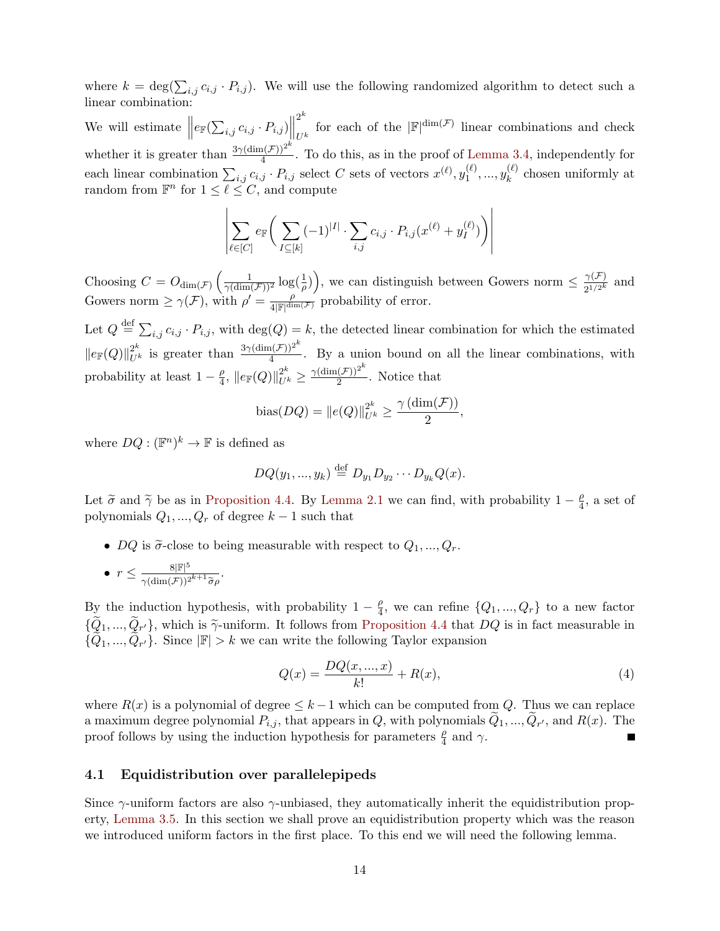where  $k = \deg(\sum_{i,j} c_{i,j} \cdot P_{i,j})$ . We will use the following randomized algorithm to detect such a linear combination:

We will estimate  $\parallel$  $e_{\mathbb{F}}(\sum_{i,j} c_{i,j} \cdot P_{i,j})\bigg\|$  $2^k$ for each of the  $|\mathbb{F}|^{\dim(\mathcal{F})}$  linear combinations and check whether it is greater than  $\frac{3\gamma(\dim(\mathcal{F}))^{2^k}}{4}$  $\frac{4(y)}{4}$ . To do this, as in the proof of [Lemma 3.4,](#page-8-0) independently for each linear combination  $\sum_{i,j} c_{i,j} \cdot P_{i,j}$  select C sets of vectors  $x^{(\ell)}, y_1^{(\ell)}$  $y_k^{(\ell)},...,y_k^{(\ell)}$  $k^{(\ell)}$  chosen uniformly at random from  $\mathbb{F}^n$  for  $1 \leq \ell \leq C$ , and compute

$$
\left|\sum_{\ell\in[C]}e_{\mathbb{F}}\bigg(\sum_{I\subseteq[k]}(-1)^{|I|}\cdot\sum_{i,j}c_{i,j}\cdot P_{i,j}(x^{(\ell)}+y^{(\ell)}_I)\bigg)\right|
$$

Choosing  $C = O_{\dim(\mathcal{F})}\left(\frac{1}{\gamma(\dim(\mathcal{F}))^2}\log(\frac{1}{\rho})\right)$ , we can distinguish between Gowers norm  $\leq \frac{\gamma(\mathcal{F})}{2^{1/2^k}}$  $\frac{\gamma(\mathcal{F})}{2^{1/2^k}}$  and Gowers norm  $\geq \gamma(\mathcal{F})$ , with  $\rho' = \frac{\rho}{4|\mathbb{F}|^{\dim(\mathcal{F})}}$  probability of error.

Let  $Q \stackrel{\text{def}}{=} \sum_{i,j} c_{i,j} \cdot P_{i,j}$ , with  $\deg(Q) = k$ , the detected linear combination for which the estimated  $||e_{\mathbb{F}}(Q)||_{U^k}^{2^k}$  is greater than  $\frac{3\gamma(\dim(\mathcal{F}))^{2^k}}{4}$  $\frac{1(Y)}{4}$ . By a union bound on all the linear combinations, with probability at least  $1 - \frac{\rho}{4}$  $\frac{\rho}{4},\,\|e_{\mathbb{F}}(Q)\|_{U^{k}}^{2^{k}}\geq\frac{\gamma(\dim(\mathcal{F}))^{2^{k}}}{2}$  $\frac{(\mathcal{F}))^2}{2}$ . Notice that

bias(DQ) = 
$$
||e(Q)||_{U^k}^{2^k} \ge \frac{\gamma(\dim(\mathcal{F}))}{2}
$$
,

where  $DQ : (\mathbb{F}^n)^k \to \mathbb{F}$  is defined as

$$
DQ(y_1, ..., y_k) \stackrel{\text{def}}{=} D_{y_1} D_{y_2} \cdots D_{y_k} Q(x).
$$

Let  $\tilde{\sigma}$  and  $\tilde{\gamma}$  be as in [Proposition 4.4.](#page-13-0) By [Lemma 2.1](#page-5-1) we can find, with probability  $1 - \frac{\rho}{4}$  $\frac{\rho}{4}$ , a set of polynomials  $Q_1, ..., Q_r$  of degree  $k-1$  such that

• DQ is  $\tilde{\sigma}$ -close to being measurable with respect to  $Q_1, ..., Q_r$ .

• 
$$
r \leq \frac{8|\mathbb{F}|^5}{\gamma(\dim(\mathcal{F}))^{2^{k+1}}\tilde{\sigma}\rho}
$$
.

By the induction hypothesis, with probability  $1 - \frac{\rho}{4}$  $\frac{\rho}{4}$ , we can refine  $\{Q_1, ..., Q_r\}$  to a new factor  $\{Q_1, ..., Q_{r'}\}$ , which is  $\tilde{\gamma}$ -uniform. It follows from [Proposition 4.4](#page-13-0) that DQ is in fact measurable in  $\tilde{\Omega}$  $\{\widetilde{Q}_1, ..., \widetilde{Q}_{r'}\}$ . Since  $|\mathbb{F}| > k$  we can write the following Taylor expansion

$$
Q(x) = \frac{DQ(x, ..., x)}{k!} + R(x),
$$
\n(4)

where  $R(x)$  is a polynomial of degree  $\leq k-1$  which can be computed from Q. Thus we can replace a maximum degree polynomial  $P_{i,j}$ , that appears in Q, with polynomials  $Q_1, ..., Q_{r'}$ , and  $R(x)$ . The proof follows by using the induction hypothesis for parameters  $\frac{\rho}{4}$  and  $\gamma$ .

### <span id="page-14-0"></span>4.1 Equidistribution over parallelepipeds

<span id="page-14-1"></span>Since  $\gamma$ -uniform factors are also  $\gamma$ -unbiased, they automatically inherit the equidistribution property, [Lemma 3.5.](#page-9-0) In this section we shall prove an equidistribution property which was the reason we introduced uniform factors in the first place. To this end we will need the following lemma.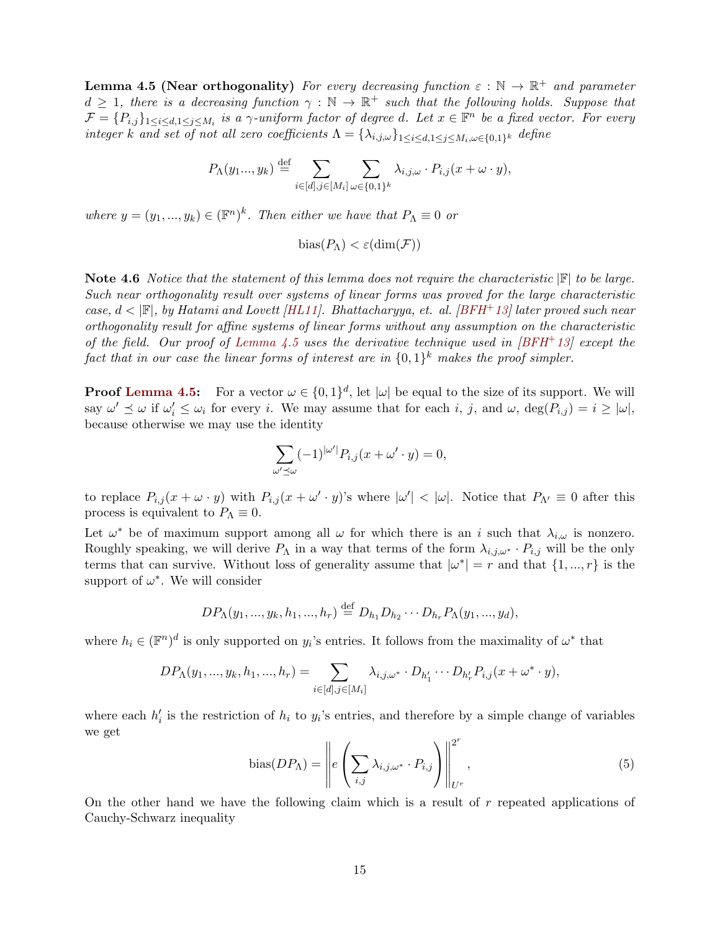<span id="page-15-2"></span>**Lemma 4.5 (Near orthogonality)** For every decreasing function  $\varepsilon : \mathbb{N} \to \mathbb{R}^+$  and parameter  $d \geq 1$ , there is a decreasing function  $\gamma : \mathbb{N} \to \mathbb{R}^+$  such that the following holds. Suppose that  $\mathcal{F} = \{P_{i,j}\}_{1 \leq i \leq d, 1 \leq j \leq M_i}$  is a  $\gamma$ -uniform factor of degree d. Let  $x \in \mathbb{F}^n$  be a fixed vector. For every integer k and set of not all zero coefficients  $\Lambda = {\lambda_{i,j,\omega}}_{1 \leq i \leq d, 1 \leq j \leq M_i, \omega \in \{0,1\}^k}$  define

$$
P_{\Lambda}(y_1..., y_k) \stackrel{\text{def}}{=} \sum_{i \in [d], j \in [M_i]} \sum_{\omega \in \{0,1\}^k} \lambda_{i,j,\omega} \cdot P_{i,j}(x + \omega \cdot y),
$$

where  $y = (y_1, ..., y_k) \in (\mathbb{F}^n)^k$ . Then either we have that  $P_\Lambda \equiv 0$  or

$$
bias(P_{\Lambda}) < \varepsilon(\dim(\mathcal{F}))
$$

Note 4.6 Notice that the statement of this lemma does not require the characteristic  $\mathbb{F}$  to be large. Such near orthogonality result over systems of linear forms was proved for the large characteristic case,  $d < |\mathbb{F}|$ , by Hatami and Lovett *[\[HL11\]](#page-32-11)*. Bhattacharyya, et. al. *[\[BFH](#page-31-7)*+13*]* later proved such near orthogonality result for affine systems of linear forms without any assumption on the characteristic of the field. Our proof of [Lemma 4.5](#page-14-1) uses the derivative technique used in  $|BFH^+13|$  except the fact that in our case the linear forms of interest are in  $\{0,1\}^k$  makes the proof simpler.

**Proof [Lemma 4.5:](#page-14-1)** For a vector  $\omega \in \{0,1\}^d$ , let  $|\omega|$  be equal to the size of its support. We will say  $\omega' \preceq \omega$  if  $\omega'_i \leq \omega_i$  for every i. We may assume that for each i, j, and  $\omega$ ,  $\deg(P_{i,j}) = i \geq |\omega|$ , because otherwise we may use the identity

$$
\sum_{\omega' \preceq \omega} (-1)^{|\omega'|} P_{i,j}(x + \omega' \cdot y) = 0,
$$

to replace  $P_{i,j}(x+\omega \cdot y)$  with  $P_{i,j}(x+\omega' \cdot y)$ 's where  $|\omega'| < |\omega|$ . Notice that  $P_{\Lambda'} \equiv 0$  after this process is equivalent to  $P_{\Lambda} \equiv 0$ .

Let  $\omega^*$  be of maximum support among all  $\omega$  for which there is an i such that  $\lambda_{i,\omega}$  is nonzero. Roughly speaking, we will derive  $P_{\Lambda}$  in a way that terms of the form  $\lambda_{i,j,\omega^*} \cdot P_{i,j}$  will be the only terms that can survive. Without loss of generality assume that  $|\omega^*| = r$  and that  $\{1, ..., r\}$  is the support of  $\omega^*$ . We will consider

$$
DP_{\Lambda}(y_1, ..., y_k, h_1, ..., h_r) \stackrel{\text{def}}{=} D_{h_1}D_{h_2} \cdots D_{h_r}P_{\Lambda}(y_1, ..., y_d),
$$

where  $h_i \in (\mathbb{F}^n)^d$  is only supported on  $y_i$ 's entries. It follows from the maximality of  $\omega^*$  that

$$
DP_{\Lambda}(y_1, ..., y_k, h_1, ..., h_r) = \sum_{i \in [d], j \in [M_i]} \lambda_{i,j,\omega^*} \cdot D_{h'_1} \cdots D_{h'_r} P_{i,j}(x + \omega^* \cdot y),
$$

where each  $h'_i$  is the restriction of  $h_i$  to  $y_i$ 's entries, and therefore by a simple change of variables we get

<span id="page-15-1"></span><span id="page-15-0"></span>bias
$$
(DP_\Lambda)
$$
 =  $\left\| e \left( \sum_{i,j} \lambda_{i,j,\omega^*} \cdot P_{i,j} \right) \right\|_{U^r}^{2^r},$  (5)

On the other hand we have the following claim which is a result of r repeated applications of Cauchy-Schwarz inequality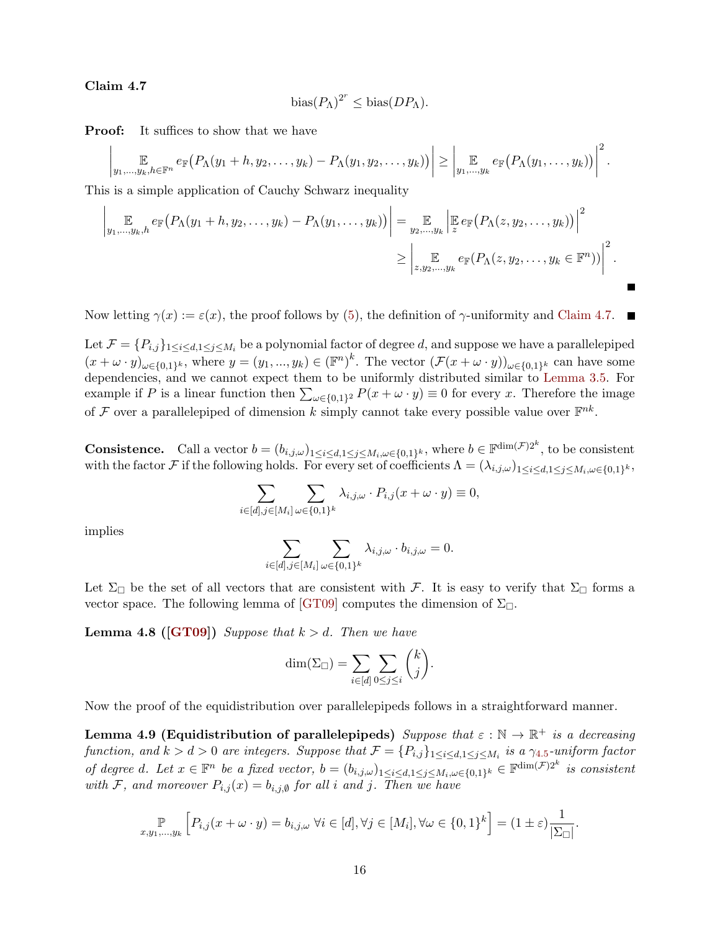<span id="page-16-1"></span>Claim 4.7

$$
bias(P_{\Lambda})^{2^r} \leq bias(DP_{\Lambda}).
$$

**Proof:** It suffices to show that we have

$$
\left|\mathop{\mathbb{E}}_{y_1,\ldots,y_k,h\in\mathbb{F}^n} e_{\mathbb{F}}(P_{\Lambda}(y_1+h,y_2,\ldots,y_k)-P_{\Lambda}(y_1,y_2,\ldots,y_k))\right|\geq \left|\mathop{\mathbb{E}}_{y_1,\ldots,y_k} e_{\mathbb{F}}(P_{\Lambda}(y_1,\ldots,y_k))\right|^2.
$$

This is a simple application of Cauchy Schwarz inequality

$$
\left| \mathop{\mathbb{E}}_{y_1,\ldots,y_k,h} e_{\mathbb{F}}(P_{\Lambda}(y_1+h,y_2,\ldots,y_k)-P_{\Lambda}(y_1,\ldots,y_k)) \right| = \mathop{\mathbb{E}}_{y_2,\ldots,y_k} \left| \mathop{\mathbb{E}}_{z} e_{\mathbb{F}}(P_{\Lambda}(z,y_2,\ldots,y_k)) \right|^2
$$
  

$$
\geq \left| \mathop{\mathbb{E}}_{z,y_2,\ldots,y_k} e_{\mathbb{F}}(P_{\Lambda}(z,y_2,\ldots,y_k \in \mathbb{F}^n)) \right|^2.
$$

Now letting  $\gamma(x) := \varepsilon(x)$ , the proof follows by [\(5\)](#page-15-0), the definition of  $\gamma$ -uniformity and [Claim 4.7.](#page-15-1)

Let  $\mathcal{F} = \{P_{i,j}\}_{1 \leq i \leq d, 1 \leq j \leq M_i}$  be a polynomial factor of degree d, and suppose we have a parallelepiped  $(x + \omega \cdot y)_{\omega \in \{0,1\}^k}$ , where  $y = (y_1, ..., y_k) \in (\mathbb{F}^n)^k$ . The vector  $(\mathcal{F}(x + \omega \cdot y))_{\omega \in \{0,1\}^k}$  can have some dependencies, and we cannot expect them to be uniformly distributed similar to [Lemma 3.5.](#page-9-0) For example if P is a linear function then  $\sum_{\omega \in \{0,1\}^2} P(x + \omega \cdot y) \equiv 0$  for every x. Therefore the image of F over a parallelepiped of dimension k simply cannot take every possible value over  $\mathbb{F}^{nk}$ .

**Consistence.** Call a vector  $b = (b_{i,j,\omega})_{1 \leq i \leq d, 1 \leq j \leq M_i, \omega \in \{0,1\}^k}$ , where  $b \in \mathbb{F}^{\dim(\mathcal{F})2^k}$ , to be consistent with the factor F if the following holds. For every set of coefficients  $\Lambda = (\lambda_{i,j,\omega})_{1 \leq i \leq d, 1 \leq j \leq M_i, \omega \in \{0,1\}^k}$ ,

$$
\sum_{i \in [d], j \in [M_i]} \sum_{\omega \in \{0,1\}^k} \lambda_{i,j,\omega} \cdot P_{i,j}(x + \omega \cdot y) \equiv 0,
$$

implies

$$
\sum_{i\in [d],j\in [M_i]}\sum_{\omega\in \{0,1\}^k}\lambda_{i,j,\omega}\cdot b_{i,j,\omega}=0.
$$

Let  $\Sigma_{\Box}$  be the set of all vectors that are consistent with F. It is easy to verify that  $\Sigma_{\Box}$  forms a vector space. The following lemma of [\[GT09\]](#page-32-1) computes the dimension of  $\Sigma_{\Box}$ .

**Lemma 4.8 ([\[GT09\]](#page-32-1))** Suppose that  $k > d$ . Then we have

$$
\dim(\Sigma_{\square}) = \sum_{i \in [d]} \sum_{0 \le j \le i} {k \choose j}.
$$

<span id="page-16-0"></span>Now the proof of the equidistribution over parallelepipeds follows in a straightforward manner.

Lemma 4.9 (Equidistribution of parallelepipeds) Suppose that  $\varepsilon : \mathbb{N} \to \mathbb{R}^+$  is a decreasing function, and  $k > d > 0$  are integers. Suppose that  $\mathcal{F} = \{P_{i,j}\}_{1 \leq i \leq d, 1 \leq j \leq M_i}$  is a  $\gamma_{4.5}$  $\gamma_{4.5}$  $\gamma_{4.5}$ -uniform factor of degree d. Let  $x \in \mathbb{F}^n$  be a fixed vector,  $b = (b_{i,j,\omega})_{1 \leq i \leq d, 1 \leq j \leq M_i, \omega \in \{0,1\}^k} \in \mathbb{F}^{\dim(\mathcal{F})2^k}$  is consistent with F, and moreover  $P_{i,j}(x) = b_{i,j,0}$  for all i and j. Then we have

$$
\mathbb{P}_{x,y_1,\ldots,y_k}\left[P_{i,j}(x+\omega\cdot y)=b_{i,j,\omega}\,\forall i\in[d],\forall j\in[M_i],\forall\omega\in\{0,1\}^k\right]=(1\pm\varepsilon)\frac{1}{|\Sigma_\square|}.
$$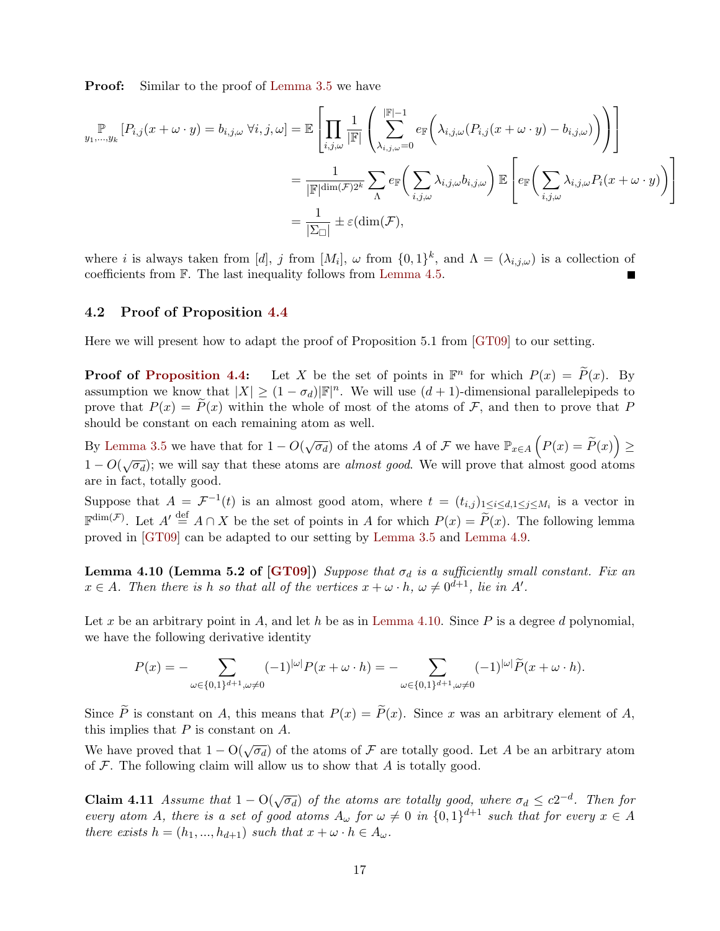<span id="page-17-3"></span>**Proof:** Similar to the proof of [Lemma 3.5](#page-9-0) we have

$$
\begin{split} \mathbb{P}_{y_1,\ldots,y_k} \left[ P_{i,j}(x+\omega \cdot y) = b_{i,j,\omega} \; \forall i,j,\omega \right] & = \mathbb{E} \left[ \prod_{i,j,\omega} \frac{1}{|\mathbb{F}|} \left( \sum_{\lambda_{i,j,\omega}=0}^{|\mathbb{F}|-1} e_{\mathbb{F}} \left( \lambda_{i,j,\omega} (P_{i,j}(x+\omega \cdot y) - b_{i,j,\omega}) \right) \right) \right] \\ & = \frac{1}{|\mathbb{F}|^{\dim(\mathcal{F})2^k}} \sum_{\Lambda} e_{\mathbb{F}} \left( \sum_{i,j,\omega} \lambda_{i,j,\omega} b_{i,j,\omega} \right) \mathbb{E} \left[ e_{\mathbb{F}} \left( \sum_{i,j,\omega} \lambda_{i,j,\omega} P_i(x+\omega \cdot y) \right) \right] \\ & = \frac{1}{|\Sigma_{\square}|} \pm \varepsilon (\dim(\mathcal{F}), \end{split}
$$

where *i* is always taken from [d], j from  $[M_i]$ ,  $\omega$  from  $\{0,1\}^k$ , and  $\Lambda = (\lambda_{i,j,\omega})$  is a collection of coefficients from F. The last inequality follows from [Lemma 4.5.](#page-14-1)

#### <span id="page-17-0"></span>4.2 Proof of Proposition [4.4](#page-13-0)

Here we will present how to adapt the proof of Proposition 5.1 from [\[GT09\]](#page-32-1) to our setting.

**Proof of [Proposition 4.4:](#page-13-0)** Let X be the set of points in  $\mathbb{F}^n$  for which  $P(x) = \widetilde{P}(x)$ . By assumption we know that  $|X| \geq (1 - \sigma_d)|\mathbb{F}|^n$ . We will use  $(d + 1)$ -dimensional parallelepipeds to prove that  $P(x) = P(x)$  within the whole of most of the atoms of F, and then to prove that P should be constant on each remaining atom as well.

By [Lemma 3.5](#page-9-0) we have that for  $1 - O(\sqrt{\sigma_d})$  of the atoms A of F we have  $\mathbb{P}_{x \in A} (P(x) = \tilde{P}(x)) \ge$  $1 - O(\sqrt{\sigma_d})$ ; we will say that these atoms are *almost good*. We will prove that almost good atoms are in fact, totally good.

Suppose that  $A = \mathcal{F}^{-1}(t)$  is an almost good atom, where  $t = (t_{i,j})_{1 \leq i \leq d, 1 \leq j \leq M_i}$  is a vector in  $\mathbb{F}^{\dim(\mathcal{F})}$ . Let  $A' \stackrel{\text{def}}{=} A \cap X$  be the set of points in A for which  $P(x) = \widetilde{P}(x)$ . The following lemma proved in [\[GT09\]](#page-32-1) can be adapted to our setting by [Lemma 3.5](#page-9-0) and [Lemma 4.9.](#page-16-0)

<span id="page-17-1"></span>Lemma 4.10 (Lemma 5.2 of [\[GT09\]](#page-32-1)) Suppose that  $\sigma_d$  is a sufficiently small constant. Fix an  $x \in A$ . Then there is h so that all of the vertices  $x + \omega \cdot h$ ,  $\omega \neq 0^{d+1}$ , lie in A'.

Let x be an arbitrary point in A, and let h be as in [Lemma 4.10.](#page-17-1) Since P is a degree d polynomial, we have the following derivative identity

$$
P(x) = -\sum_{\omega \in \{0,1\}^{d+1}, \omega \neq 0} (-1)^{|\omega|} P(x + \omega \cdot h) = -\sum_{\omega \in \{0,1\}^{d+1}, \omega \neq 0} (-1)^{|\omega|} \widetilde{P}(x + \omega \cdot h).
$$

Since  $\widetilde{P}$  is constant on A, this means that  $P(x) = \widetilde{P}(x)$ . Since x was an arbitrary element of A, this implies that  $P$  is constant on  $A$ .

We have proved that  $1 - O(\sqrt{\sigma_d})$  of the atoms of F are totally good. Let A be an arbitrary atom of  $\mathcal F$ . The following claim will allow us to show that A is totally good.

<span id="page-17-2"></span>**Claim 4.11** Assume that  $1 - O(\sqrt{\sigma_d})$  of the atoms are totally good, where  $\sigma_d \leq c2^{-d}$ . Then for every atom A, there is a set of good atoms  $A_{\omega}$  for  $\omega \neq 0$  in  $\{0,1\}^{d+1}$  such that for every  $x \in A$ there exists  $h = (h_1, ..., h_{d+1})$  such that  $x + \omega \cdot h \in A_\omega$ .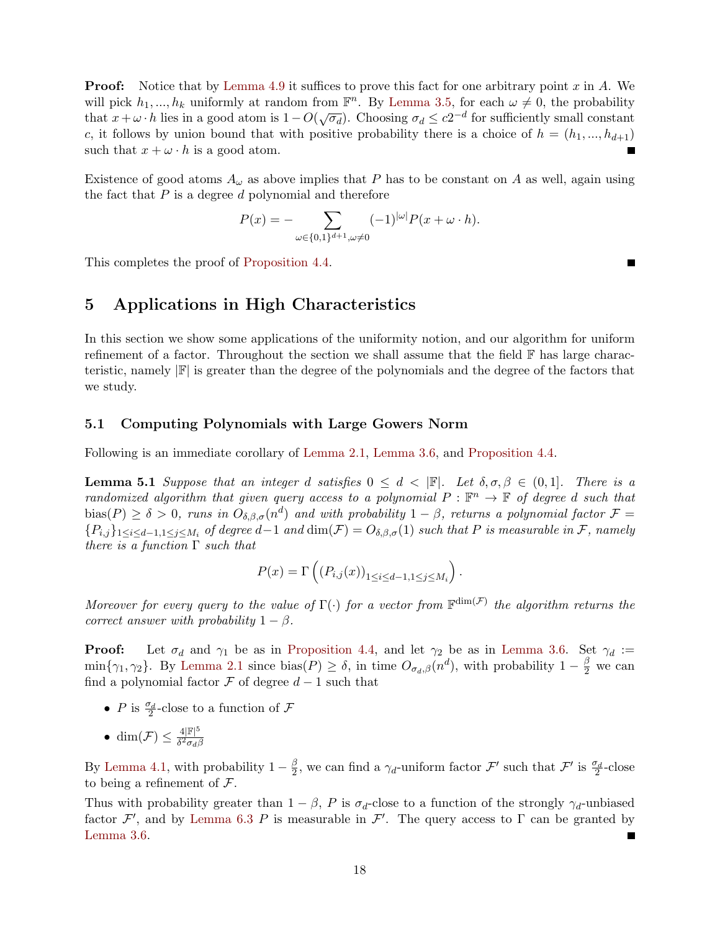**Proof:** Notice that by [Lemma 4.9](#page-16-0) it suffices to prove this fact for one arbitrary point x in A. We will pick  $h_1, ..., h_k$  uniformly at random from  $\mathbb{F}^n$ . By [Lemma 3.5,](#page-9-0) for each  $\omega \neq 0$ , the probability that  $x + \omega \cdot h$  lies in a good atom is  $1 - O(\sqrt{\sigma_d})$ . Choosing  $\sigma_d \leq c2^{-d}$  for sufficiently small constant c, it follows by union bound that with positive probability there is a choice of  $h = (h_1, ..., h_{d+1})$ such that  $x + \omega \cdot h$  is a good atom. Е

Existence of good atoms  $A_{\omega}$  as above implies that P has to be constant on A as well, again using the fact that  $P$  is a degree  $d$  polynomial and therefore

$$
P(x) = - \sum_{\omega \in \{0,1\}^{d+1}, \omega \neq 0} (-1)^{|\omega|} P(x + \omega \cdot h).
$$

This completes the proof of [Proposition 4.4.](#page-13-0)

## 5 Applications in High Characteristics

In this section we show some applications of the uniformity notion, and our algorithm for uniform refinement of a factor. Throughout the section we shall assume that the field  $\mathbb F$  has large characteristic, namely  $\mathbb{F}$  is greater than the degree of the polynomials and the degree of the factors that we study.

### 5.1 Computing Polynomials with Large Gowers Norm

<span id="page-18-0"></span>Following is an immediate corollary of [Lemma 2.1,](#page-5-1) [Lemma 3.6,](#page-9-1) and [Proposition 4.4.](#page-13-0)

**Lemma 5.1** Suppose that an integer d satisfies  $0 \leq d \leq |\mathbb{F}|$ . Let  $\delta, \sigma, \beta \in (0, 1]$ . There is a randomized algorithm that given query access to a polynomial  $P : \mathbb{F}^n \to \mathbb{F}$  of degree d such that  $\text{bias}(P) \geq \delta > 0$ , runs in  $O_{\delta,\beta,\sigma}(n^d)$  and with probability  $1-\beta$ , returns a polynomial factor  $\mathcal{F} =$  ${P_{i,j}}_{1\leq i\leq d-1,1\leq j\leq M_i}$  of degree  $d-1$  and  $\dim(\mathcal{F})=O_{\delta,\beta,\sigma}(1)$  such that P is measurable in  $\mathcal{F}$ , namely there is a function  $\Gamma$  such that

$$
P(x) = \Gamma\left(\left(P_{i,j}(x)\right)_{1\leq i\leq d-1, 1\leq j\leq M_i}\right).
$$

Moreover for every query to the value of  $\Gamma(\cdot)$  for a vector from  $\mathbb{F}^{\dim(\mathcal{F})}$  the algorithm returns the correct answer with probability  $1 - \beta$ .

**Proof:** Let  $\sigma_d$  and  $\gamma_1$  be as in [Proposition 4.4,](#page-13-0) and let  $\gamma_2$  be as in [Lemma 3.6.](#page-9-1) Set  $\gamma_d :=$  $\min\{\gamma_1, \gamma_2\}$ . By [Lemma 2.1](#page-5-1) since  $\text{bias}(P) \ge \delta$ , in time  $O_{\sigma_d,\beta}(n^d)$ , with probability  $1-\frac{\beta}{2}$  we can find a polynomial factor  $\mathcal F$  of degree  $d-1$  such that

- P is  $\frac{\sigma_d}{2}$ -close to a function of  $\mathcal F$
- dim $(\mathcal{F}) \leq \frac{4|\mathbb{F}|^5}{\delta^2 \sigma_1/\delta}$  $\overline{\delta^2\sigma_d\beta}$

By [Lemma 4.1,](#page-12-1) with probability  $1-\frac{\beta}{2}$  $\frac{\beta}{2}$ , we can find a  $\gamma_d$ -uniform factor  $\mathcal{F}'$  such that  $\mathcal{F}'$  is  $\frac{\sigma_d}{2}$ -close to being a refinement of F.

Thus with probability greater than  $1 - \beta$ , P is  $\sigma_d$ -close to a function of the strongly  $\gamma_d$ -unbiased factor  $\mathcal{F}'$ , and by [Lemma 6.3](#page-26-1) P is measurable in  $\mathcal{F}'$ . The query access to  $\Gamma$  can be granted by [Lemma 3.6.](#page-9-1) П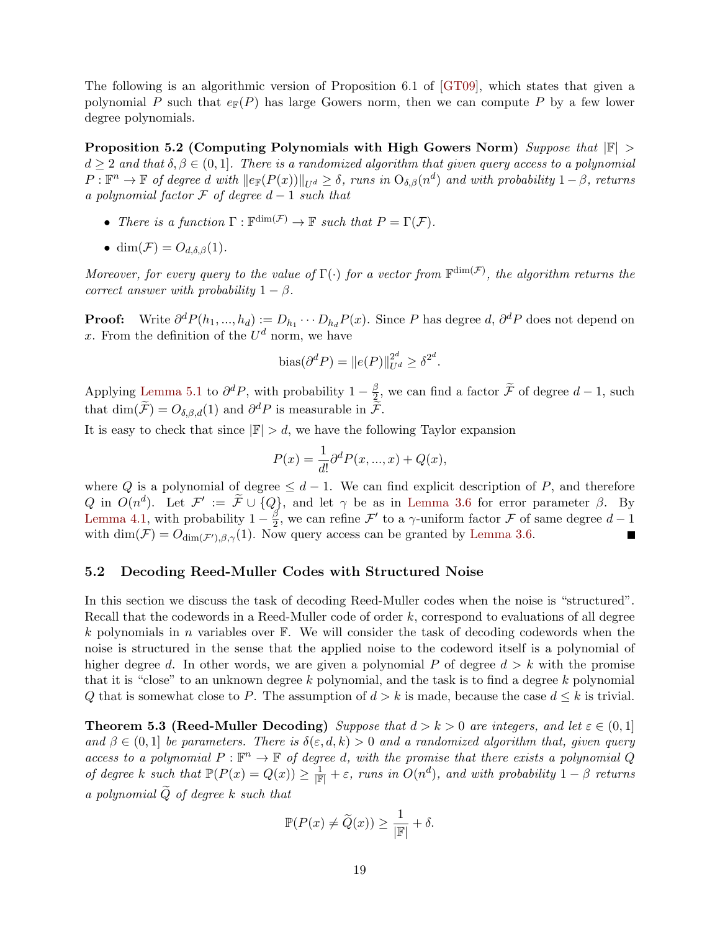<span id="page-19-2"></span>The following is an algorithmic version of Proposition 6.1 of [\[GT09\]](#page-32-1), which states that given a polynomial P such that  $e_{\mathbb{F}}(P)$  has large Gowers norm, then we can compute P by a few lower degree polynomials.

<span id="page-19-1"></span>Proposition 5.2 (Computing Polynomials with High Gowers Norm) Suppose that  $|\mathbb{F}| >$  $d \geq 2$  and that  $\delta, \beta \in (0,1]$ . There is a randomized algorithm that given query access to a polynomial  $P: \mathbb{F}^n \to \mathbb{F}$  of degree d with  $||e_{\mathbb{F}}(P(x))||_{U^d} \geq \delta$ , runs in  $O_{\delta,\beta}(n^d)$  and with probability  $1-\beta$ , returns a polynomial factor  $\mathcal F$  of degree  $d-1$  such that

- There is a function  $\Gamma : \mathbb{F}^{\dim(\mathcal{F})} \to \mathbb{F}$  such that  $P = \Gamma(\mathcal{F})$ .
- dim $(\mathcal{F}) = O_{d \delta \beta}(1)$ .

Moreover, for every query to the value of  $\Gamma(\cdot)$  for a vector from  $\mathbb{F}^{\dim(\mathcal{F})}$ , the algorithm returns the correct answer with probability  $1 - \beta$ .

**Proof:** Write  $\partial^d P(h_1, ..., h_d) := D_{h_1} \cdots D_{h_d} P(x)$ . Since P has degree d,  $\partial^d P$  does not depend on x. From the definition of the  $U^d$  norm, we have

bias
$$
(\partial^d P) = ||e(P)||_{U^d}^{2^d} \ge \delta^{2^d}.
$$

Applying [Lemma 5.1](#page-18-0) to  $\partial^d P$ , with probability  $1-\frac{\beta}{2}$  $\frac{\beta}{2}$ , we can find a factor *F* of degree  $d-1$ , such that  $\dim(\widetilde{\mathcal{F}}) = O_{\delta,\beta,d}(1)$  and  $\partial^d P$  is measurable in  $\widetilde{\mathcal{F}}$ .

It is easy to check that since  $|\mathbb{F}| > d$ , we have the following Taylor expansion

$$
P(x) = \frac{1}{d!} \partial^d P(x, ..., x) + Q(x),
$$

where Q is a polynomial of degree  $\leq d-1$ . We can find explicit description of P, and therefore Q in  $O(n^d)$ . Let  $\mathcal{F}' := \widetilde{\mathcal{F}} \cup \{Q\}$ , and let  $\gamma$  be as in [Lemma 3.6](#page-9-1) for error parameter  $\beta$ . By [Lemma 4.1,](#page-12-1) with probability  $1-\frac{\beta}{2}$  $\frac{\beta}{2}$ , we can refine  $\mathcal{F}'$  to a  $\gamma$ -uniform factor  $\mathcal F$  of same degree  $d-1$ with dim $(\mathcal{F}) = O_{\dim(\mathcal{F}'),\beta,\gamma}(1)$ . Now query access can be granted by [Lemma 3.6.](#page-9-1) П

### 5.2 Decoding Reed-Muller Codes with Structured Noise

In this section we discuss the task of decoding Reed-Muller codes when the noise is "structured". Recall that the codewords in a Reed-Muller code of order k, correspond to evaluations of all degree k polynomials in n variables over  $\mathbb{F}$ . We will consider the task of decoding codewords when the noise is structured in the sense that the applied noise to the codeword itself is a polynomial of higher degree d. In other words, we are given a polynomial P of degree  $d > k$  with the promise that it is "close" to an unknown degree  $k$  polynomial, and the task is to find a degree  $k$  polynomial Q that is somewhat close to P. The assumption of  $d > k$  is made, because the case  $d \leq k$  is trivial.

<span id="page-19-0"></span>**Theorem 5.3 (Reed-Muller Decoding)** Suppose that  $d > k > 0$  are integers, and let  $\varepsilon \in (0,1]$ and  $\beta \in (0,1]$  be parameters. There is  $\delta(\varepsilon, d, k) > 0$  and a randomized algorithm that, given query access to a polynomial  $P : \mathbb{F}^n \to \mathbb{F}$  of degree d, with the promise that there exists a polynomial Q of degree k such that  $\mathbb{P}(P(x) = Q(x)) \geq \frac{1}{|\mathbb{F}|} + \varepsilon$ , runs in  $O(n^d)$ , and with probability  $1 - \beta$  returns a polynomial  $\widetilde{Q}$  of degree k such that

$$
\mathbb{P}(P(x) \neq \widetilde{Q}(x)) \geq \frac{1}{|\mathbb{F}|} + \delta.
$$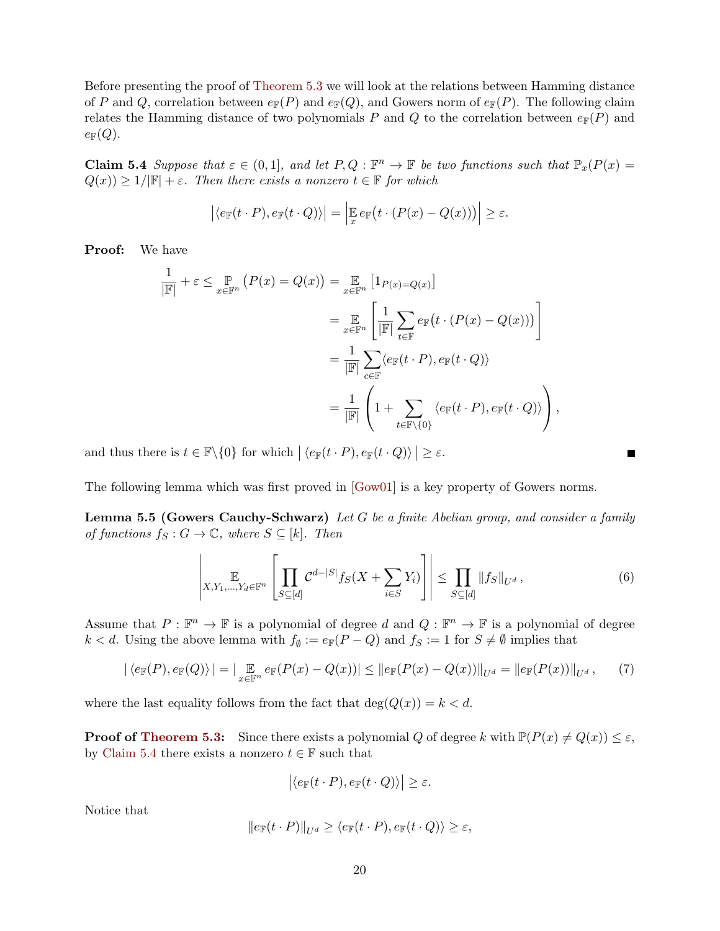<span id="page-20-2"></span>Before presenting the proof of [Theorem 5.3](#page-19-0) we will look at the relations between Hamming distance of P and Q, correlation between  $e_{\mathbb{F}}(P)$  and  $e_{\mathbb{F}}(Q)$ , and Gowers norm of  $e_{\mathbb{F}}(P)$ . The following claim relates the Hamming distance of two polynomials P and Q to the correlation between  $e_{\mathbb{F}}(P)$  and  $e_{\mathbb{F}}(Q).$ 

<span id="page-20-0"></span>**Claim 5.4** Suppose that  $\varepsilon \in (0,1]$ , and let  $P, Q : \mathbb{F}^n \to \mathbb{F}$  be two functions such that  $\mathbb{P}_x(P(x)) =$  $Q(x) \geq 1/|\mathbb{F}| + \varepsilon$ . Then there exists a nonzero  $t \in \mathbb{F}$  for which

$$
\left| \langle e_{\mathbb{F}}(t \cdot P), e_{\mathbb{F}}(t \cdot Q) \rangle \right| = \left| \mathbb{E}_{x} e_{\mathbb{F}}(t \cdot (P(x) - Q(x))) \right| \geq \varepsilon.
$$

Proof: We have

$$
\frac{1}{|\mathbb{F}|} + \varepsilon \leq \mathop{\mathbb{P}}_{x \in \mathbb{F}^n} (P(x) = Q(x)) = \mathop{\mathbb{E}}_{x \in \mathbb{F}^n} [1_{P(x) = Q(x)}]
$$
\n
$$
= \mathop{\mathbb{E}}_{x \in \mathbb{F}^n} \left[ \frac{1}{|\mathbb{F}|} \sum_{t \in \mathbb{F}} e_{\mathbb{F}}(t \cdot (P(x) - Q(x))) \right]
$$
\n
$$
= \frac{1}{|\mathbb{F}|} \sum_{c \in \mathbb{F}} \langle e_{\mathbb{F}}(t \cdot P), e_{\mathbb{F}}(t \cdot Q) \rangle
$$
\n
$$
= \frac{1}{|\mathbb{F}|} \left( 1 + \sum_{t \in \mathbb{F} \setminus \{0\}} \langle e_{\mathbb{F}}(t \cdot P), e_{\mathbb{F}}(t \cdot Q) \rangle \right),
$$

and thus there is  $t \in \mathbb{F}\backslash\{0\}$  for which  $| \langle e_{\mathbb{F}}(t \cdot P), e_{\mathbb{F}}(t \cdot Q) \rangle | \geq \varepsilon$ .

The following lemma which was first proved in [\[Gow01\]](#page-31-8) is a key property of Gowers norms.

**Lemma 5.5 (Gowers Cauchy-Schwarz)** Let G be a finite Abelian group, and consider a family of functions  $f_S : G \to \mathbb{C}$ , where  $S \subseteq [k]$ . Then

$$
\left| \mathbb{E}_{X,Y_1,\dots,Y_d \in \mathbb{F}^n} \left[ \prod_{S \subseteq [d]} \mathcal{C}^{d-|S|} f_S(X + \sum_{i \in S} Y_i) \right] \right| \leq \prod_{S \subseteq [d]} \|f_S\|_{U^d},\tag{6}
$$

Assume that  $P : \mathbb{F}^n \to \mathbb{F}$  is a polynomial of degree d and  $Q : \mathbb{F}^n \to \mathbb{F}$  is a polynomial of degree  $k < d$ . Using the above lemma with  $f_{\emptyset} := e_{\mathbb{F}}(P - Q)$  and  $f_S := 1$  for  $S \neq \emptyset$  implies that

<span id="page-20-1"></span>
$$
|\langle e_{\mathbb{F}}(P), e_{\mathbb{F}}(Q)\rangle| = |\mathop{\mathbb{E}}_{x \in \mathbb{F}^n} e_{\mathbb{F}}(P(x) - Q(x))| \le ||e_{\mathbb{F}}(P(x) - Q(x))||_{U^d} = ||e_{\mathbb{F}}(P(x))||_{U^d}, \qquad (7)
$$

where the last equality follows from the fact that  $deg(Q(x)) = k < d$ .

**Proof of [Theorem 5.3:](#page-19-0)** Since there exists a polynomial Q of degree k with  $\mathbb{P}(P(x) \neq Q(x)) \leq \varepsilon$ , by [Claim 5.4](#page-20-0) there exists a nonzero  $t \in \mathbb{F}$  such that

$$
\big|\langle e_{\mathbb{F}}(t\cdot P), e_{\mathbb{F}}(t\cdot Q)\rangle\big|\geq \varepsilon.
$$

Notice that

$$
||e_{\mathbb{F}}(t \cdot P)||_{U^d} \ge \langle e_{\mathbb{F}}(t \cdot P), e_{\mathbb{F}}(t \cdot Q) \rangle \ge \varepsilon,
$$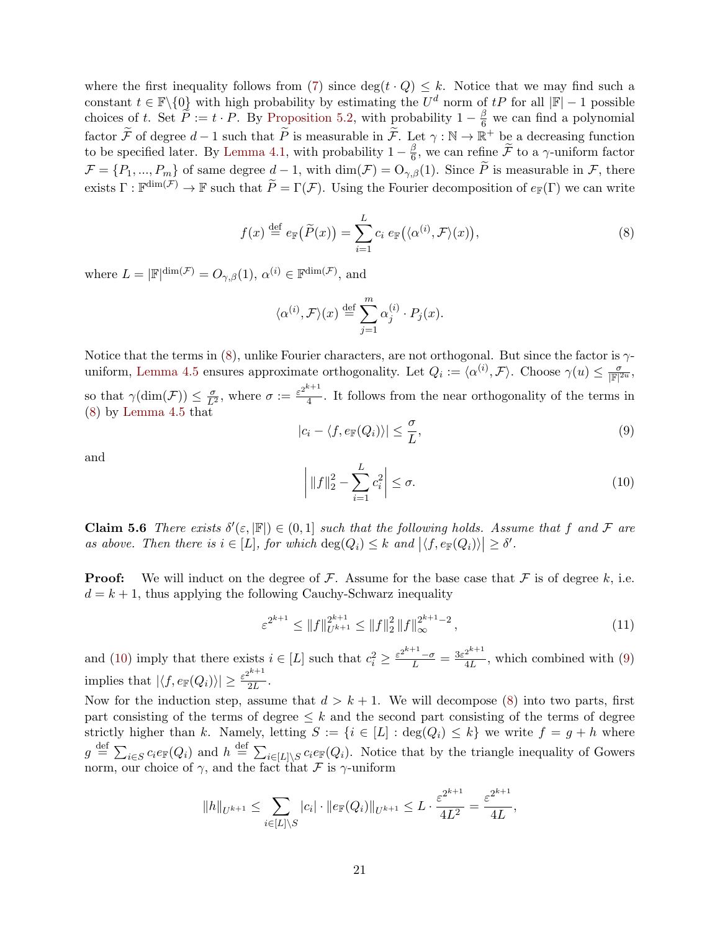where the first inequality follows from [\(7\)](#page-20-1) since  $\deg(t \cdot Q) \leq k$ . Notice that we may find such a constant  $t \in \mathbb{F}\backslash\{0\}$  with high probability by estimating the  $U^d$  norm of  $tP$  for all  $|\mathbb{F}|-1$  possible choices of t. Set  $\widetilde{P} := t \cdot P$ . By [Proposition 5.2,](#page-19-1) with probability  $1 - \frac{\beta}{6}$  we can find a polynomial factor  $\widetilde{\mathcal{F}}$  of degree  $d-1$  such that  $\widetilde{P}$  is measurable in  $\widetilde{\mathcal{F}}$ . Let  $\gamma : \mathbb{N} \to \mathbb{R}^+$  be a decreasing function to be specified later. By [Lemma 4.1,](#page-12-1) with probability  $1 - \frac{\beta}{6}$  $\frac{\beta}{6}$ , we can refine F to a  $\gamma$ -uniform factor  $\mathcal{F} = \{P_1, ..., P_m\}$  of same degree  $d-1$ , with  $\dim(\mathcal{F}) = O_{\gamma,\beta}(1)$ . Since  $\widetilde{P}$  is measurable in  $\mathcal{F}$ , there exists  $\Gamma : \mathbb{F}^{\dim(\mathcal{F})} \to \mathbb{F}$  such that  $\widetilde{P} = \Gamma(\mathcal{F})$ . Using the Fourier decomposition of  $e_{\mathbb{F}}(\Gamma)$  we can write

<span id="page-21-0"></span>
$$
f(x) \stackrel{\text{def}}{=} e_{\mathbb{F}}(\widetilde{P}(x)) = \sum_{i=1}^{L} c_i \ e_{\mathbb{F}}(\langle \alpha^{(i)}, \mathcal{F} \rangle(x)), \tag{8}
$$

where  $L = |\mathbb{F}|^{\dim(\mathcal{F})} = O_{\gamma,\beta}(1), \alpha^{(i)} \in \mathbb{F}^{\dim(\mathcal{F})}$ , and

$$
\langle \alpha^{(i)}, \mathcal{F} \rangle(x) \stackrel{\text{def}}{=} \sum_{j=1}^m \alpha_j^{(i)} \cdot P_j(x).
$$

Notice that the terms in [\(8\)](#page-21-0), unlike Fourier characters, are not orthogonal. But since the factor is  $\gamma$ -uniform, [Lemma 4.5](#page-14-1) ensures approximate orthogonality. Let  $Q_i := \langle \alpha^{(i)}, \mathcal{F} \rangle$ . Choose  $\gamma(u) \leq \frac{\sigma}{\mathbb{F}^{|2u|}}$ , so that  $\gamma(\dim(\mathcal{F})) \leq \frac{\sigma}{L^2}$ , where  $\sigma := \frac{\varepsilon^{2^{k+1}}}{4}$ 4 . It follows from the near orthogonality of the terms in [\(8\)](#page-21-0) by [Lemma 4.5](#page-14-1) that

<span id="page-21-2"></span>
$$
|c_i - \langle f, e_{\mathbb{F}}(Q_i) \rangle| \leq \frac{\sigma}{L},\tag{9}
$$

and

<span id="page-21-1"></span>
$$
\left| \|f\|_{2}^{2} - \sum_{i=1}^{L} c_{i}^{2} \right| \leq \sigma.
$$
\n(10)

<span id="page-21-3"></span>**Claim 5.6** There exists  $\delta'(\varepsilon, |\mathbb{F}|) \in (0, 1]$  such that the following holds. Assume that f and F are as above. Then there is  $i \in [L]$ , for which  $\deg(Q_i) \leq k$  and  $|\langle f, e_{\mathbb{F}}(Q_i) \rangle| \geq \delta'$ .

**Proof:** We will induct on the degree of F. Assume for the base case that F is of degree k, i.e.  $d = k + 1$ , thus applying the following Cauchy-Schwarz inequality

$$
\varepsilon^{2^{k+1}} \le \|f\|_{U^{k+1}}^{2^{k+1}} \le \|f\|_2^2 \|f\|_{\infty}^{2^{k+1}-2},\tag{11}
$$

and [\(10\)](#page-21-1) imply that there exists  $i \in [L]$  such that  $c_i^2 \geq \frac{\varepsilon^{2^{k+1}} - \sigma}{L} = \frac{3\varepsilon^{2^{k+1}}}{4L}$  $\frac{2}{4L}$ , which combined with [\(9\)](#page-21-2) implies that  $|\langle f, e_{\mathbb{F}}(Q_i) \rangle| \geq \frac{\varepsilon^{2^{k+1}}}{2L}$  $\frac{1}{2L}$  .

Now for the induction step, assume that  $d > k + 1$ . We will decompose [\(8\)](#page-21-0) into two parts, first part consisting of the terms of degree  $\leq k$  and the second part consisting of the terms of degree strictly higher than k. Namely, letting  $S := \{i \in [L] : \deg(Q_i) \leq k\}$  we write  $f = g + h$  where  $g \stackrel{\text{def}}{=} \sum_{i \in S} c_i e_{\mathbb{F}}(Q_i)$  and  $h \stackrel{\text{def}}{=} \sum_{i \in [L] \setminus S} c_i e_{\mathbb{F}}(Q_i)$ . Notice that by the triangle inequality of Gowers norm, our choice of  $\gamma$ , and the fact that F is  $\gamma$ -uniform

$$
||h||_{U^{k+1}} \leq \sum_{i \in [L] \setminus S} |c_i| \cdot ||e_{\mathbb{F}}(Q_i)||_{U^{k+1}} \leq L \cdot \frac{\varepsilon^{2^{k+1}}}{4L^2} = \frac{\varepsilon^{2^{k+1}}}{4L},
$$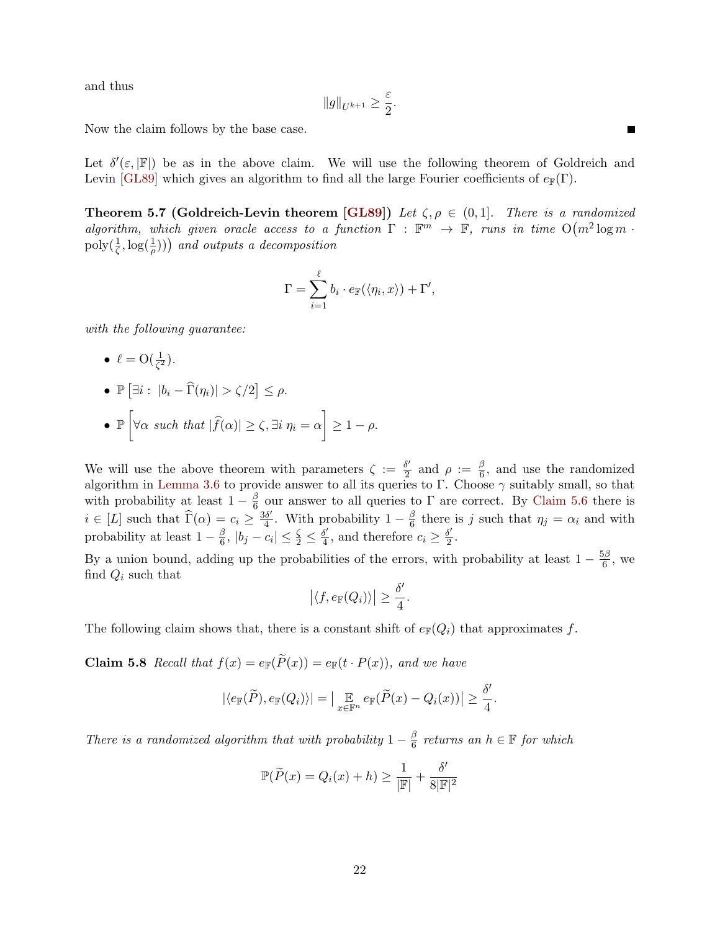<span id="page-22-0"></span>and thus

$$
\|g\|_{U^{k+1}} \geq \frac{\varepsilon}{2}.
$$

Now the claim follows by the base case.

Let  $\delta'(\varepsilon, |\mathbb{F}|)$  be as in the above claim. We will use the following theorem of Goldreich and Levin [\[GL89\]](#page-31-9) which gives an algorithm to find all the large Fourier coefficients of  $e_{\mathbb{F}}(\Gamma)$ .

**Theorem 5.7 (Goldreich-Levin theorem [\[GL89\]](#page-31-9))** Let  $\zeta, \rho \in (0,1]$ . There is a randomized algorithm, which given oracle access to a function  $\Gamma : \mathbb{F}^m \to \mathbb{F}$ , runs in time  $O(m^2 \log m \cdot$  $\text{poly}(\frac{1}{\zeta}, \log(\frac{1}{\rho})))$  and outputs a decomposition

$$
\Gamma = \sum_{i=1}^{\ell} b_i \cdot e_{\mathbb{F}}(\langle \eta_i, x \rangle) + \Gamma',
$$

with the following *guarantee*:

- $\ell = \mathrm{O}(\frac{1}{\zeta^2})$ .
- $\mathbb{P}\left[\exists i : |b_i \widehat{\Gamma}(\eta_i)| > \zeta/2\right] \leq \rho.$
- $\mathbb{P}\left[\forall \alpha \text{ such that } |\widehat{f}(\alpha)| \geq \zeta, \exists i \eta_i = \alpha\right] \geq 1 \rho.$

We will use the above theorem with parameters  $\zeta := \frac{\delta'}{2}$  $\frac{\delta'}{2}$  and  $\rho := \frac{\beta}{6}$  $\frac{\beta}{6}$ , and use the randomized algorithm in [Lemma 3.6](#page-9-1) to provide answer to all its queries to Γ. Choose  $\gamma$  suitably small, so that with probability at least  $1-\frac{\beta}{6}$  $\frac{\beta}{6}$  our answer to all queries to  $\Gamma$  are correct. By [Claim 5.6](#page-21-3) there is  $i \in [L]$  such that  $\widehat{\Gamma}(\alpha) = c_i \geq \frac{3\delta'}{4}$  $\frac{3\delta'}{4}$ . With probability  $1-\frac{\beta}{6}$  $\frac{\beta}{6}$  there is j such that  $\eta_j = \alpha_i$  and with probability at least  $1 - \frac{\beta}{6}$  $\frac{\beta}{6}$ ,  $|b_j - c_i| \leq \frac{\zeta}{2} \leq \frac{\delta'}{4}$  $\frac{\delta'}{4}$ , and therefore  $c_i \geq \frac{\delta'}{2}$  $\frac{0'}{2}$ .

By a union bound, adding up the probabilities of the errors, with probability at least  $1-\frac{5\beta}{6}$  $\frac{9\beta}{6}$ , we find  $Q_i$  such that

$$
\big|\langle f, e_{\mathbb{F}}(Q_i)\rangle\big| \geq \frac{\delta'}{4}.
$$

The following claim shows that, there is a constant shift of  $e_{\mathbb{F}}(Q_i)$  that approximates f.

**Claim 5.8** Recall that  $f(x) = e_{\mathbb{F}}(\widetilde{P}(x)) = e_{\mathbb{F}}(t \cdot P(x))$ , and we have

$$
|\langle e_{\mathbb{F}}(\widetilde{P}), e_{\mathbb{F}}(Q_i) \rangle| = \left| \mathop{\mathbb{E}}_{x \in \mathbb{F}^n} e_{\mathbb{F}}(\widetilde{P}(x) - Q_i(x)) \right| \ge \frac{\delta'}{4}.
$$

There is a randomized algorithm that with probability  $1-\frac{\beta}{6}$  $\frac{\beta}{6}$  returns an  $h \in \mathbb{F}$  for which

$$
\mathbb{P}(\widetilde{P}(x) = Q_i(x) + h) \ge \frac{1}{|\mathbb{F}|} + \frac{\delta'}{8|\mathbb{F}|^2}
$$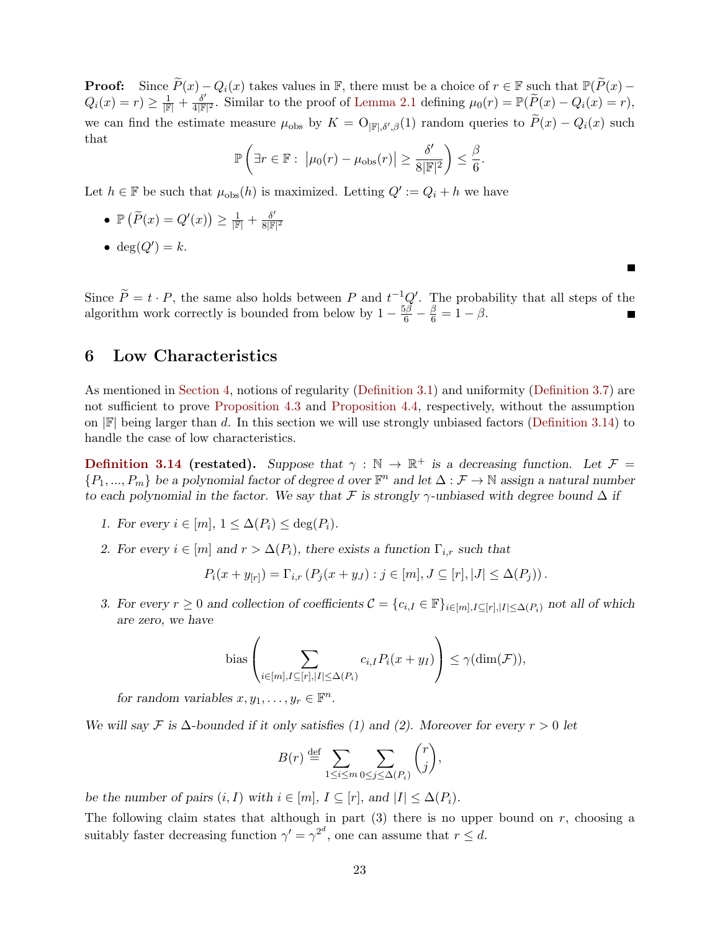**Proof:** Since  $\widetilde{P}(x) - Q_i(x)$  takes values in F, there must be a choice of  $r \in \mathbb{F}$  such that  $\mathbb{P}(\widetilde{P}(x) - Q_i(x))$  $Q_i(x) = r$ )  $\geq \frac{1}{|\mathbb{F}|} + \frac{\delta'}{4|\mathbb{F}|^2}$ . Similar to the proof of [Lemma 2.1](#page-5-1) defining  $\mu_0(r) = \mathbb{P}(\tilde{P}(x) - Q_i(x) = r)$ , we can find the estimate measure  $\mu_{obs}$  by  $K = O_{\vert \mathbb{F} \vert, \delta', \beta}(1)$  random queries to  $P(x) - Q_i(x)$  such that

$$
\mathbb{P}\left(\exists r \in \mathbb{F}: |\mu_0(r) - \mu_{\text{obs}}(r)| \ge \frac{\delta'}{8|\mathbb{F}|^2}\right) \le \frac{\beta}{6}.
$$

Let  $h \in \mathbb{F}$  be such that  $\mu_{obs}(h)$  is maximized. Letting  $Q' := Q_i + h$  we have

- $\mathbb{P}\left(\widetilde{P}(x) = Q'(x)\right) \ge \frac{1}{|\mathbb{F}|} + \frac{\delta'}{8|\mathbb{F}|^2}$
- deg $(Q') = k$ .

Since  $\tilde{P} = t \cdot P$ , the same also holds between P and  $t^{-1}Q'$ . The probability that all steps of the algorithm work correctly is bounded from below by  $1 - \frac{5\beta}{6} - \frac{\beta}{6} = 1 - \beta$ .

П

### <span id="page-23-0"></span>6 Low Characteristics

As mentioned in [Section 4,](#page-12-0) notions of regularity [\(Definition 3.1\)](#page-7-2) and uniformity [\(Definition 3.7\)](#page-10-0) are not sufficient to prove [Proposition 4.3](#page-13-1) and [Proposition 4.4,](#page-13-0) respectively, without the assumption on  $\mathbb{F}$  being larger than d. In this section we will use strongly unbiased factors [\(Definition 3.14\)](#page-12-2) to handle the case of low characteristics.

**[Definition 3.14](#page-12-2) (restated).** Suppose that  $\gamma : \mathbb{N} \to \mathbb{R}^+$  is a decreasing function. Let  $\mathcal{F} =$  $\{P_1, ..., P_m\}$  be a polynomial factor of degree d over  $\mathbb{F}^n$  and let  $\Delta : \mathcal{F} \to \mathbb{N}$  assign a natural number to each polynomial in the factor. We say that F is strongly  $\gamma$ -unbiased with degree bound  $\Delta$  if

- 1. For every  $i \in [m], 1 \leq \Delta(P_i) \leq \deg(P_i)$ .
- 2. For every  $i \in [m]$  and  $r > \Delta(P_i)$ , there exists a function  $\Gamma_{i,r}$  such that

$$
P_i(x + y_{[r]}) = \Gamma_{i,r} (P_j(x + y_j) : j \in [m], J \subseteq [r], |J| \leq \Delta(P_j)).
$$

3. For every  $r \geq 0$  and collection of coefficients  $\mathcal{C} = \{c_{i,I} \in \mathbb{F}\}_{i \in [m], I \subseteq [r], |I| \leq \Delta(P_i)}$  not all of which are zero, we have

bias 
$$
\left(\sum_{i \in [m], I \subseteq [r], |I| \leq \Delta(P_i)} c_{i,I} P_i(x + y_I)\right) \leq \gamma(\dim(\mathcal{F})),
$$

for random variables  $x, y_1, \ldots, y_r \in \mathbb{F}^n$ .

We will say F is  $\Delta$ -bounded if it only satisfies (1) and (2). Moreover for every  $r > 0$  let

$$
B(r) \stackrel{\text{def}}{=} \sum_{1 \le i \le m} \sum_{0 \le j \le \Delta(P_i)} {r \choose j},
$$

be the number of pairs  $(i, I)$  with  $i \in [m], I \subseteq [r]$ , and  $|I| \leq \Delta(P_i)$ .

The following claim states that although in part  $(3)$  there is no upper bound on r, choosing a suitably faster decreasing function  $\gamma' = \gamma^{2^d}$ , one can assume that  $r \leq d$ .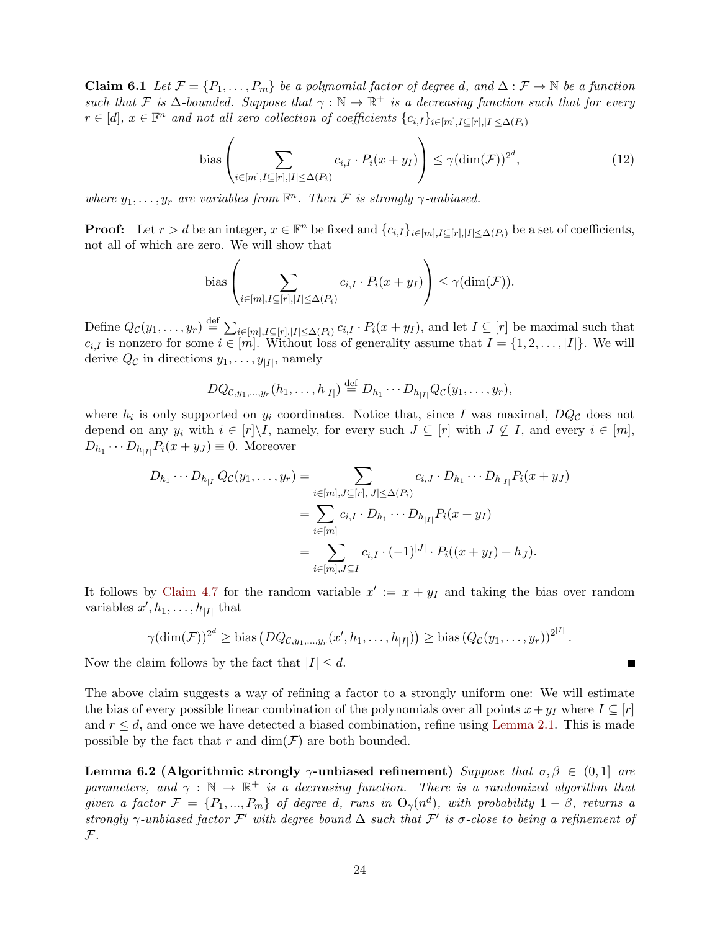**Claim 6.1** Let  $\mathcal{F} = \{P_1, \ldots, P_m\}$  be a polynomial factor of degree d, and  $\Delta : \mathcal{F} \to \mathbb{N}$  be a function such that F is  $\Delta$ -bounded. Suppose that  $\gamma : \mathbb{N} \to \mathbb{R}^+$  is a decreasing function such that for every  $r \in [d], x \in \mathbb{F}^n$  and not all zero collection of coefficients  $\{c_{i,I}\}_{i \in [m], I \subseteq [r], |I| \leq \Delta(P_i)}$ 

bias 
$$
\left(\sum_{i \in [m], I \subseteq [r], |I| \leq \Delta(P_i)} c_{i,I} \cdot P_i(x + y_I)\right) \leq \gamma (\dim(\mathcal{F}))^{2^d},\tag{12}
$$

where  $y_1, \ldots, y_r$  are variables from  $\mathbb{F}^n$ . Then F is strongly  $\gamma$ -unbiased.

**Proof:** Let  $r > d$  be an integer,  $x \in \mathbb{F}^n$  be fixed and  $\{c_{i,I}\}_{i \in [m], I \subseteq [r], |I| \leq \Delta(P_i)}$  be a set of coefficients, not all of which are zero. We will show that

bias 
$$
\left(\sum_{i \in [m], I \subseteq [r], |I| \leq \Delta(P_i)} c_{i,I} \cdot P_i(x + y_I)\right) \leq \gamma(\dim(\mathcal{F})).
$$

Define  $Q_{\mathcal{C}}(y_1,\ldots,y_r) \stackrel{\text{def}}{=} \sum_{i \in [m], I \subseteq [r], |I| \leq \Delta(P_i)} c_{i,I} \cdot P_i(x+y_I)$ , and let  $I \subseteq [r]$  be maximal such that  $c_{i,I}$  is nonzero for some  $i \in [m]$ . Without loss of generality assume that  $I = \{1, 2, \ldots, |I|\}$ . We will derive  $Q_{\mathcal{C}}$  in directions  $y_1, \ldots, y_{|I|}$ , namely

$$
DQ_{C,y_1,...,y_r}(h_1,...,h_{|I|}) \stackrel{\text{def}}{=} D_{h_1} \cdots D_{h_{|I|}} Q_{C}(y_1,...,y_r),
$$

where  $h_i$  is only supported on  $y_i$  coordinates. Notice that, since I was maximal,  $DQ_{\mathcal{C}}$  does not depend on any  $y_i$  with  $i \in [r] \backslash I$ , namely, for every such  $J \subseteq [r]$  with  $J \nsubseteq I$ , and every  $i \in [m]$ ,  $D_{h_1} \cdots D_{h_{|I|}} P_i(x + y_J) \equiv 0$ . Moreover

$$
D_{h_1} \cdots D_{h_{|I|}} Q_{\mathcal{C}}(y_1, \ldots, y_r) = \sum_{\substack{i \in [m], J \subseteq [r], |J| \le \Delta(P_i)}} c_{i,J} \cdot D_{h_1} \cdots D_{h_{|I|}} P_i(x + y_J)
$$
  
= 
$$
\sum_{i \in [m]} c_{i,I} \cdot D_{h_1} \cdots D_{h_{|I|}} P_i(x + y_I)
$$
  
= 
$$
\sum_{i \in [m], J \subseteq I} c_{i,I} \cdot (-1)^{|J|} \cdot P_i((x + y_I) + h_J).
$$

It follows by [Claim 4.7](#page-15-1) for the random variable  $x' := x + y_I$  and taking the bias over random variables  $x', h_1, \ldots, h_{|I|}$  that

$$
\gamma(\dim(\mathcal{F}))^{2^d} \geq \text{bias}\left(DQ_{\mathcal{C},y_1,\dots,y_r}(x',h_1,\dots,h_{|I|})\right) \geq \text{bias}\left(Q_{\mathcal{C}}(y_1,\dots,y_r)\right)^{2^{|I|}}.
$$

Б

Now the claim follows by the fact that  $|I| \leq d$ .

The above claim suggests a way of refining a factor to a strongly uniform one: We will estimate the bias of every possible linear combination of the polynomials over all points  $x+y<sub>I</sub>$  where  $I \subseteq [r]$ and  $r \leq d$ , and once we have detected a biased combination, refine using [Lemma 2.1.](#page-5-1) This is made possible by the fact that r and  $\dim(\mathcal{F})$  are both bounded.

<span id="page-24-0"></span>Lemma 6.2 (Algorithmic strongly  $\gamma$ -unbiased refinement) Suppose that  $\sigma, \beta \in (0,1]$  are parameters, and  $\gamma : \mathbb{N} \to \mathbb{R}^+$  is a decreasing function. There is a randomized algorithm that given a factor  $\mathcal{F} = \{P_1, ..., P_m\}$  of degree d, runs in  $O_\gamma(n^d)$ , with probability  $1-\beta$ , returns a strongly  $\gamma$ -unbiased factor  $\mathcal{F}'$  with degree bound  $\Delta$  such that  $\mathcal{F}'$  is  $\sigma$ -close to being a refinement of  ${\mathcal F}$  .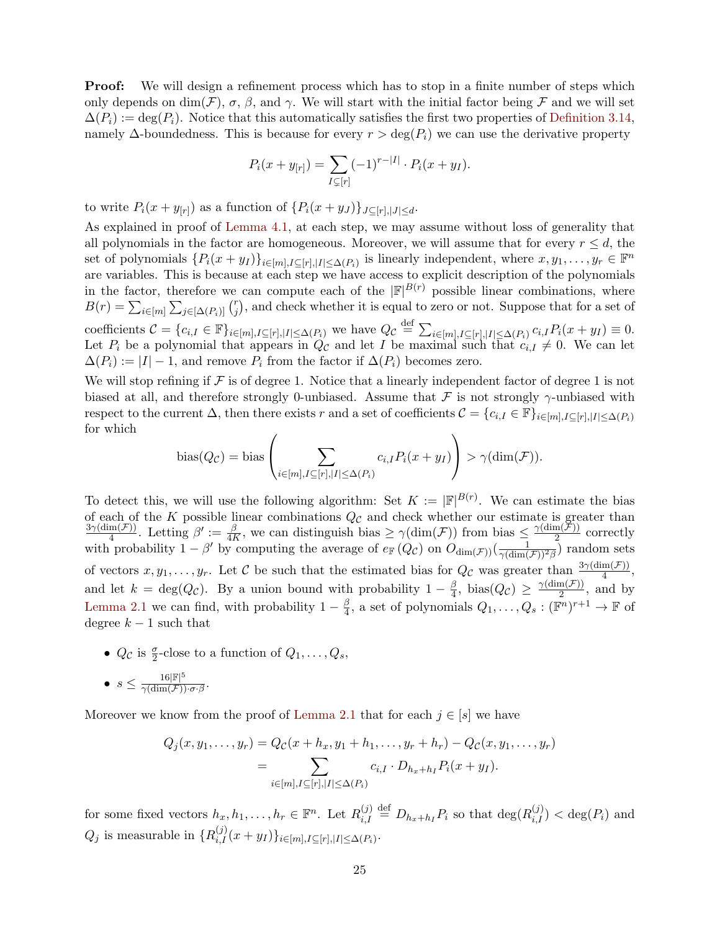**Proof:** We will design a refinement process which has to stop in a finite number of steps which only depends on dim(F),  $\sigma$ ,  $\beta$ , and  $\gamma$ . We will start with the initial factor being F and we will set  $\Delta(P_i) := \deg(P_i)$ . Notice that this automatically satisfies the first two properties of [Definition 3.14,](#page-12-2) namely  $\Delta$ -boundedness. This is because for every  $r > \deg(P_i)$  we can use the derivative property

$$
P_i(x + y_{[r]}) = \sum_{I \subsetneq [r]} (-1)^{r - |I|} \cdot P_i(x + y_I).
$$

to write  $P_i(x+y_{[r]})$  as a function of  $\{P_i(x+y_J)\}_{J\subseteq [r],|J|\leq d}$ .

As explained in proof of [Lemma 4.1,](#page-12-1) at each step, we may assume without loss of generality that all polynomials in the factor are homogeneous. Moreover, we will assume that for every  $r \leq d$ , the set of polynomials  $\{P_i(x+y_I)\}_{i\in[m], I\subseteq[r],|I|\leq \Delta(P_i)}$  is linearly independent, where  $x, y_1, \ldots, y_r \in \mathbb{F}^n$ are variables. This is because at each step we have access to explicit description of the polynomials in the factor, therefore we can compute each of the  $\mathbb{F}^{|B(r)|}$  possible linear combinations, where  $B(r) = \sum_{i \in [m]} \sum_{j \in [\Delta(P_i)]} {r \choose j}$  $_{j}^{r}$ ), and check whether it is equal to zero or not. Suppose that for a set of coefficients  $C = \{c_{i,I} \in \mathbb{F}\}_{i \in [m], I \subseteq [r], |I| \leq \Delta(P_i)}$  we have  $Q_{\mathcal{C}} \stackrel{\text{def}}{=} \sum_{i \in [m], I \subseteq [r], |I| \leq \Delta(P_i)} c_{i,I} P_i(x + y_I) \equiv 0$ . Let  $P_i$  be a polynomial that appears in  $Q_{\mathcal{C}}$  and let I be maximal such that  $c_{i,I} \neq 0$ . We can let  $\Delta(P_i) := |I| - 1$ , and remove  $P_i$  from the factor if  $\Delta(P_i)$  becomes zero.

We will stop refining if  $\mathcal F$  is of degree 1. Notice that a linearly independent factor of degree 1 is not biased at all, and therefore strongly 0-unbiased. Assume that  $\mathcal F$  is not strongly  $\gamma$ -unbiased with respect to the current  $\Delta$ , then there exists r and a set of coefficients  $\mathcal{C} = \{c_{i,I} \in \mathbb{F}\}_{i \in [m], I \subseteq [r], |I| \leq \Delta(P_i)}$ for which

bias(
$$
Q_{\mathcal{C}}
$$
) = bias  $\left( \sum_{i \in [m], I \subseteq [r], |I| \leq \Delta(P_i)} c_{i,I} P_i(x + y_I) \right) > \gamma(\dim(\mathcal{F}))$ .

To detect this, we will use the following algorithm: Set  $K := |\mathbb{F}|^{B(r)}$ . We can estimate the bias of each of the K possible linear combinations  $Q_{\mathcal{C}}$  and check whether our estimate is greater than  $3\gamma(\dim(\mathcal{F}))$ . Letting  $\beta'$  is  $\beta$  and  $\beta$  is a set direction binary  $\gamma(\dim(\mathcal{F}))$  connectively  $\frac{m(\mathcal{F}))}{4}$ . Letting  $\beta' := \frac{\beta}{4R}$  $\frac{\beta}{4K}$ , we can distinguish bias  $\geq \gamma(\dim(\mathcal{F}))$  from bias  $\leq \frac{\gamma(\dim(\tilde{\mathcal{F}}))}{2}$  $\frac{n(\mathcal{F})^j}{2}$  correctly with probability  $1 - \beta'$  by computing the average of  $e_{\mathbb{F}}(Q_{\mathcal{C}})$  on  $O_{\dim(\mathcal{F})}(\frac{1}{\gamma(\dim(\mathcal{F}))^2\beta})$  random sets of vectors  $x, y_1, \ldots, y_r$ . Let C be such that the estimated bias for  $Q_{\mathcal{C}}$  was greater than  $\frac{3\gamma(\dim(\mathcal{F}))}{4}$ , and let  $k = \deg(Q_{\mathcal{C}})$ . By a union bound with probability  $1 - \frac{\beta}{4}$  $\frac{\beta}{4}$ , bias $(Q_{\mathcal{C}}) \geq \frac{\gamma(\dim(\mathcal{F}))}{2}$  $\frac{n(\mathcal{F}))}{2}$ , and by [Lemma 2.1](#page-5-1) we can find, with probability  $1-\frac{\beta}{4}$  $\frac{\beta}{4}$ , a set of polynomials  $Q_1, \ldots, Q_s : (\mathbb{F}^n)^{r+1} \to \mathbb{F}$  of degree  $k-1$  such that

•  $Q_{\mathcal{C}}$  is  $\frac{\sigma}{2}$ -close to a function of  $Q_1, \ldots, Q_s$ ,

• 
$$
s \leq \frac{16|\mathbb{F}|^5}{\gamma(\dim(\mathcal{F})) \cdot \sigma \cdot \beta}
$$
.

Moreover we know from the proof of [Lemma 2.1](#page-5-1) that for each  $j \in [s]$  we have

$$
Q_j(x, y_1, \dots, y_r) = Q_{\mathcal{C}}(x + h_x, y_1 + h_1, \dots, y_r + h_r) - Q_{\mathcal{C}}(x, y_1, \dots, y_r)
$$
  
= 
$$
\sum_{i \in [m], I \subseteq [r], |I| \leq \Delta(P_i)} c_{i,I} \cdot D_{h_x + h_I} P_i(x + y_I).
$$

for some fixed vectors  $h_x, h_1, \ldots, h_r \in \mathbb{F}^n$ . Let  $R_{i,I}^{(j)}$  $i,j \text{ def } D_{h_x+h_I} P_i$  so that  $\deg(R_{i,I}^{(j)}) < \deg(P_i)$  and  $Q_j$  is measurable in  $\{R_{i,I}^{(j)}(x+y_I)\}_{i \in [m], I \subseteq [r], |I| \leq \Delta(P_i)}$ .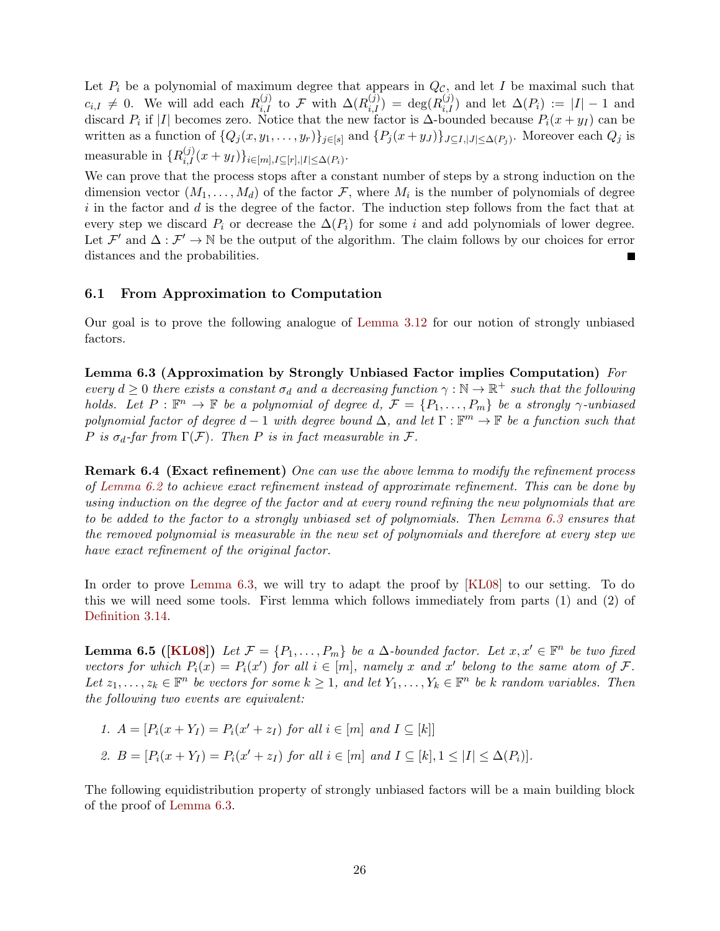<span id="page-26-4"></span>Let  $P_i$  be a polynomial of maximum degree that appears in  $Q_{\mathcal{C}}$ , and let I be maximal such that  $c_{i,I} \neq 0$ . We will add each  $R_{i,I}^{(j)}$  to F with  $\Delta(R_{i,I}^{(j)}) = \deg(R_{i,I}^{(j)})$  and let  $\Delta(P_i) := |I| - 1$  and discard  $P_i$  if |I| becomes zero. Notice that the new factor is  $\Delta$ -bounded because  $P_i(x+y_I)$  can be written as a function of  $\{Q_j(x, y_1, \ldots, y_r)\}_{j \in [s]}$  and  $\{P_j(x+y_J)\}_{J \subseteq I, |J| \leq \Delta(P_j)}$ . Moreover each  $Q_j$  is measurable in  $\{R_{i,I}^{(j)}(x+y_I)\}_{i\in[m],I\subseteq[r],|I|\leq \Delta(P_i)}$ .

We can prove that the process stops after a constant number of steps by a strong induction on the dimension vector  $(M_1, \ldots, M_d)$  of the factor F, where  $M_i$  is the number of polynomials of degree  $i$  in the factor and  $d$  is the degree of the factor. The induction step follows from the fact that at every step we discard  $P_i$  or decrease the  $\Delta(P_i)$  for some i and add polynomials of lower degree. Let  $\mathcal{F}'$  and  $\Delta : \mathcal{F}' \to \mathbb{N}$  be the output of the algorithm. The claim follows by our choices for error distances and the probabilities.

### <span id="page-26-0"></span>6.1 From Approximation to Computation

Our goal is to prove the following analogue of [Lemma 3.12](#page-11-1) for our notion of strongly unbiased factors.

<span id="page-26-1"></span>Lemma 6.3 (Approximation by Strongly Unbiased Factor implies Computation) For every  $d \geq 0$  there exists a constant  $\sigma_d$  and a decreasing function  $\gamma : \mathbb{N} \to \mathbb{R}^+$  such that the following holds. Let  $P : \mathbb{F}^n \to \mathbb{F}$  be a polynomial of degree d,  $\mathcal{F} = \{P_1, \ldots, P_m\}$  be a strongly  $\gamma$ -unbiased polynomial factor of degree  $d-1$  with degree bound  $\Delta$ , and let  $\Gamma : \mathbb{F}^m \to \mathbb{F}$  be a function such that P is  $\sigma_d$ -far from  $\Gamma(\mathcal{F})$ . Then P is in fact measurable in  $\mathcal{F}$ .

**Remark 6.4 (Exact refinement)** One can use the above lemma to modify the refinement process of [Lemma 6.2](#page-24-0) to achieve exact refinement instead of approximate refinement. This can be done by using induction on the degree of the factor and at every round refining the new polynomials that are to be added to the factor to a strongly unbiased set of polynomials. Then [Lemma 6.3](#page-26-1) ensures that the removed polynomial is measurable in the new set of polynomials and therefore at every step we have exact refinement of the original factor.

In order to prove [Lemma 6.3,](#page-26-1) we will try to adapt the proof by [\[KL08\]](#page-32-2) to our setting. To do this we will need some tools. First lemma which follows immediately from parts (1) and (2) of [Definition 3.14.](#page-12-2)

<span id="page-26-2"></span>**Lemma 6.5 ([\[KL08\]](#page-32-2))** Let  $\mathcal{F} = \{P_1, \ldots, P_m\}$  be a  $\Delta$ -bounded factor. Let  $x, x' \in \mathbb{F}^n$  be two fixed vectors for which  $P_i(x) = P_i(x')$  for all  $i \in [m]$ , namely x and x' belong to the same atom of F. Let  $z_1, \ldots, z_k \in \mathbb{F}^n$  be vectors for some  $k \geq 1$ , and let  $Y_1, \ldots, Y_k \in \mathbb{F}^n$  be k random variables. Then the following two events are equivalent:

1. 
$$
A = [P_i(x + Y_I) = P_i(x' + z_I) \text{ for all } i \in [m] \text{ and } I \subseteq [k]]
$$

2.  $B = [P_i(x+Y_I) = P_i(x'+z_I)$  for all  $i \in [m]$  and  $I \subseteq [k], 1 \leq |I| \leq \Delta(P_i)$ .

<span id="page-26-3"></span>The following equidistribution property of strongly unbiased factors will be a main building block of the proof of [Lemma 6.3.](#page-26-1)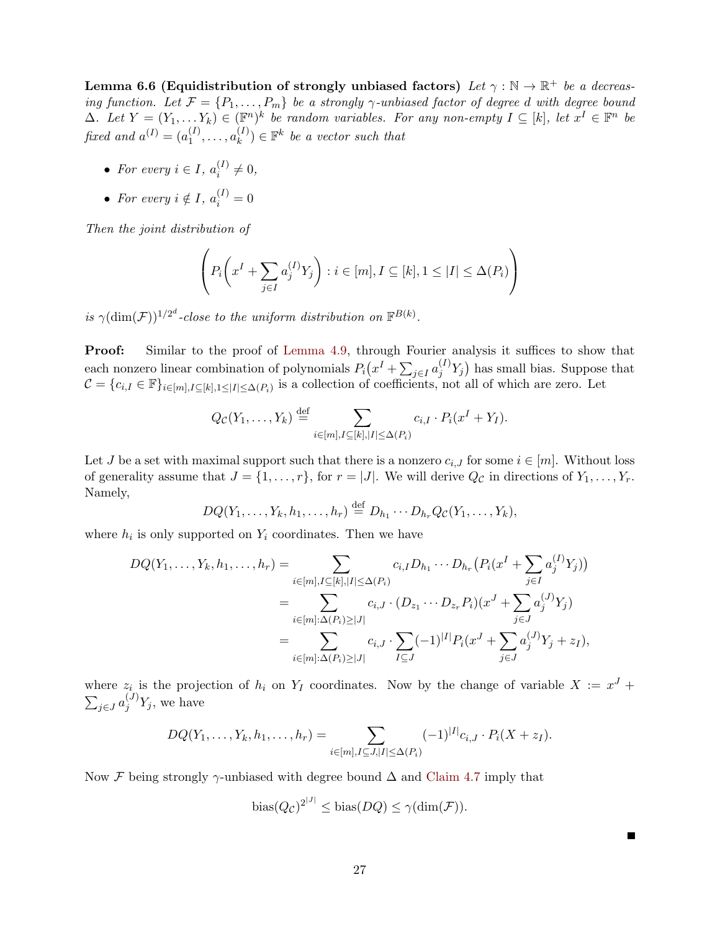Lemma 6.6 (Equidistribution of strongly unbiased factors) Let  $\gamma : \mathbb{N} \to \mathbb{R}^+$  be a decreasing function. Let  $\mathcal{F} = \{P_1, \ldots, P_m\}$  be a strongly  $\gamma$ -unbiased factor of degree d with degree bound  $\Delta$ . Let  $Y = (Y_1, \ldots Y_k) \in (\mathbb{F}^n)^k$  be random variables. For any non-empty  $I \subseteq [k]$ , let  $x^I \in \mathbb{F}^n$  be fixed and  $a^{(I)} = (a_1^{(I)})$  $a_1^{(I)}, \ldots, a_k^{(I)}$  $\mathbf{F}_k^{(I)}$ )  $\in \mathbb{F}^k$  be a vector such that

- For every  $i \in I$ ,  $a_i^{(I)}$  $i^{(1)} \neq 0,$
- For every  $i \notin I$ ,  $a_i^{(I)} = 0$

Then the joint distribution of

$$
\left(P_i\left(x^I + \sum_{j \in I} a_j^{(I)} Y_j\right) : i \in [m], I \subseteq [k], 1 \leq |I| \leq \Delta(P_i)\right)
$$

is  $\gamma(\dim(\mathcal{F}))^{1/2^d}$ -close to the uniform distribution on  $\mathbb{F}^{B(k)}$ .

Proof: Similar to the proof of [Lemma 4.9,](#page-16-0) through Fourier analysis it suffices to show that each nonzero linear combination of polynomials  $P_i(x^I + \sum_{j \in I} a_j^{(I)})$  $j^{(1)}Y_j$  has small bias. Suppose that  $\mathcal{C} = \{c_{i,I} \in \mathbb{F}\}_{i \in [m], I \subseteq [k], 1 \leq |I| \leq \Delta(P_i)}$  is a collection of coefficients, not all of which are zero. Let

$$
Q_{\mathcal{C}}(Y_1,\ldots,Y_k) \stackrel{\text{def}}{=} \sum_{i\in[m],I\subseteq[k],|I|\leq \Delta(P_i)} c_{i,I} \cdot P_i(x^I+Y_I).
$$

Let J be a set with maximal support such that there is a nonzero  $c_{i,J}$  for some  $i \in [m]$ . Without loss of generality assume that  $J = \{1, \ldots, r\}$ , for  $r = |J|$ . We will derive  $Q_{\mathcal{C}}$  in directions of  $Y_1, \ldots, Y_r$ . Namely,

$$
DQ(Y_1,\ldots,Y_k,h_1,\ldots,h_r)\stackrel{\text{def}}{=} D_{h_1}\cdots D_{h_r}Q_{\mathcal{C}}(Y_1,\ldots,Y_k),
$$

where  $h_i$  is only supported on  $Y_i$  coordinates. Then we have

$$
DQ(Y_1, ..., Y_k, h_1, ..., h_r) = \sum_{i \in [m], I \subseteq [k], |I| \leq \Delta(P_i)} c_{i,I} D_{h_1} \cdots D_{h_r} (P_i(x^I + \sum_{j \in I} a_j^{(I)} Y_j))
$$
  
= 
$$
\sum_{i \in [m]: \Delta(P_i) \geq |J|} c_{i,J} \cdot (D_{z_1} \cdots D_{z_r} P_i)(x^J + \sum_{j \in J} a_j^{(J)} Y_j)
$$
  
= 
$$
\sum_{i \in [m]: \Delta(P_i) \geq |J|} c_{i,J} \cdot \sum_{I \subseteq J} (-1)^{|I|} P_i(x^J + \sum_{j \in J} a_j^{(J)} Y_j + z_I),
$$

where  $z_i$  is the projection of  $h_i$  on  $Y_I$  coordinates. Now by the change of variable  $X := x^J +$  $\sum_{j\in J} a_j^{(J)}$  $j^{(J)}Y_j$ , we have

$$
DQ(Y_1,\ldots,Y_k,h_1,\ldots,h_r) = \sum_{i \in [m], I \subseteq J, |I| \leq \Delta(P_i)} (-1)^{|I|} c_{i,J} \cdot P_i(X+z_I).
$$

Now F being strongly  $\gamma$ -unbiased with degree bound  $\Delta$  and [Claim 4.7](#page-15-1) imply that

bias
$$
(Q_{\mathcal{C}})^{2^{|J|}} \leq \text{bias}(DQ) \leq \gamma(\text{dim}(\mathcal{F})).
$$

П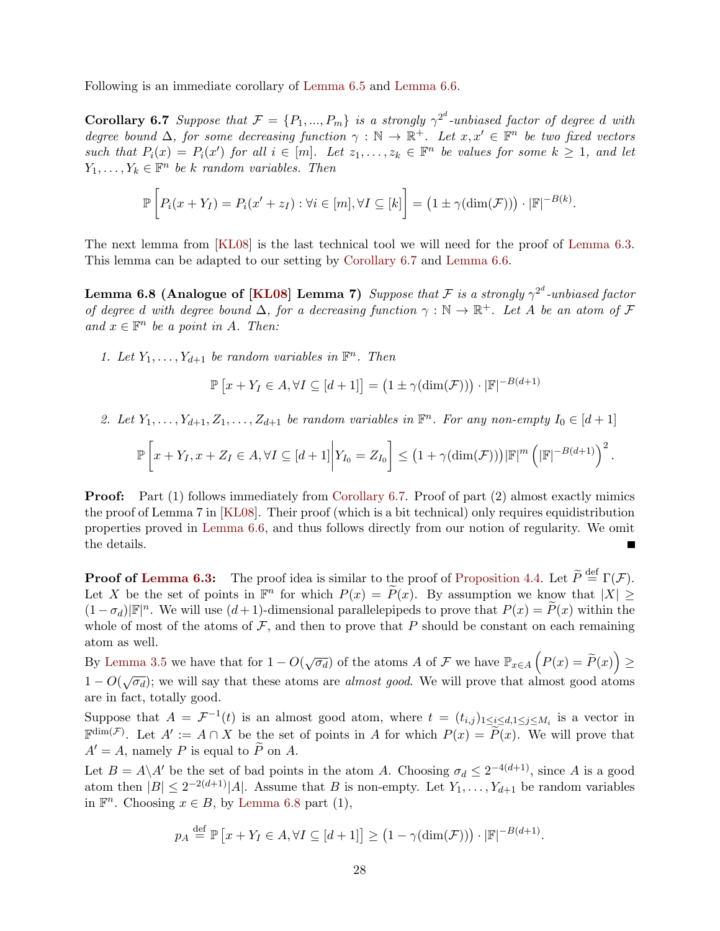<span id="page-28-2"></span><span id="page-28-0"></span>Following is an immediate corollary of [Lemma 6.5](#page-26-2) and [Lemma 6.6.](#page-26-3)

**Corollary 6.7** Suppose that  $\mathcal{F} = \{P_1, ..., P_m\}$  is a strongly  $\gamma^{2^d}$ -unbiased factor of degree d with degree bound  $\Delta$ , for some decreasing function  $\gamma : \mathbb{N} \to \mathbb{R}^+$ . Let  $x, x' \in \mathbb{F}^n$  be two fixed vectors such that  $P_i(x) = P_i(x')$  for all  $i \in [m]$ . Let  $z_1, \ldots, z_k \in \mathbb{F}^n$  be values for some  $k \geq 1$ , and let  $Y_1, \ldots, Y_k \in \mathbb{F}^n$  be k random variables. Then

$$
\mathbb{P}\left[P_i(x+Y_I) = P_i(x'+z_I): \forall i \in [m], \forall I \subseteq [k]\right] = \left(1 \pm \gamma(\dim(\mathcal{F}))\right) \cdot |\mathbb{F}|^{-B(k)}.
$$

The next lemma from [\[KL08\]](#page-32-2) is the last technical tool we will need for the proof of [Lemma 6.3.](#page-26-1) This lemma can be adapted to our setting by [Corollary 6.7](#page-28-0) and [Lemma 6.6.](#page-26-3)

<span id="page-28-1"></span>**Lemma 6.8 (Analogue of [\[KL08\]](#page-32-2) Lemma 7)** Suppose that F is a strongly  $\gamma^{2^d}$ -unbiased factor of degree d with degree bound  $\Delta$ , for a decreasing function  $\gamma : \mathbb{N} \to \mathbb{R}^+$ . Let A be an atom of F and  $x \in \mathbb{F}^n$  be a point in A. Then:

1. Let  $Y_1, \ldots, Y_{d+1}$  be random variables in  $\mathbb{F}^n$ . Then

$$
\mathbb{P}\left[x + Y_I \in A, \forall I \subseteq [d+1]\right] = \left(1 \pm \gamma(\dim(\mathcal{F}))\right) \cdot |\mathbb{F}|^{-B(d+1)}
$$

2. Let  $Y_1, \ldots, Y_{d+1}, Z_1, \ldots, Z_{d+1}$  be random variables in  $\mathbb{F}^n$ . For any non-empty  $I_0 \in [d+1]$ 

$$
\mathbb{P}\left[x+Y_I,x+Z_I\in A,\forall I\subseteq[d+1]\bigg|Y_{I_0}=Z_{I_0}\right]\leq \left(1+\gamma(\dim(\mathcal{F}))\right)\left|\mathbb{F}\right|^m\left(\left|\mathbb{F}\right|^{-B(d+1)}\right)^2.
$$

**Proof:** Part (1) follows immediately from [Corollary 6.7.](#page-28-0) Proof of part (2) almost exactly mimics the proof of Lemma 7 in [\[KL08\]](#page-32-2). Their proof (which is a bit technical) only requires equidistribution properties proved in [Lemma 6.6,](#page-26-3) and thus follows directly from our notion of regularity. We omit the details.

**Proof of [Lemma 6.3:](#page-26-1)** The proof idea is similar to the proof of [Proposition 4.4.](#page-13-0) Let  $\widetilde{P} \stackrel{\text{def}}{=} \Gamma(\mathcal{F})$ . Let X be the set of points in  $\mathbb{F}^n$  for which  $P(x) = \widetilde{P}(x)$ . By assumption we know that  $|X| \ge$  $(1 - \sigma_d)|\mathbb{F}|^n$ . We will use  $(d+1)$ -dimensional parallelepipeds to prove that  $P(x) = \tilde{P}(x)$  within the whole of most of the atoms of  $\mathcal{F}$ , and then to prove that P should be constant on each remaining atom as well.

By [Lemma 3.5](#page-9-0) we have that for  $1 - O(\sqrt{\sigma_d})$  of the atoms A of F we have  $\mathbb{P}_{x \in A} (P(x) = \tilde{P}(x)) \ge$  $1 - O(\sqrt{\sigma_d})$ ; we will say that these atoms are *almost good*. We will prove that almost good atoms are in fact, totally good.

Suppose that  $A = \mathcal{F}^{-1}(t)$  is an almost good atom, where  $t = (t_{i,j})_{1 \leq i \leq d, 1 \leq j \leq M_i}$  is a vector in  $\mathbb{F}^{\dim(\mathcal{F})}$ . Let  $A' := A \cap X$  be the set of points in A for which  $P(x) = \widetilde{P}(x)$ . We will prove that  $A' = A$ , namely P is equal to  $\widetilde{P}$  on A.

Let  $B = A \setminus A'$  be the set of bad points in the atom A. Choosing  $\sigma_d \leq 2^{-4(d+1)}$ , since A is a good atom then  $|B| \leq 2^{-2(d+1)}|A|$ . Assume that B is non-empty. Let  $Y_1, \ldots, Y_{d+1}$  be random variables in  $\mathbb{F}^n$ . Choosing  $x \in B$ , by [Lemma 6.8](#page-28-1) part (1),

$$
p_A \stackrel{\text{def}}{=} \mathbb{P}\left[x + Y_I \in A, \forall I \subseteq [d+1]\right] \ge \left(1 - \gamma(\dim(\mathcal{F}))\right) \cdot |\mathbb{F}|^{-B(d+1)}.
$$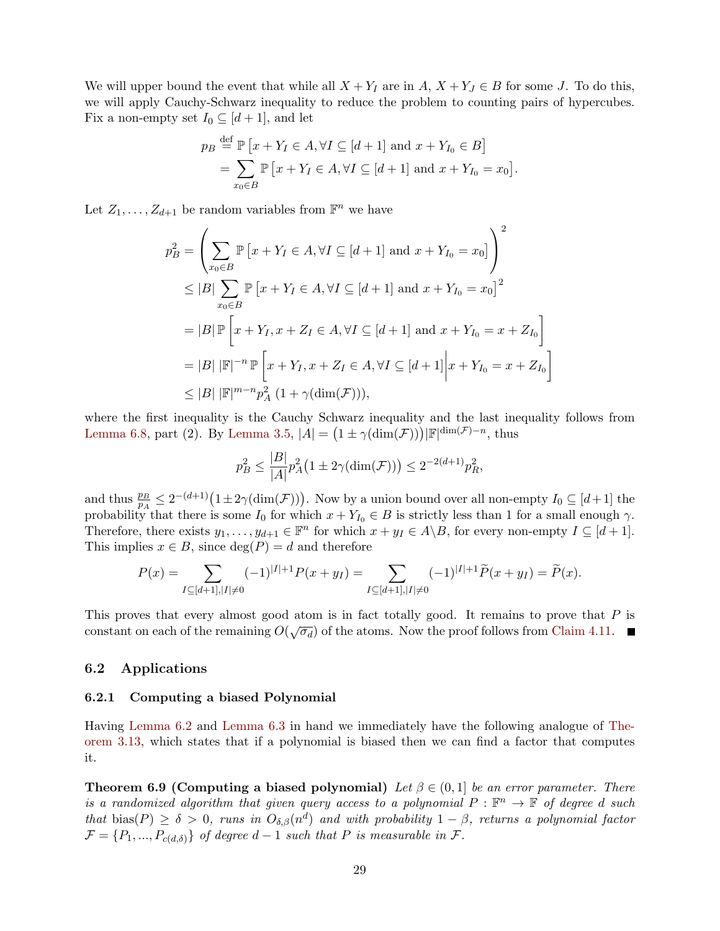We will upper bound the event that while all  $X + Y_I$  are in  $A, X + Y_J \in B$  for some J. To do this, we will apply Cauchy-Schwarz inequality to reduce the problem to counting pairs of hypercubes. Fix a non-empty set  $I_0 \subseteq [d+1]$ , and let

$$
p_B \stackrel{\text{def}}{=} \mathbb{P}\left[x + Y_I \in A, \forall I \subseteq [d+1] \text{ and } x + Y_{I_0} \in B\right]
$$
  
= 
$$
\sum_{x_0 \in B} \mathbb{P}\left[x + Y_I \in A, \forall I \subseteq [d+1] \text{ and } x + Y_{I_0} = x_0\right].
$$

Let  $Z_1, \ldots, Z_{d+1}$  be random variables from  $\mathbb{F}^n$  we have

$$
p_B^2 = \left(\sum_{x_0 \in B} \mathbb{P}\left[x + Y_I \in A, \forall I \subseteq [d+1] \text{ and } x + Y_{I_0} = x_0\right]\right)^2
$$
  
\n
$$
\leq |B| \sum_{x_0 \in B} \mathbb{P}\left[x + Y_I \in A, \forall I \subseteq [d+1] \text{ and } x + Y_{I_0} = x_0\right]^2
$$
  
\n
$$
= |B| \mathbb{P}\left[x + Y_I, x + Z_I \in A, \forall I \subseteq [d+1] \text{ and } x + Y_{I_0} = x + Z_{I_0}\right]
$$
  
\n
$$
= |B| |\mathbb{F}|^{-n} \mathbb{P}\left[x + Y_I, x + Z_I \in A, \forall I \subseteq [d+1] | x + Y_{I_0} = x + Z_{I_0}\right]
$$
  
\n
$$
\leq |B| |\mathbb{F}|^{m-n} p_A^2 (1 + \gamma(\dim(\mathcal{F}))),
$$

where the first inequality is the Cauchy Schwarz inequality and the last inequality follows from [Lemma 6.8,](#page-28-1) part (2). By [Lemma 3.5,](#page-9-0)  $|A| = (1 \pm \gamma(\dim(\mathcal{F})))|\mathbb{F}|^{\dim(\mathcal{F})-n}$ , thus

$$
p_B^2 \le \frac{|B|}{|A|} p_A^2 \left(1 \pm 2\gamma(\dim(\mathcal{F}))\right) \le 2^{-2(d+1)} p_R^2,
$$

and thus  $\frac{p_B}{p_A} \leq 2^{-(d+1)} (1 \pm 2\gamma(\dim(\mathcal{F})))$ . Now by a union bound over all non-empty  $I_0 \subseteq [d+1]$  the probability that there is some  $I_0$  for which  $x + Y_{I_0} \in B$  is strictly less than 1 for a small enough  $\gamma$ . Therefore, there exists  $y_1, \ldots, y_{d+1} \in \mathbb{F}^n$  for which  $x + y_I \in A \backslash B$ , for every non-empty  $I \subseteq [d+1]$ . This implies  $x \in B$ , since  $\deg(P) = d$  and therefore

$$
P(x) = \sum_{I \subseteq [d+1], |I| \neq 0} (-1)^{|I|+1} P(x + y_I) = \sum_{I \subseteq [d+1], |I| \neq 0} (-1)^{|I|+1} \widetilde{P}(x + y_I) = \widetilde{P}(x).
$$

This proves that every almost good atom is in fact totally good. It remains to prove that P is constant on each of the remaining  $O(\sqrt{\sigma_d})$  of the atoms. Now the proof follows from [Claim 4.11.](#page-17-2)

#### 6.2 Applications

#### 6.2.1 Computing a biased Polynomial

Having [Lemma 6.2](#page-24-0) and [Lemma 6.3](#page-26-1) in hand we immediately have the following analogue of [The](#page-12-3)[orem 3.13,](#page-12-3) which states that if a polynomial is biased then we can find a factor that computes it.

<span id="page-29-0"></span>**Theorem 6.9 (Computing a biased polynomial)** Let  $\beta \in (0,1]$  be an error parameter. There is a randomized algorithm that given query access to a polynomial  $P : \mathbb{F}^n \to \mathbb{F}$  of degree d such that bias(P)  $\geq \delta > 0$ , runs in  $O_{\delta,\beta}(n^d)$  and with probability  $1-\beta$ , returns a polynomial factor  $\mathcal{F} = \{P_1, ..., P_{c(d,\delta)}\}\$  of degree  $d-1$  such that P is measurable in  $\mathcal{F}.$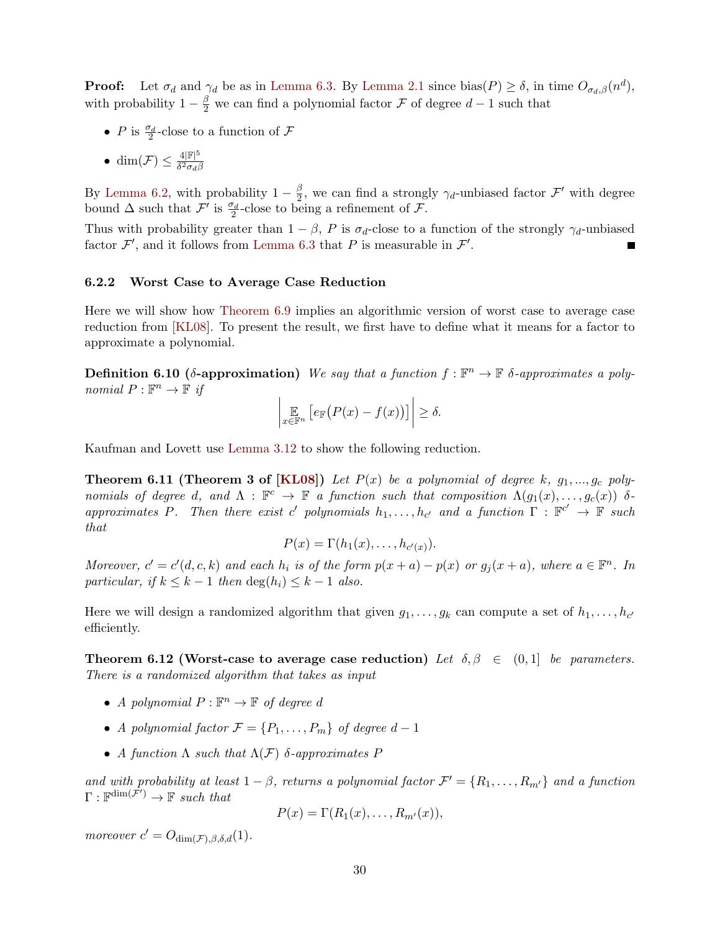<span id="page-30-0"></span>**Proof:** Let  $\sigma_d$  and  $\gamma_d$  be as in [Lemma 6.3.](#page-26-1) By [Lemma 2.1](#page-5-1) since  $\text{bias}(P) \geq \delta$ , in time  $O_{\sigma_d,\beta}(n^d)$ , with probability  $1 - \frac{\beta}{2}$  we can find a polynomial factor  $\mathcal F$  of degree  $d-1$  such that

• *P* is  $\frac{\sigma_d}{2}$ -close to a function of  $\mathcal F$ 

• 
$$
\dim(\mathcal{F}) \leq \frac{4|\mathbb{F}|^5}{\delta^2 \sigma_d \beta}
$$

By [Lemma 6.2,](#page-24-0) with probability  $1-\frac{\beta}{2}$  $\frac{\beta}{2}$ , we can find a strongly  $\gamma_d$ -unbiased factor  $\mathcal{F}'$  with degree bound  $\Delta$  such that  $\mathcal{F}'$  is  $\frac{\sigma_d}{2}$ -close to being a refinement of  $\mathcal{F}$ .

Thus with probability greater than  $1 - \beta$ , P is  $\sigma_d$ -close to a function of the strongly  $\gamma_d$ -unbiased factor  $\mathcal{F}'$ , and it follows from [Lemma 6.3](#page-26-1) that P is measurable in  $\mathcal{F}'$ .

#### 6.2.2 Worst Case to Average Case Reduction

Here we will show how [Theorem 6.9](#page-29-0) implies an algorithmic version of worst case to average case reduction from [\[KL08\]](#page-32-2). To present the result, we first have to define what it means for a factor to approximate a polynomial.

**Definition 6.10 (δ-approximation)** We say that a function  $f : \mathbb{F}^n \to \mathbb{F}$  δ-approximates a polynomial  $P : \mathbb{F}^n \to \mathbb{F}$  if

$$
\left|\mathop{\mathbb{E}}_{x\in\mathbb{F}^n}\big[e_{\mathbb{F}}(P(x)-f(x))\big]\right|\geq \delta.
$$

Kaufman and Lovett use [Lemma 3.12](#page-11-1) to show the following reduction.

**Theorem 6.11 (Theorem 3 of [\[KL08\]](#page-32-2))** Let  $P(x)$  be a polynomial of degree k,  $q_1, ..., q_c$  polynomials of degree d, and  $\Lambda$  :  $\mathbb{F}^c \to \mathbb{F}$  a function such that composition  $\Lambda(g_1(x), \ldots, g_c(x))$  δapproximates P. Then there exist c' polynomials  $h_1,\ldots,h_{c'}$  and a function  $\Gamma: \mathbb{F}^{c'} \to \mathbb{F}$  such that

$$
P(x) = \Gamma(h_1(x), \ldots, h_{c'(x)}).
$$

Moreover,  $c' = c'(d, c, k)$  and each  $h_i$  is of the form  $p(x + a) - p(x)$  or  $g_j(x + a)$ , where  $a \in \mathbb{F}^n$ . In particular, if  $k \leq k - 1$  then  $\deg(h_i) \leq k - 1$  also.

Here we will design a randomized algorithm that given  $g_1, \ldots, g_k$  can compute a set of  $h_1, \ldots, h_{c'}$ efficiently.

Theorem 6.12 (Worst-case to average case reduction) Let  $\delta, \beta \in (0,1]$  be parameters. There is a randomized algorithm that takes as input

- A polynomial  $P : \mathbb{F}^n \to \mathbb{F}$  of degree d
- A polynomial factor  $\mathcal{F} = \{P_1, \ldots, P_m\}$  of degree  $d-1$
- A function  $\Lambda$  such that  $\Lambda(\mathcal{F})$  δ-approximates P

and with probability at least  $1 - \beta$ , returns a polynomial factor  $\mathcal{F}' = \{R_1, \ldots, R_{m'}\}$  and a function  $\Gamma : \mathbb{F}^{\dim(\mathcal{F}')} \to \mathbb{F}$  such that

$$
P(x) = \Gamma(R_1(x), \ldots, R_{m'}(x)),
$$

moreover  $c' = O_{\dim(\mathcal{F}), \beta, \delta, d}(1)$ .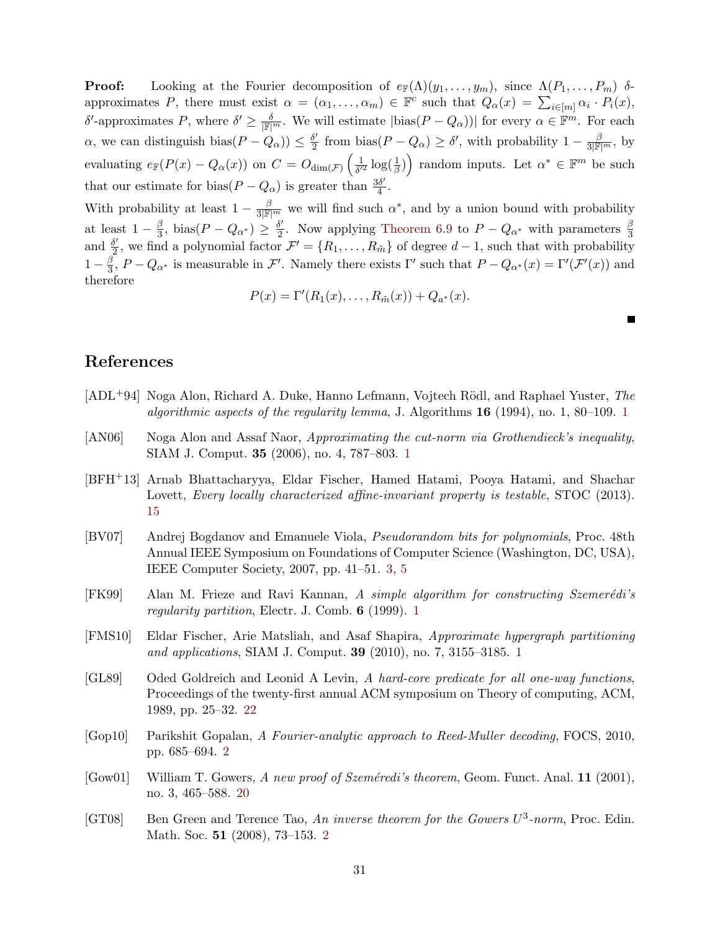**Proof:** Looking at the Fourier decomposition of  $e_{\mathbb{F}}(\Lambda)(y_1,\ldots,y_m)$ , since  $\Lambda(P_1,\ldots,P_m)$  δapproximates P, there must exist  $\alpha = (\alpha_1, \ldots, \alpha_m) \in \mathbb{F}^c$  such that  $Q_\alpha(x) = \sum_{i \in [m]} \alpha_i \cdot P_i(x)$ , δ'-approximates P, where  $\delta' \ge \frac{\delta}{\mathbb{F}^m}$ . We will estimate  $|\text{bias}(P - Q_\alpha)|$  for every  $\alpha \in \mathbb{F}^m$ . For each  $\alpha$ , we can distinguish bias $(P - Q_{\alpha}) \leq \frac{\delta'}{2}$  $\frac{\delta'}{2}$  from bias $(P - Q_{\alpha}) \geq \delta'$ , with probability  $1 - \frac{\beta}{3|\mathbb{F}|^m}$ , by evaluating  $e_{\mathbb{F}}(P(x) - Q_{\alpha}(x))$  on  $C = O_{\dim(\mathcal{F})}\left(\frac{1}{\delta^{n}}\right)$  $\frac{1}{\delta^{\prime 2}} \log(\frac{1}{\beta})$  random inputs. Let  $\alpha^* \in \mathbb{F}^m$  be such that our estimate for bias( $P - Q_{\alpha}$ ) is greater than  $\frac{3\delta'}{4}$  $\frac{\delta'}{4}$ .

With probability at least  $1 - \frac{\beta}{3|\mathbb{F}|^m}$  we will find such  $\alpha^*$ , and by a union bound with probability at least  $1-\frac{\beta}{3}$  $\frac{\beta}{3}$ , bias( $P - Q_{\alpha^*}$ )  $\geq \frac{\delta'}{2}$ at least  $1 - \frac{\beta}{3}$ , bias $(P - Q_{\alpha^*}) \ge \frac{\delta'}{2}$ . Now applying [Theorem 6.9](#page-29-0) to  $P - Q_{\alpha^*}$  with parameters  $\frac{\beta}{3}$  and  $\frac{\delta'}{2}$ , we find a polynomial factor  $\mathcal{F}' = \{R_1, \ldots, R_{\tilde{m}}\}$  of degree  $d-1$ , such that with  $\frac{\delta'}{2}$ , we find a polynomial factor  $\mathcal{F}' = \{R_1, \ldots, R_{\tilde{m}}\}$  of degree  $d-1$ , such that with probability  $1-\frac{\beta}{3}$  $\frac{\beta}{3}$ ,  $P - Q_{\alpha^*}$  is measurable in  $\mathcal{F}'$ . Namely there exists  $\Gamma'$  such that  $P - Q_{\alpha^*}(x) = \Gamma'(\mathcal{F}'(x))$  and therefore

$$
P(x) = \Gamma'(R_1(x), \dots, R_{\tilde{m}}(x)) + Q_{a^*}(x).
$$

References

- <span id="page-31-0"></span> $[ADL+94]$  Noga Alon, Richard A. Duke, Hanno Lefmann, Vojtech Rödl, and Raphael Yuster, The algorithmic aspects of the regularity lemma, J. Algorithms 16 (1994), no. 1, 80–109. [1](#page-0-0)
- <span id="page-31-1"></span>[AN06] Noga Alon and Assaf Naor, Approximating the cut-norm via Grothendieck's inequality, SIAM J. Comput. 35 (2006), no. 4, 787–803. [1](#page-0-0)
- <span id="page-31-7"></span>[BFH+13] Arnab Bhattacharyya, Eldar Fischer, Hamed Hatami, Pooya Hatami, and Shachar Lovett, Every locally characterized affine-invariant property is testable, STOC (2013). [15](#page-15-2)
- <span id="page-31-6"></span>[BV07] Andrej Bogdanov and Emanuele Viola, Pseudorandom bits for polynomials, Proc. 48th Annual IEEE Symposium on Foundations of Computer Science (Washington, DC, USA), IEEE Computer Society, 2007, pp. 41–51. [3,](#page-3-0) [5](#page-5-2)
- <span id="page-31-2"></span>[FK99] Alan M. Frieze and Ravi Kannan, A simple algorithm for constructing Szemerédi's regularity partition, Electr. J. Comb. 6 (1999). [1](#page-0-0)
- <span id="page-31-3"></span>[FMS10] Eldar Fischer, Arie Matsliah, and Asaf Shapira, Approximate hypergraph partitioning and applications, SIAM J. Comput. 39 (2010), no. 7, 3155–3185. [1](#page-0-0)
- <span id="page-31-9"></span>[GL89] Oded Goldreich and Leonid A Levin, A hard-core predicate for all one-way functions, Proceedings of the twenty-first annual ACM symposium on Theory of computing, ACM, 1989, pp. 25–32. [22](#page-22-0)
- <span id="page-31-4"></span>[Gop10] Parikshit Gopalan, A Fourier-analytic approach to Reed-Muller decoding, FOCS, 2010, pp. 685–694. [2](#page-2-0)
- <span id="page-31-8"></span> $[Gow01]$  William T. Gowers, A new proof of Szeméredi's theorem, Geom. Funct. Anal. 11 (2001), no. 3, 465–588. [20](#page-20-2)
- <span id="page-31-5"></span>[GT08] Ben Green and Terence Tao, An inverse theorem for the Gowers  $U^3$ -norm, Proc. Edin. Math. Soc. 51 (2008), 73–153. [2](#page-2-0)